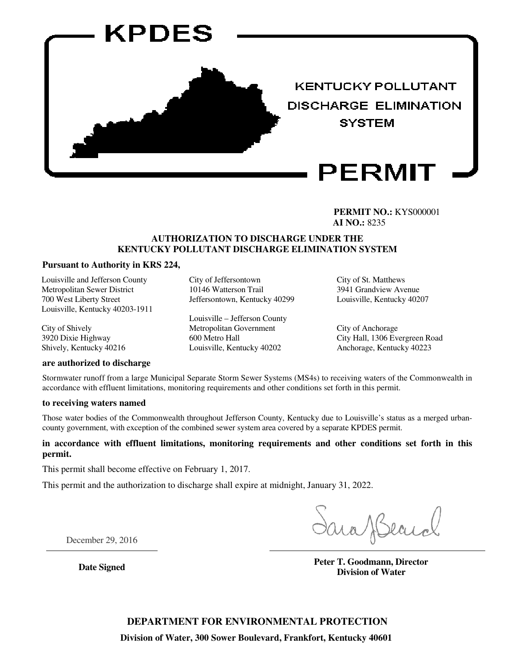

**PERMIT NO.:** KYS000001 **AI NO.:** 8235

#### **AUTHORIZATION TO DISCHARGE UNDER THE KENTUCKY POLLUTANT DISCHARGE ELIMINATION SYSTEM**

#### **Pursuant to Authority in KRS 224,**

Louisville and Jefferson County Metropolitan Sewer District 700 West Liberty Street Louisville, Kentucky 40203-1911

City of Shively 3920 Dixie Highway Shively, Kentucky 40216

#### **are authorized to discharge**

City of Jeffersontown 10146 Watterson Trail Jeffersontown, Kentucky 40299

Louisville – Jefferson County Metropolitan Government 600 Metro Hall Louisville, Kentucky 40202

City of St. Matthews 3941 Grandview Avenue Louisville, Kentucky 40207

City of Anchorage City Hall, 1306 Evergreen Road Anchorage, Kentucky 40223

Stormwater runoff from a large Municipal Separate Storm Sewer Systems (MS4s) to receiving waters of the Commonwealth in accordance with effluent limitations, monitoring requirements and other conditions set forth in this permit.

#### **to receiving waters named**

Those water bodies of the Commonwealth throughout Jefferson County, Kentucky due to Louisville's status as a merged urbancounty government, with exception of the combined sewer system area covered by a separate KPDES permit.

#### **in accordance with effluent limitations, monitoring requirements and other conditions set forth in this permit.**

This permit shall become effective on February 1, 2017.

This permit and the authorization to discharge shall expire at midnight, January 31, 2022.

December 29, 2016

**Date Signed Peter T. Goodmann, Director Peter T. Goodmann, Director Division of Water**

**DEPARTMENT FOR ENVIRONMENTAL PROTECTION**

**Division of Water, 300 Sower Boulevard, Frankfort, Kentucky 40601**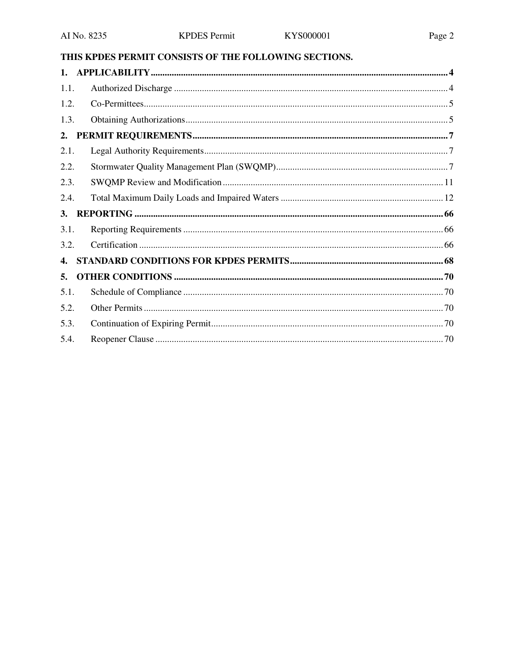# THIS KPDES PERMIT CONSISTS OF THE FOLLOWING SECTIONS.

| 1.1. |  |
|------|--|
| 1.2. |  |
| 1.3. |  |
| 2.   |  |
| 2.1. |  |
| 2.2. |  |
| 2.3. |  |
| 2.4. |  |
| 3.   |  |
| 3.1. |  |
| 3.2. |  |
| 4.   |  |
|      |  |
| 5.   |  |
| 5.1. |  |
| 5.2. |  |
| 5.3. |  |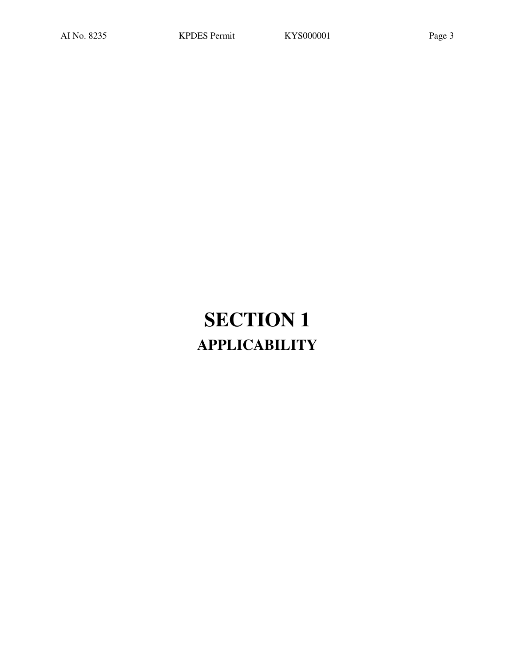# **SECTION 1 APPLICABILITY**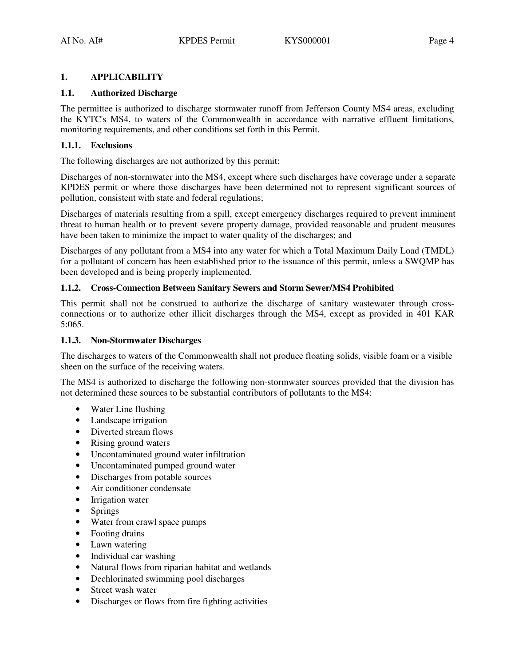#### **1. APPLICABILITY**

#### **1.1. Authorized Discharge**

The permittee is authorized to discharge stormwater runoff from Jefferson County MS4 areas, excluding the KYTC's MS4, to waters of the Commonwealth in accordance with narrative effluent limitations, monitoring requirements, and other conditions set forth in this Permit.

#### **1.1.1. Exclusions**

The following discharges are not authorized by this permit:

Discharges of non-stormwater into the MS4, except where such discharges have coverage under a separate KPDES permit or where those discharges have been determined not to represent significant sources of pollution, consistent with state and federal regulations;

Discharges of materials resulting from a spill, except emergency discharges required to prevent imminent threat to human health or to prevent severe property damage, provided reasonable and prudent measures have been taken to minimize the impact to water quality of the discharges; and

Discharges of any pollutant from a MS4 into any water for which a Total Maximum Daily Load (TMDL) for a pollutant of concern has been established prior to the issuance of this permit, unless a SWQMP has been developed and is being properly implemented.

#### **1.1.2. Cross-Connection Between Sanitary Sewers and Storm Sewer/MS4 Prohibited**

This permit shall not be construed to authorize the discharge of sanitary wastewater through crossconnections or to authorize other illicit discharges through the MS4, except as provided in 401 KAR 5:065.

#### **1.1.3. Non-Stormwater Discharges**

The discharges to waters of the Commonwealth shall not produce floating solids, visible foam or a visible sheen on the surface of the receiving waters.

The MS4 is authorized to discharge the following non-stormwater sources provided that the division has not determined these sources to be substantial contributors of pollutants to the MS4:

- Water Line flushing
- Landscape irrigation
- Diverted stream flows
- Rising ground waters
- Uncontaminated ground water infiltration
- Uncontaminated pumped ground water
- Discharges from potable sources
- Air conditioner condensate
- Irrigation water
- Springs
- Water from crawl space pumps
- Footing drains
- Lawn watering
- Individual car washing
- Natural flows from riparian habitat and wetlands
- Dechlorinated swimming pool discharges
- Street wash water
- Discharges or flows from fire fighting activities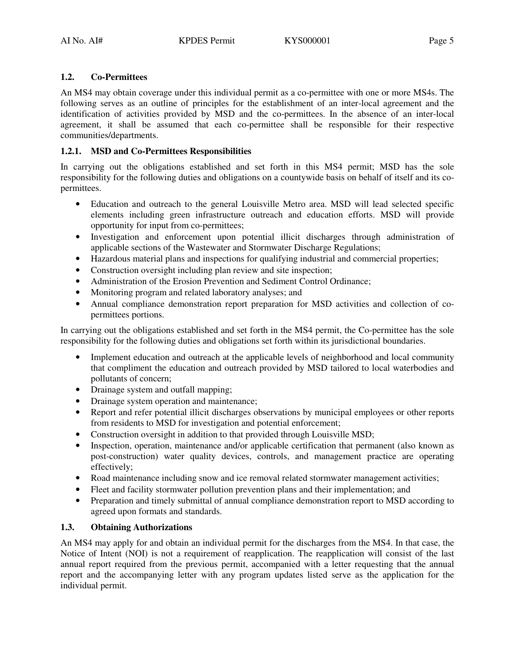### **1.2. Co-Permittees**

An MS4 may obtain coverage under this individual permit as a co-permittee with one or more MS4s. The following serves as an outline of principles for the establishment of an inter-local agreement and the identification of activities provided by MSD and the co-permittees. In the absence of an inter-local agreement, it shall be assumed that each co-permittee shall be responsible for their respective communities/departments.

### **1.2.1. MSD and Co-Permittees Responsibilities**

In carrying out the obligations established and set forth in this MS4 permit; MSD has the sole responsibility for the following duties and obligations on a countywide basis on behalf of itself and its copermittees.

- Education and outreach to the general Louisville Metro area. MSD will lead selected specific elements including green infrastructure outreach and education efforts. MSD will provide opportunity for input from co-permittees;
- Investigation and enforcement upon potential illicit discharges through administration of applicable sections of the Wastewater and Stormwater Discharge Regulations;
- Hazardous material plans and inspections for qualifying industrial and commercial properties;
- Construction oversight including plan review and site inspection;
- Administration of the Erosion Prevention and Sediment Control Ordinance;
- Monitoring program and related laboratory analyses; and
- Annual compliance demonstration report preparation for MSD activities and collection of copermittees portions.

In carrying out the obligations established and set forth in the MS4 permit, the Co-permittee has the sole responsibility for the following duties and obligations set forth within its jurisdictional boundaries.

- Implement education and outreach at the applicable levels of neighborhood and local community that compliment the education and outreach provided by MSD tailored to local waterbodies and pollutants of concern;
- Drainage system and outfall mapping;
- Drainage system operation and maintenance;
- Report and refer potential illicit discharges observations by municipal employees or other reports from residents to MSD for investigation and potential enforcement;
- Construction oversight in addition to that provided through Louisville MSD;
- Inspection, operation, maintenance and/or applicable certification that permanent (also known as post-construction) water quality devices, controls, and management practice are operating effectively;
- Road maintenance including snow and ice removal related stormwater management activities;
- Fleet and facility stormwater pollution prevention plans and their implementation; and
- Preparation and timely submittal of annual compliance demonstration report to MSD according to agreed upon formats and standards.

# **1.3. Obtaining Authorizations**

An MS4 may apply for and obtain an individual permit for the discharges from the MS4. In that case, the Notice of Intent (NOI) is not a requirement of reapplication. The reapplication will consist of the last annual report required from the previous permit, accompanied with a letter requesting that the annual report and the accompanying letter with any program updates listed serve as the application for the individual permit.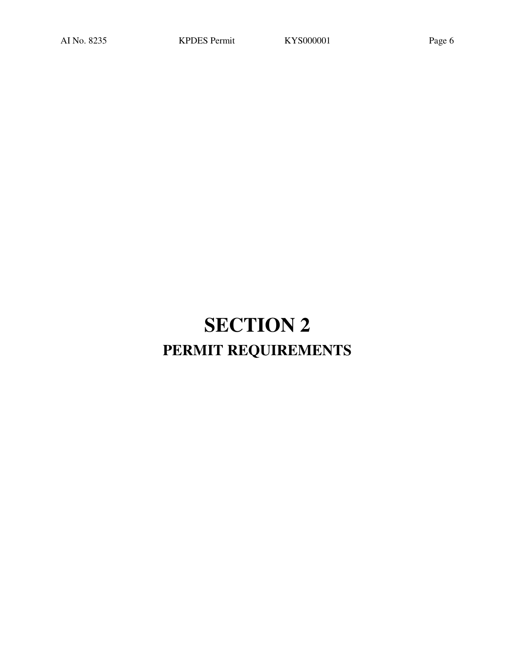# **SECTION 2 PERMIT REQUIREMENTS**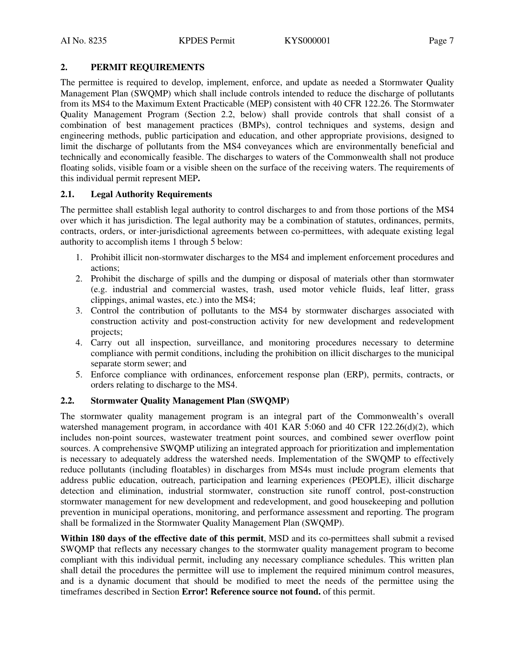#### **2. PERMIT REQUIREMENTS**

The permittee is required to develop, implement, enforce, and update as needed a Stormwater Quality Management Plan (SWQMP) which shall include controls intended to reduce the discharge of pollutants from its MS4 to the Maximum Extent Practicable (MEP) consistent with 40 CFR 122.26. The Stormwater Quality Management Program (Section 2.2, below) shall provide controls that shall consist of a combination of best management practices (BMPs), control techniques and systems, design and engineering methods, public participation and education, and other appropriate provisions, designed to limit the discharge of pollutants from the MS4 conveyances which are environmentally beneficial and technically and economically feasible. The discharges to waters of the Commonwealth shall not produce floating solids, visible foam or a visible sheen on the surface of the receiving waters. The requirements of this individual permit represent MEP**.** 

#### **2.1. Legal Authority Requirements**

The permittee shall establish legal authority to control discharges to and from those portions of the MS4 over which it has jurisdiction. The legal authority may be a combination of statutes, ordinances, permits, contracts, orders, or inter-jurisdictional agreements between co-permittees, with adequate existing legal authority to accomplish items 1 through 5 below:

- 1. Prohibit illicit non-stormwater discharges to the MS4 and implement enforcement procedures and actions;
- 2. Prohibit the discharge of spills and the dumping or disposal of materials other than stormwater (e.g. industrial and commercial wastes, trash, used motor vehicle fluids, leaf litter, grass clippings, animal wastes, etc.) into the MS4;
- 3. Control the contribution of pollutants to the MS4 by stormwater discharges associated with construction activity and post-construction activity for new development and redevelopment projects;
- 4. Carry out all inspection, surveillance, and monitoring procedures necessary to determine compliance with permit conditions, including the prohibition on illicit discharges to the municipal separate storm sewer; and
- 5. Enforce compliance with ordinances, enforcement response plan (ERP), permits, contracts, or orders relating to discharge to the MS4.

#### **2.2. Stormwater Quality Management Plan (SWQMP)**

The stormwater quality management program is an integral part of the Commonwealth's overall watershed management program, in accordance with 401 KAR 5:060 and 40 CFR 122.26(d)(2), which includes non-point sources, wastewater treatment point sources, and combined sewer overflow point sources. A comprehensive SWQMP utilizing an integrated approach for prioritization and implementation is necessary to adequately address the watershed needs. Implementation of the SWQMP to effectively reduce pollutants (including floatables) in discharges from MS4s must include program elements that address public education, outreach, participation and learning experiences (PEOPLE), illicit discharge detection and elimination, industrial stormwater, construction site runoff control, post-construction stormwater management for new development and redevelopment, and good housekeeping and pollution prevention in municipal operations, monitoring, and performance assessment and reporting. The program shall be formalized in the Stormwater Quality Management Plan (SWQMP).

**Within 180 days of the effective date of this permit**, MSD and its co-permittees shall submit a revised SWQMP that reflects any necessary changes to the stormwater quality management program to become compliant with this individual permit, including any necessary compliance schedules. This written plan shall detail the procedures the permittee will use to implement the required minimum control measures, and is a dynamic document that should be modified to meet the needs of the permittee using the timeframes described in Section **Error! Reference source not found.** of this permit.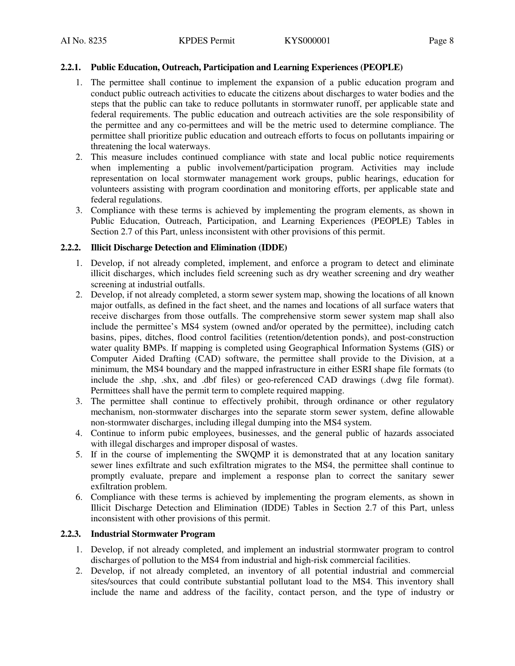#### **2.2.1. Public Education, Outreach, Participation and Learning Experiences (PEOPLE)**

- 1. The permittee shall continue to implement the expansion of a public education program and conduct public outreach activities to educate the citizens about discharges to water bodies and the steps that the public can take to reduce pollutants in stormwater runoff, per applicable state and federal requirements. The public education and outreach activities are the sole responsibility of the permittee and any co-permittees and will be the metric used to determine compliance. The permittee shall prioritize public education and outreach efforts to focus on pollutants impairing or threatening the local waterways.
- 2. This measure includes continued compliance with state and local public notice requirements when implementing a public involvement/participation program. Activities may include representation on local stormwater management work groups, public hearings, education for volunteers assisting with program coordination and monitoring efforts, per applicable state and federal regulations.
- 3. Compliance with these terms is achieved by implementing the program elements, as shown in Public Education, Outreach, Participation, and Learning Experiences (PEOPLE) Tables in Section 2.7 of this Part, unless inconsistent with other provisions of this permit.

#### **2.2.2. Illicit Discharge Detection and Elimination (IDDE)**

- 1. Develop, if not already completed, implement, and enforce a program to detect and eliminate illicit discharges, which includes field screening such as dry weather screening and dry weather screening at industrial outfalls.
- 2. Develop, if not already completed, a storm sewer system map, showing the locations of all known major outfalls, as defined in the fact sheet, and the names and locations of all surface waters that receive discharges from those outfalls. The comprehensive storm sewer system map shall also include the permittee's MS4 system (owned and/or operated by the permittee), including catch basins, pipes, ditches, flood control facilities (retention/detention ponds), and post-construction water quality BMPs. If mapping is completed using Geographical Information Systems (GIS) or Computer Aided Drafting (CAD) software, the permittee shall provide to the Division, at a minimum, the MS4 boundary and the mapped infrastructure in either ESRI shape file formats (to include the .shp, .shx, and .dbf files) or geo-referenced CAD drawings (.dwg file format). Permittees shall have the permit term to complete required mapping.
- 3. The permittee shall continue to effectively prohibit, through ordinance or other regulatory mechanism, non-stormwater discharges into the separate storm sewer system, define allowable non-stormwater discharges, including illegal dumping into the MS4 system.
- 4. Continue to inform pubic employees, businesses, and the general public of hazards associated with illegal discharges and improper disposal of wastes.
- 5. If in the course of implementing the SWQMP it is demonstrated that at any location sanitary sewer lines exfiltrate and such exfiltration migrates to the MS4, the permittee shall continue to promptly evaluate, prepare and implement a response plan to correct the sanitary sewer exfiltration problem.
- 6. Compliance with these terms is achieved by implementing the program elements, as shown in Illicit Discharge Detection and Elimination (IDDE) Tables in Section 2.7 of this Part, unless inconsistent with other provisions of this permit.

#### **2.2.3. Industrial Stormwater Program**

- 1. Develop, if not already completed, and implement an industrial stormwater program to control discharges of pollution to the MS4 from industrial and high-risk commercial facilities.
- 2. Develop, if not already completed, an inventory of all potential industrial and commercial sites/sources that could contribute substantial pollutant load to the MS4. This inventory shall include the name and address of the facility, contact person, and the type of industry or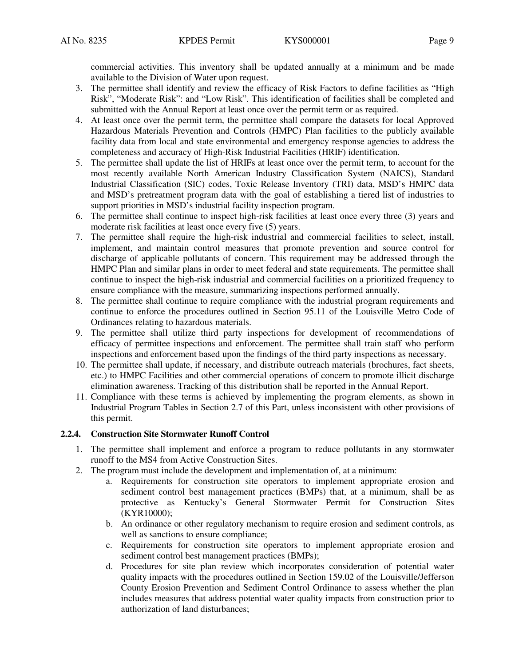commercial activities. This inventory shall be updated annually at a minimum and be made available to the Division of Water upon request.

- 3. The permittee shall identify and review the efficacy of Risk Factors to define facilities as "High Risk", "Moderate Risk": and "Low Risk". This identification of facilities shall be completed and submitted with the Annual Report at least once over the permit term or as required.
- 4. At least once over the permit term, the permittee shall compare the datasets for local Approved Hazardous Materials Prevention and Controls (HMPC) Plan facilities to the publicly available facility data from local and state environmental and emergency response agencies to address the completeness and accuracy of High-Risk Industrial Facilities (HRIF) identification.
- 5. The permittee shall update the list of HRIFs at least once over the permit term, to account for the most recently available North American Industry Classification System (NAICS), Standard Industrial Classification (SIC) codes, Toxic Release Inventory (TRI) data, MSD's HMPC data and MSD's pretreatment program data with the goal of establishing a tiered list of industries to support priorities in MSD's industrial facility inspection program.
- 6. The permittee shall continue to inspect high-risk facilities at least once every three (3) years and moderate risk facilities at least once every five (5) years.
- 7. The permittee shall require the high-risk industrial and commercial facilities to select, install, implement, and maintain control measures that promote prevention and source control for discharge of applicable pollutants of concern. This requirement may be addressed through the HMPC Plan and similar plans in order to meet federal and state requirements. The permittee shall continue to inspect the high-risk industrial and commercial facilities on a prioritized frequency to ensure compliance with the measure, summarizing inspections performed annually.
- 8. The permittee shall continue to require compliance with the industrial program requirements and continue to enforce the procedures outlined in Section 95.11 of the Louisville Metro Code of Ordinances relating to hazardous materials.
- 9. The permittee shall utilize third party inspections for development of recommendations of efficacy of permittee inspections and enforcement. The permittee shall train staff who perform inspections and enforcement based upon the findings of the third party inspections as necessary.
- 10. The permittee shall update, if necessary, and distribute outreach materials (brochures, fact sheets, etc.) to HMPC Facilities and other commercial operations of concern to promote illicit discharge elimination awareness. Tracking of this distribution shall be reported in the Annual Report.
- 11. Compliance with these terms is achieved by implementing the program elements, as shown in Industrial Program Tables in Section 2.7 of this Part, unless inconsistent with other provisions of this permit.

#### **2.2.4. Construction Site Stormwater Runoff Control**

- 1. The permittee shall implement and enforce a program to reduce pollutants in any stormwater runoff to the MS4 from Active Construction Sites.
- 2. The program must include the development and implementation of, at a minimum:
	- a. Requirements for construction site operators to implement appropriate erosion and sediment control best management practices (BMPs) that, at a minimum, shall be as protective as Kentucky's General Stormwater Permit for Construction Sites (KYR10000);
	- b. An ordinance or other regulatory mechanism to require erosion and sediment controls, as well as sanctions to ensure compliance;
	- c. Requirements for construction site operators to implement appropriate erosion and sediment control best management practices (BMPs);
	- d. Procedures for site plan review which incorporates consideration of potential water quality impacts with the procedures outlined in Section 159.02 of the Louisville/Jefferson County Erosion Prevention and Sediment Control Ordinance to assess whether the plan includes measures that address potential water quality impacts from construction prior to authorization of land disturbances;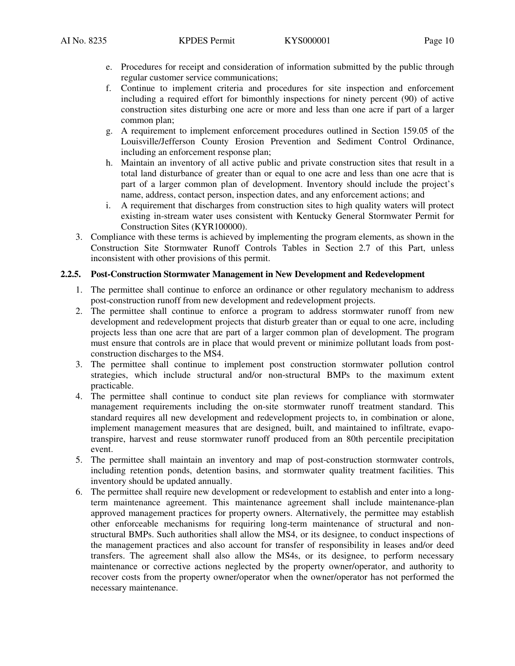- e. Procedures for receipt and consideration of information submitted by the public through regular customer service communications;
- f. Continue to implement criteria and procedures for site inspection and enforcement including a required effort for bimonthly inspections for ninety percent (90) of active construction sites disturbing one acre or more and less than one acre if part of a larger common plan;
- g. A requirement to implement enforcement procedures outlined in Section 159.05 of the Louisville/Jefferson County Erosion Prevention and Sediment Control Ordinance, including an enforcement response plan;
- h. Maintain an inventory of all active public and private construction sites that result in a total land disturbance of greater than or equal to one acre and less than one acre that is part of a larger common plan of development. Inventory should include the project's name, address, contact person, inspection dates, and any enforcement actions; and
- i. A requirement that discharges from construction sites to high quality waters will protect existing in-stream water uses consistent with Kentucky General Stormwater Permit for Construction Sites (KYR100000).
- 3. Compliance with these terms is achieved by implementing the program elements, as shown in the Construction Site Stormwater Runoff Controls Tables in Section 2.7 of this Part, unless inconsistent with other provisions of this permit.

#### **2.2.5. Post-Construction Stormwater Management in New Development and Redevelopment**

- 1. The permittee shall continue to enforce an ordinance or other regulatory mechanism to address post-construction runoff from new development and redevelopment projects.
- 2. The permittee shall continue to enforce a program to address stormwater runoff from new development and redevelopment projects that disturb greater than or equal to one acre, including projects less than one acre that are part of a larger common plan of development. The program must ensure that controls are in place that would prevent or minimize pollutant loads from postconstruction discharges to the MS4.
- 3. The permittee shall continue to implement post construction stormwater pollution control strategies, which include structural and/or non-structural BMPs to the maximum extent practicable.
- 4. The permittee shall continue to conduct site plan reviews for compliance with stormwater management requirements including the on-site stormwater runoff treatment standard. This standard requires all new development and redevelopment projects to, in combination or alone, implement management measures that are designed, built, and maintained to infiltrate, evapotranspire, harvest and reuse stormwater runoff produced from an 80th percentile precipitation event.
- 5. The permittee shall maintain an inventory and map of post-construction stormwater controls, including retention ponds, detention basins, and stormwater quality treatment facilities. This inventory should be updated annually.
- 6. The permittee shall require new development or redevelopment to establish and enter into a longterm maintenance agreement. This maintenance agreement shall include maintenance-plan approved management practices for property owners. Alternatively, the permittee may establish other enforceable mechanisms for requiring long-term maintenance of structural and nonstructural BMPs. Such authorities shall allow the MS4, or its designee, to conduct inspections of the management practices and also account for transfer of responsibility in leases and/or deed transfers. The agreement shall also allow the MS4s, or its designee, to perform necessary maintenance or corrective actions neglected by the property owner/operator, and authority to recover costs from the property owner/operator when the owner/operator has not performed the necessary maintenance.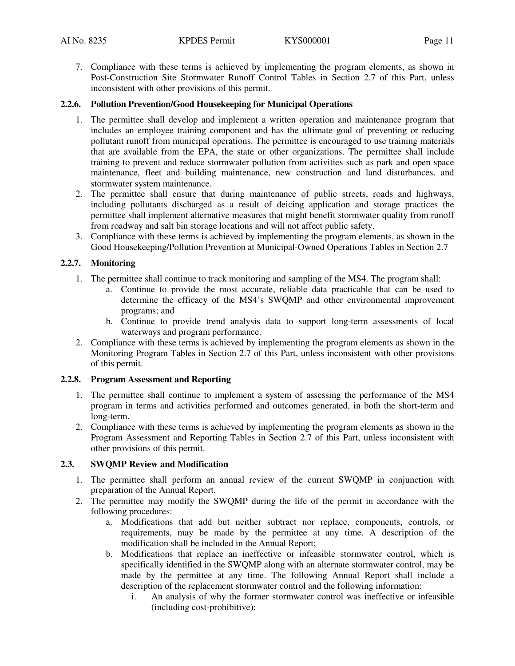7. Compliance with these terms is achieved by implementing the program elements, as shown in Post-Construction Site Stormwater Runoff Control Tables in Section 2.7 of this Part, unless inconsistent with other provisions of this permit.

#### **2.2.6. Pollution Prevention/Good Housekeeping for Municipal Operations**

- 1. The permittee shall develop and implement a written operation and maintenance program that includes an employee training component and has the ultimate goal of preventing or reducing pollutant runoff from municipal operations. The permittee is encouraged to use training materials that are available from the EPA, the state or other organizations. The permittee shall include training to prevent and reduce stormwater pollution from activities such as park and open space maintenance, fleet and building maintenance, new construction and land disturbances, and stormwater system maintenance.
- 2. The permittee shall ensure that during maintenance of public streets, roads and highways, including pollutants discharged as a result of deicing application and storage practices the permittee shall implement alternative measures that might benefit stormwater quality from runoff from roadway and salt bin storage locations and will not affect public safety.
- 3. Compliance with these terms is achieved by implementing the program elements, as shown in the Good Housekeeping/Pollution Prevention at Municipal-Owned Operations Tables in Section 2.7

#### **2.2.7. Monitoring**

- 1. The permittee shall continue to track monitoring and sampling of the MS4. The program shall:
	- a. Continue to provide the most accurate, reliable data practicable that can be used to determine the efficacy of the MS4's SWQMP and other environmental improvement programs; and
	- b. Continue to provide trend analysis data to support long-term assessments of local waterways and program performance.
- 2. Compliance with these terms is achieved by implementing the program elements as shown in the Monitoring Program Tables in Section 2.7 of this Part, unless inconsistent with other provisions of this permit.

#### **2.2.8. Program Assessment and Reporting**

- 1. The permittee shall continue to implement a system of assessing the performance of the MS4 program in terms and activities performed and outcomes generated, in both the short-term and long-term.
- 2. Compliance with these terms is achieved by implementing the program elements as shown in the Program Assessment and Reporting Tables in Section 2.7 of this Part, unless inconsistent with other provisions of this permit.

# **2.3. SWQMP Review and Modification**

- 1. The permittee shall perform an annual review of the current SWQMP in conjunction with preparation of the Annual Report.
- 2. The permittee may modify the SWQMP during the life of the permit in accordance with the following procedures:
	- a. Modifications that add but neither subtract nor replace, components, controls, or requirements, may be made by the permittee at any time. A description of the modification shall be included in the Annual Report;
	- b. Modifications that replace an ineffective or infeasible stormwater control, which is specifically identified in the SWQMP along with an alternate stormwater control, may be made by the permittee at any time. The following Annual Report shall include a description of the replacement stormwater control and the following information:
		- i. An analysis of why the former stormwater control was ineffective or infeasible (including cost-prohibitive);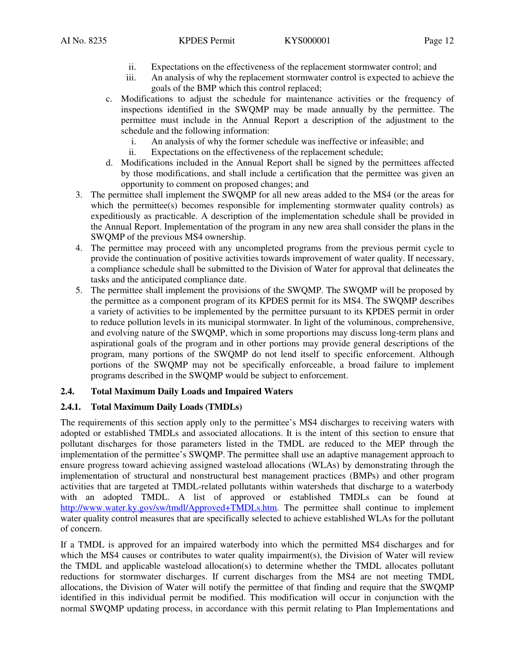- ii. Expectations on the effectiveness of the replacement stormwater control; and
- iii. An analysis of why the replacement stormwater control is expected to achieve the goals of the BMP which this control replaced;
- c. Modifications to adjust the schedule for maintenance activities or the frequency of inspections identified in the SWQMP may be made annually by the permittee. The permittee must include in the Annual Report a description of the adjustment to the schedule and the following information:
	- i. An analysis of why the former schedule was ineffective or infeasible; and
	- ii. Expectations on the effectiveness of the replacement schedule;
- d. Modifications included in the Annual Report shall be signed by the permittees affected by those modifications, and shall include a certification that the permittee was given an opportunity to comment on proposed changes; and
- 3. The permittee shall implement the SWQMP for all new areas added to the MS4 (or the areas for which the permittee(s) becomes responsible for implementing stormwater quality controls) as expeditiously as practicable. A description of the implementation schedule shall be provided in the Annual Report. Implementation of the program in any new area shall consider the plans in the SWQMP of the previous MS4 ownership.
- 4. The permittee may proceed with any uncompleted programs from the previous permit cycle to provide the continuation of positive activities towards improvement of water quality. If necessary, a compliance schedule shall be submitted to the Division of Water for approval that delineates the tasks and the anticipated compliance date.
- 5. The permittee shall implement the provisions of the SWQMP. The SWQMP will be proposed by the permittee as a component program of its KPDES permit for its MS4. The SWQMP describes a variety of activities to be implemented by the permittee pursuant to its KPDES permit in order to reduce pollution levels in its municipal stormwater. In light of the voluminous, comprehensive, and evolving nature of the SWQMP, which in some proportions may discuss long-term plans and aspirational goals of the program and in other portions may provide general descriptions of the program, many portions of the SWQMP do not lend itself to specific enforcement. Although portions of the SWQMP may not be specifically enforceable, a broad failure to implement programs described in the SWQMP would be subject to enforcement.

#### **2.4. Total Maximum Daily Loads and Impaired Waters**

#### **2.4.1. Total Maximum Daily Loads (TMDLs)**

The requirements of this section apply only to the permittee's MS4 discharges to receiving waters with adopted or established TMDLs and associated allocations. It is the intent of this section to ensure that pollutant discharges for those parameters listed in the TMDL are reduced to the MEP through the implementation of the permittee's SWQMP. The permittee shall use an adaptive management approach to ensure progress toward achieving assigned wasteload allocations (WLAs) by demonstrating through the implementation of structural and nonstructural best management practices (BMPs) and other program activities that are targeted at TMDL-related pollutants within watersheds that discharge to a waterbody with an adopted TMDL. A list of approved or established TMDLs can be found at http://www.water.ky.gov/sw/tmdl/Approved+TMDLs.htm. The permittee shall continue to implement water quality control measures that are specifically selected to achieve established WLAs for the pollutant of concern.

If a TMDL is approved for an impaired waterbody into which the permitted MS4 discharges and for which the MS4 causes or contributes to water quality impairment(s), the Division of Water will review the TMDL and applicable wasteload allocation(s) to determine whether the TMDL allocates pollutant reductions for stormwater discharges. If current discharges from the MS4 are not meeting TMDL allocations, the Division of Water will notify the permittee of that finding and require that the SWQMP identified in this individual permit be modified. This modification will occur in conjunction with the normal SWQMP updating process, in accordance with this permit relating to Plan Implementations and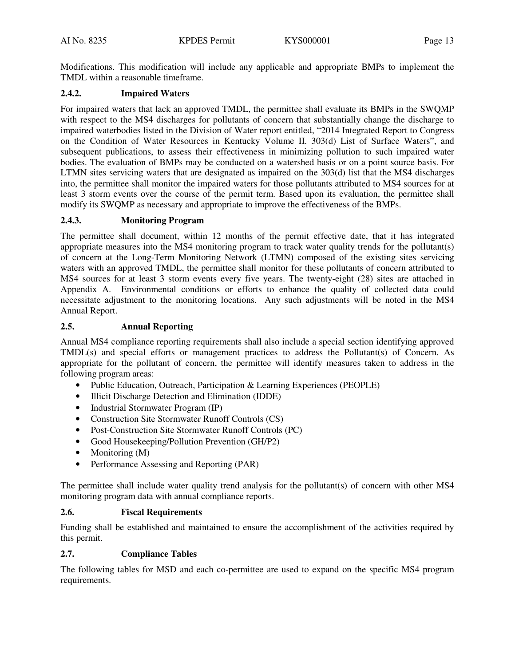Modifications. This modification will include any applicable and appropriate BMPs to implement the TMDL within a reasonable timeframe.

#### **2.4.2. Impaired Waters**

For impaired waters that lack an approved TMDL, the permittee shall evaluate its BMPs in the SWQMP with respect to the MS4 discharges for pollutants of concern that substantially change the discharge to impaired waterbodies listed in the Division of Water report entitled, "2014 Integrated Report to Congress on the Condition of Water Resources in Kentucky Volume II. 303(d) List of Surface Waters", and subsequent publications, to assess their effectiveness in minimizing pollution to such impaired water bodies. The evaluation of BMPs may be conducted on a watershed basis or on a point source basis. For LTMN sites servicing waters that are designated as impaired on the 303(d) list that the MS4 discharges into, the permittee shall monitor the impaired waters for those pollutants attributed to MS4 sources for at least 3 storm events over the course of the permit term. Based upon its evaluation, the permittee shall modify its SWQMP as necessary and appropriate to improve the effectiveness of the BMPs.

#### **2.4.3. Monitoring Program**

The permittee shall document, within 12 months of the permit effective date, that it has integrated appropriate measures into the MS4 monitoring program to track water quality trends for the pollutant(s) of concern at the Long-Term Monitoring Network (LTMN) composed of the existing sites servicing waters with an approved TMDL, the permittee shall monitor for these pollutants of concern attributed to MS4 sources for at least 3 storm events every five years. The twenty-eight (28) sites are attached in Appendix A. Environmental conditions or efforts to enhance the quality of collected data could necessitate adjustment to the monitoring locations. Any such adjustments will be noted in the MS4 Annual Report.

# **2.5. Annual Reporting**

Annual MS4 compliance reporting requirements shall also include a special section identifying approved TMDL(s) and special efforts or management practices to address the Pollutant(s) of Concern. As appropriate for the pollutant of concern, the permittee will identify measures taken to address in the following program areas:

- Public Education, Outreach, Participation & Learning Experiences (PEOPLE)
- Illicit Discharge Detection and Elimination (IDDE)
- Industrial Stormwater Program (IP)
- Construction Site Stormwater Runoff Controls (CS)
- Post-Construction Site Stormwater Runoff Controls (PC)
- Good Housekeeping/Pollution Prevention (GH/P2)
- Monitoring (M)
- Performance Assessing and Reporting (PAR)

The permittee shall include water quality trend analysis for the pollutant(s) of concern with other MS4 monitoring program data with annual compliance reports.

#### **2.6. Fiscal Requirements**

Funding shall be established and maintained to ensure the accomplishment of the activities required by this permit.

#### **2.7. Compliance Tables**

The following tables for MSD and each co-permittee are used to expand on the specific MS4 program requirements.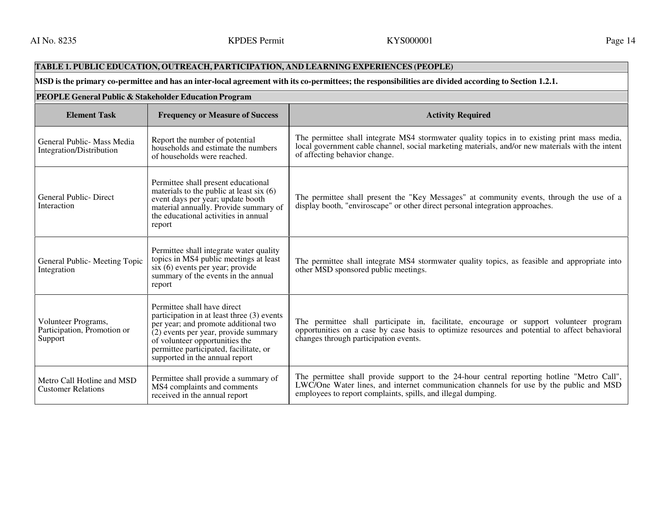# **TABLE 1. PUBLIC EDUCATION, OUTREACH, PARTICIPATION, AND LEARNING EXPERIENCES (PEOPLE)**

# **MSD is the primary co-permittee and has an inter-local agreement with its co-permittees; the responsibilities are divided according to Section 1.2.1.**

| PEOPLE General Public & Stakeholder Education Program         |                                                                                                                                                                                                                                                                         |                                                                                                                                                                                                                                                      |
|---------------------------------------------------------------|-------------------------------------------------------------------------------------------------------------------------------------------------------------------------------------------------------------------------------------------------------------------------|------------------------------------------------------------------------------------------------------------------------------------------------------------------------------------------------------------------------------------------------------|
| <b>Element Task</b>                                           | <b>Frequency or Measure of Success</b>                                                                                                                                                                                                                                  | <b>Activity Required</b>                                                                                                                                                                                                                             |
| General Public - Mass Media<br>Integration/Distribution       | Report the number of potential<br>households and estimate the numbers<br>of households were reached.                                                                                                                                                                    | The permittee shall integrate MS4 stormwater quality topics in to existing print mass media,<br>local government cable channel, social marketing materials, and/or new materials with the intent<br>of affecting behavior change.                    |
| General Public-Direct<br>Interaction                          | Permittee shall present educational<br>materials to the public at least six $(6)$<br>event days per year; update booth<br>material annually. Provide summary of<br>the educational activities in annual<br>report                                                       | The permittee shall present the "Key Messages" at community events, through the use of a<br>display booth, "enviroscape" or other direct personal integration approaches.                                                                            |
| General Public- Meeting Topic<br>Integration                  | Permittee shall integrate water quality<br>topics in MS4 public meetings at least<br>$s$ ix $(6)$ events per year; provide<br>summary of the events in the annual<br>report                                                                                             | The permittee shall integrate MS4 stormwater quality topics, as feasible and appropriate into<br>other MSD sponsored public meetings.                                                                                                                |
| Volunteer Programs,<br>Participation, Promotion or<br>Support | Permittee shall have direct<br>participation in at least three (3) events<br>per year; and promote additional two<br>(2) events per year, provide summary<br>of volunteer opportunities the<br>permittee participated, facilitate, or<br>supported in the annual report | The permittee shall participate in, facilitate, encourage or support volunteer program<br>opportunities on a case by case basis to optimize resources and potential to affect behavioral<br>changes through participation events.                    |
| Metro Call Hotline and MSD<br><b>Customer Relations</b>       | Permittee shall provide a summary of<br>MS4 complaints and comments<br>received in the annual report                                                                                                                                                                    | The permittee shall provide support to the 24-hour central reporting hotline "Metro Call",<br>LWC/One Water lines, and internet communication channels for use by the public and MSD<br>employees to report complaints, spills, and illegal dumping. |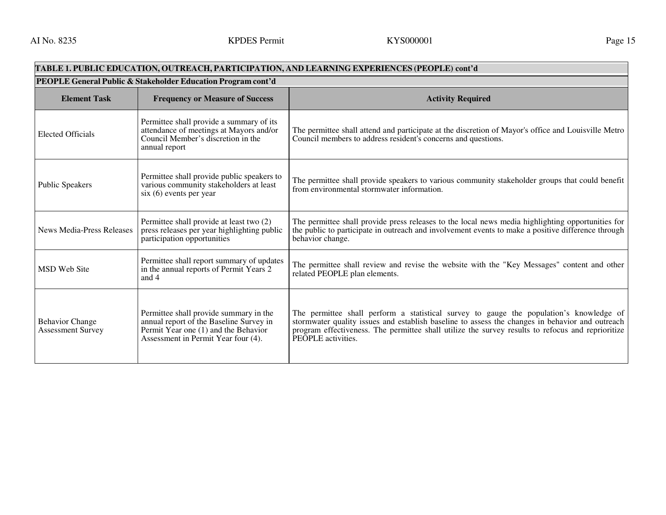#### **TABLE 1. PUBLIC EDUCATION, OUTREACH, PARTICIPATION, AND LEARNING EXPERIENCES (PEOPLE) cont'dPEOPLE General Public & Stakeholder Education Program cont'dElement Task Frequency or Measure of Success Activity Required Activity Required Activity Required Activity Required** Elected Officials Permittee shall provide a summary of its attendance of meetings at Mayors and/or Council Member's discretion in the annual report The permittee shall attend and participate at the discretion of Mayor's office and Louisville Metro Council members to address resident's concerns and questions. Public Speakers Permittee shall provide public speakers to various community stakeholders at least six (6) events per year The permittee shall provide speakers to various community stakeholder groups that could benefit from environmental stormwater information. News Media-Press Releases Permittee shall provide at least two (2) press releases per year highlighting public participation opportunities The permittee shall provide press releases to the local news media highlighting opportunities for the public to participate in outreach and involvement events to make a positive difference through behavior change. MSD Web Site Permittee shall report summary of updates in the annual reports of Permit Years 2 and 4 The permittee shall review and revise the website with the "Key Messages" content and other related PEOPLE plan elements. Behavior Change Assessment Survey Permittee shall provide summary in the annual report of the Baseline Survey in Permit Year one (1) and the Behavior Assessment in Permit Year four (4). The permittee shall perform a statistical survey to gauge the population's knowledge of stormwater quality issues and establish baseline to assess the changes in behavior and outreach program effectiveness. The permittee shall utilize the survey results to refocus and reprioritize PEOPLE activities.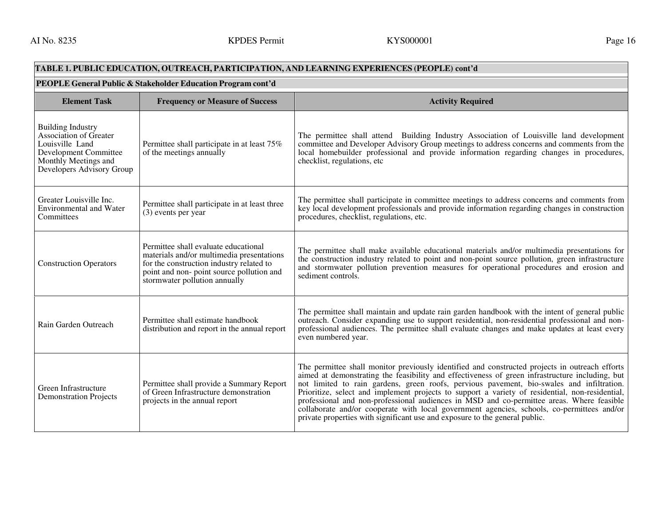# **TABLE 1. PUBLIC EDUCATION, OUTREACH, PARTICIPATION, AND LEARNING EXPERIENCES (PEOPLE) cont'd**

| PEOPLE General Public & Stakeholder Education Program cont'd                                                                                               |                                                                                                                                                                                                             |                                                                                                                                                                                                                                                                                                                                                                                                                                                                                                                                                                                                                                                                             |  |
|------------------------------------------------------------------------------------------------------------------------------------------------------------|-------------------------------------------------------------------------------------------------------------------------------------------------------------------------------------------------------------|-----------------------------------------------------------------------------------------------------------------------------------------------------------------------------------------------------------------------------------------------------------------------------------------------------------------------------------------------------------------------------------------------------------------------------------------------------------------------------------------------------------------------------------------------------------------------------------------------------------------------------------------------------------------------------|--|
| <b>Element Task</b>                                                                                                                                        | <b>Frequency or Measure of Success</b>                                                                                                                                                                      | <b>Activity Required</b>                                                                                                                                                                                                                                                                                                                                                                                                                                                                                                                                                                                                                                                    |  |
| <b>Building Industry</b><br>Association of Greater<br>Louisville Land<br><b>Development Committee</b><br>Monthly Meetings and<br>Developers Advisory Group | Permittee shall participate in at least 75%<br>of the meetings annually                                                                                                                                     | The permittee shall attend Building Industry Association of Louisville land development<br>committee and Developer Advisory Group meetings to address concerns and comments from the<br>local homebuilder professional and provide information regarding changes in procedures,<br>checklist, regulations, etc                                                                                                                                                                                                                                                                                                                                                              |  |
| Greater Louisville Inc.<br>Environmental and Water<br>Committees                                                                                           | Permittee shall participate in at least three<br>$(3)$ events per year                                                                                                                                      | The permittee shall participate in committee meetings to address concerns and comments from<br>key local development professionals and provide information regarding changes in construction<br>procedures, checklist, regulations, etc.                                                                                                                                                                                                                                                                                                                                                                                                                                    |  |
| <b>Construction Operators</b>                                                                                                                              | Permittee shall evaluate educational<br>materials and/or multimedia presentations<br>for the construction industry related to<br>point and non- point source pollution and<br>stormwater pollution annually | The permittee shall make available educational materials and/or multimedia presentations for<br>the construction industry related to point and non-point source pollution, green infrastructure<br>and stormwater pollution prevention measures for operational procedures and erosion and<br>sediment controls.                                                                                                                                                                                                                                                                                                                                                            |  |
| Rain Garden Outreach                                                                                                                                       | Permittee shall estimate handbook<br>distribution and report in the annual report                                                                                                                           | The permittee shall maintain and update rain garden handbook with the intent of general public<br>outreach. Consider expanding use to support residential, non-residential professional and non-<br>professional audiences. The permittee shall evaluate changes and make updates at least every<br>even numbered year.                                                                                                                                                                                                                                                                                                                                                     |  |
| Green Infrastructure<br><b>Demonstration Projects</b>                                                                                                      | Permittee shall provide a Summary Report<br>of Green Infrastructure demonstration<br>projects in the annual report                                                                                          | The permittee shall monitor previously identified and constructed projects in outreach efforts<br>aimed at demonstrating the feasibility and effectiveness of green infrastructure including, but<br>not limited to rain gardens, green roofs, pervious pavement, bio-swales and infiltration.<br>Prioritize, select and implement projects to support a variety of residential, non-residential,<br>professional and non-professional audiences in MSD and co-permittee areas. Where feasible<br>collaborate and/or cooperate with local government agencies, schools, co-permittees and/or<br>private properties with significant use and exposure to the general public. |  |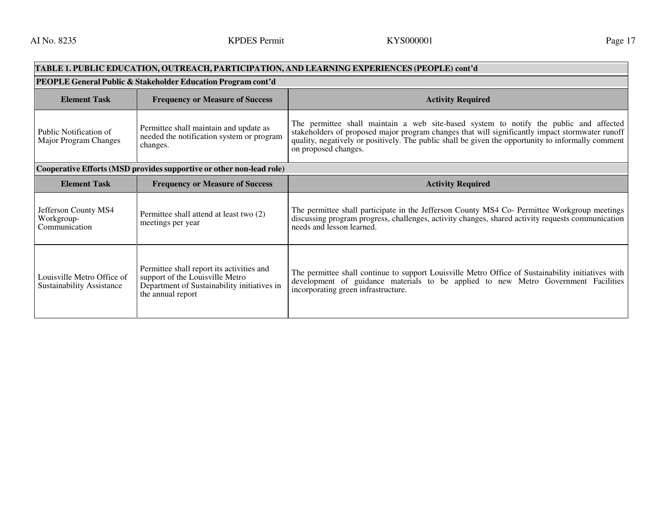| TABLE 1. PUBLIC EDUCATION, OUTREACH, PARTICIPATION, AND LEARNING EXPERIENCES (PEOPLE) cont'd |                                                                                                                                                  |                                                                                                                                                                                                                                                                                                                         |  |
|----------------------------------------------------------------------------------------------|--------------------------------------------------------------------------------------------------------------------------------------------------|-------------------------------------------------------------------------------------------------------------------------------------------------------------------------------------------------------------------------------------------------------------------------------------------------------------------------|--|
| PEOPLE General Public & Stakeholder Education Program cont'd                                 |                                                                                                                                                  |                                                                                                                                                                                                                                                                                                                         |  |
| <b>Element Task</b>                                                                          | <b>Frequency or Measure of Success</b>                                                                                                           | <b>Activity Required</b>                                                                                                                                                                                                                                                                                                |  |
| Public Notification of<br>Major Program Changes                                              | Permittee shall maintain and update as<br>needed the notification system or program<br>changes.                                                  | The permittee shall maintain a web site-based system to notify the public and affected<br>stakeholders of proposed major program changes that will significantly impact stormwater runoff<br>quality, negatively or positively. The public shall be given the opportunity to informally comment<br>on proposed changes. |  |
|                                                                                              | Cooperative Efforts (MSD provides supportive or other non-lead role)                                                                             |                                                                                                                                                                                                                                                                                                                         |  |
| <b>Element Task</b>                                                                          | <b>Frequency or Measure of Success</b>                                                                                                           | <b>Activity Required</b>                                                                                                                                                                                                                                                                                                |  |
| Jefferson County MS4<br>Workgroup-<br>Communication                                          | Permittee shall attend at least two (2)<br>meetings per year                                                                                     | The permittee shall participate in the Jefferson County MS4 Co- Permittee Workgroup meetings<br>discussing program progress, challenges, activity changes, shared activity requests communication<br>needs and lesson learned.                                                                                          |  |
| Louisville Metro Office of<br><b>Sustainability Assistance</b>                               | Permittee shall report its activities and<br>support of the Louisville Metro<br>Department of Sustainability initiatives in<br>the annual report | The permittee shall continue to support Louisville Metro Office of Sustainability initiatives with<br>development of guidance materials to be applied to new Metro Government Facilities<br>incorporating green infrastructure.                                                                                         |  |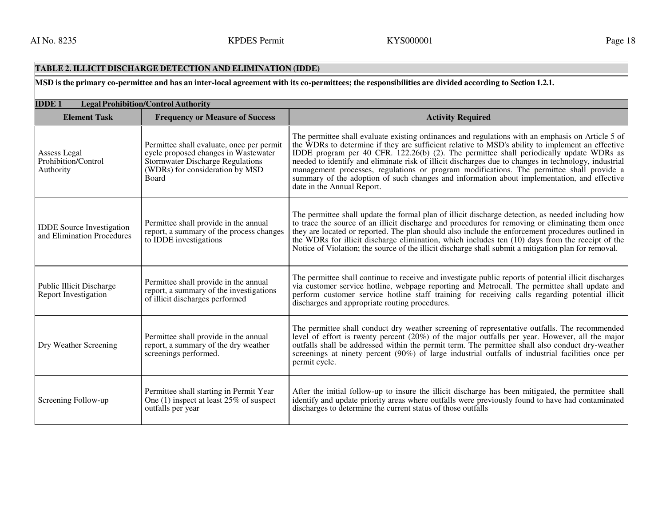# **TABLE 2. ILLICIT DISCHARGE DETECTION AND ELIMINATION (IDDE)**

**MSD is the primary co-permittee and has an inter-local agreement with its co-permittees; the responsibilities are divided according to Section 1.2.1.** 

| <b>IDDE1</b><br><b>Legal Prohibition/Control Authority</b>     |                                                                                                                                                                   |                                                                                                                                                                                                                                                                                                                                                                                                                                                                                                                                                                                                                                    |
|----------------------------------------------------------------|-------------------------------------------------------------------------------------------------------------------------------------------------------------------|------------------------------------------------------------------------------------------------------------------------------------------------------------------------------------------------------------------------------------------------------------------------------------------------------------------------------------------------------------------------------------------------------------------------------------------------------------------------------------------------------------------------------------------------------------------------------------------------------------------------------------|
| <b>Element Task</b>                                            | <b>Frequency or Measure of Success</b>                                                                                                                            | <b>Activity Required</b>                                                                                                                                                                                                                                                                                                                                                                                                                                                                                                                                                                                                           |
| Assess Legal<br>Prohibition/Control<br>Authority               | Permittee shall evaluate, once per permit<br>cycle proposed changes in Wastewater<br>Stormwater Discharge Regulations<br>(WDRs) for consideration by MSD<br>Board | The permittee shall evaluate existing ordinances and regulations with an emphasis on Article 5 of<br>the WDRs to determine if they are sufficient relative to MSD's ability to implement an effective<br>IDDE program per 40 CFR. 122.26(b) (2). The permittee shall periodically update WDRs as<br>needed to identify and eliminate risk of illicit discharges due to changes in technology, industrial<br>management processes, regulations or program modifications. The permittee shall provide a<br>summary of the adoption of such changes and information about implementation, and effective<br>date in the Annual Report. |
| <b>IDDE</b> Source Investigation<br>and Elimination Procedures | Permittee shall provide in the annual<br>report, a summary of the process changes<br>to IDDE investigations                                                       | The permittee shall update the formal plan of illicit discharge detection, as needed including how<br>to trace the source of an illicit discharge and procedures for removing or eliminating them once<br>they are located or reported. The plan should also include the enforcement procedures outlined in<br>the WDRs for illicit discharge elimination, which includes ten (10) days from the receipt of the<br>Notice of Violation; the source of the illicit discharge shall submit a mitigation plan for removal.                                                                                                            |
| <b>Public Illicit Discharge</b><br><b>Report Investigation</b> | Permittee shall provide in the annual<br>report, a summary of the investigations<br>of illicit discharges performed                                               | The permittee shall continue to receive and investigate public reports of potential illicit discharges<br>via customer service hotline, webpage reporting and Metrocall. The permittee shall update and<br>perform customer service hotline staff training for receiving calls regarding potential illicit<br>discharges and appropriate routing procedures.                                                                                                                                                                                                                                                                       |
| Dry Weather Screening                                          | Permittee shall provide in the annual<br>report, a summary of the dry weather<br>screenings performed.                                                            | The permittee shall conduct dry weather screening of representative outfalls. The recommended<br>level of effort is twenty percent (20%) of the major outfalls per year. However, all the major outfalls shall be addressed within the permit term. The permittee shall also conduct dry-weather<br>screenings at ninety percent (90%) of large industrial outfalls of industrial facilities once per<br>permit cycle.                                                                                                                                                                                                             |
| Screening Follow-up                                            | Permittee shall starting in Permit Year<br>One $(1)$ inspect at least 25% of suspect<br>outfalls per year                                                         | After the initial follow-up to insure the illicit discharge has been mitigated, the permittee shall<br>identify and update priority areas where outfalls were previously found to have had contaminated<br>discharges to determine the current status of those outfalls                                                                                                                                                                                                                                                                                                                                                            |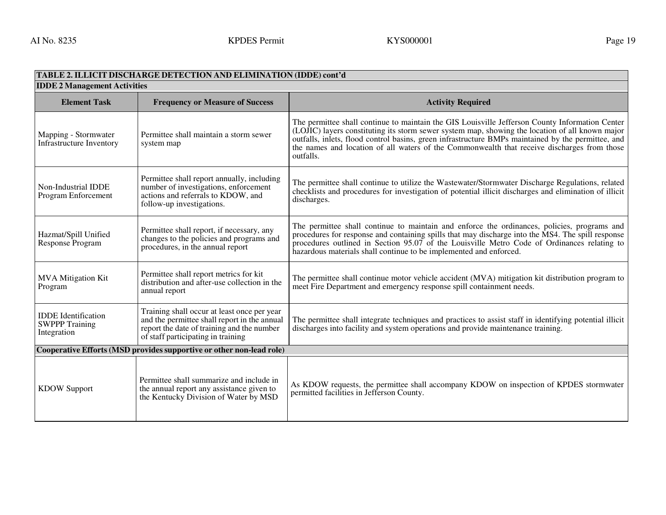#### **TABLE 2. ILLICIT DISCHARGE DETECTION AND ELIMINATION (IDDE) cont'd IDDE 2 Management ActivitiesElement Task Frequency or Measure of Success Activity Required Activity Required Activity Required Activity Required** Mapping - Stormwater Infrastructure Inventory Permittee shall maintain a storm sewer system map The permittee shall continue to maintain the GIS Louisville Jefferson County Information Center (LOJIC) layers constituting its storm sewer system map, showing the location of all known major outfalls, inlets, flood control basins, green infrastructure BMPs maintained by the permittee, and the names and location of all waters of the Commonwealth that receive discharges from those outfalls. Non-Industrial IDDE Program Enforcement Permittee shall report annually, including number of investigations, enforcement actions and referrals to KDOW, and follow-up investigations. The permittee shall continue to utilize the Wastewater/Stormwater Discharge Regulations, related checklists and procedures for investigation of potential illicit discharges and elimination of illicitdischarges. Hazmat/Spill Unified Response Program Permittee shall report, if necessary, any changes to the policies and programs and procedures, in the annual report The permittee shall continue to maintain and enforce the ordinances, policies, programs and procedures for response and containing spills that may discharge into the MS4. The spill response procedures outlined in Section 95.07 of the Louisville Metro Code of Ordinances relating to hazardous materials shall continue to be implemented and enforced. MVA Mitigation Kit Program Permittee shall report metrics for kit distribution and after-use collection in the annual report The permittee shall continue motor vehicle accident (MVA) mitigation kit distribution program to meet Fire Department and emergency response spill containment needs. IDDE Identification SWPPP Training Integration Training shall occur at least once per year and the permittee shall report in the annual report the date of training and the number of staff participating in training The permittee shall integrate techniques and practices to assist staff in identifying potential illicit discharges into facility and system operations and provide maintenance training. **Cooperative Efforts (MSD provides supportive or other non-lead role)** KDOW Support Permittee shall summarize and include in the annual report any assistance given to the Kentucky Division of Water by MSD As KDOW requests, the permittee shall accompany KDOW on inspection of KPDES stormwater permitted facilities in Jefferson County.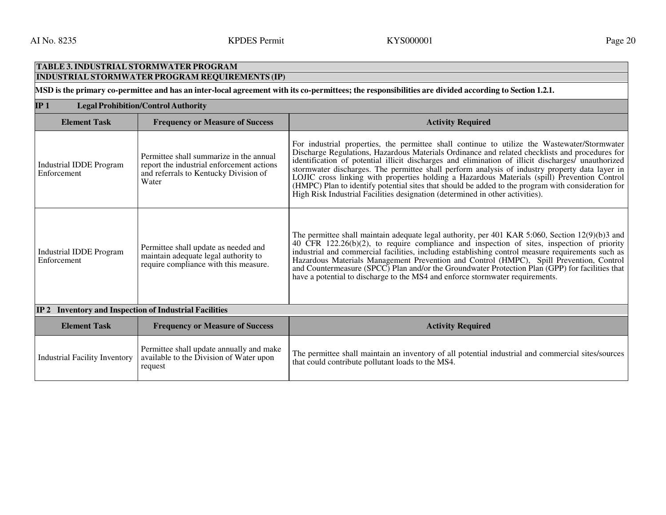#### **TABLE 3. INDUSTRIAL STORMWATER PROGRAM INDUSTRIAL STORMWATER PROGRAM REQUIREMENTS (IP) MSD is the primary co-permittee and has an inter-local agreement with its co-permittees; the responsibilities are divided according to Section 1.2.1. IP 1 Legal Prohibition/Control AuthorityElement Task Frequency or Measure of Success Activity Required Activity Required Activity Required Activity Required** Industrial IDDE Program Enforcement Permittee shall summarize in the annual report the industrial enforcement actions and referrals to Kentucky Division of Water For industrial properties, the permittee shall continue to utilize the Wastewater/Stormwater Discharge Regulations, Hazardous Materials Ordinance and related checklists and procedures for identification of potential illicit discharges and elimination of illicit discharges/ unauthorized stormwater discharges. The permittee shall perform analysis of industry property data layer in LOJIC cross linking with properties holding a Hazardous Materials (spill) Prevention Control (HMPC) Plan to identify potential sites that should be added to the program with consideration for High Risk Industrial Facilities designation (determined in other activities). Industrial IDDE Program Enforcement Permittee shall update as needed and maintain adequate legal authority to require compliance with this measure. The permittee shall maintain adequate legal authority, per 401 KAR 5:060, Section 12(9)(b)3 and 40 CFR 122.26(b)(2), to require compliance and inspection of sites, inspection of priority industrial and commercial facilities, including establishing control measure requirements such as Hazardous Materials Management Prevention and Control (HMPC), Spill Prevention, Control and Countermeasure (SPCC) Plan and/or the Groundwater Protection Plan (GPP) for facilities that have a potential to discharge to the MS4 and enforce stormwater requirements. **IP 2 Inventory and Inspection of Industrial FacilitiesElement Task Frequency or Measure of Success Activity Required Activity Required Activity Required Activity Required** Industrial Facility Inventory Permittee shall update annually and make available to the Division of Water upon request The permittee shall maintain an inventory of all potential industrial and commercial sites/sources that could contribute pollutant loads to the MS4.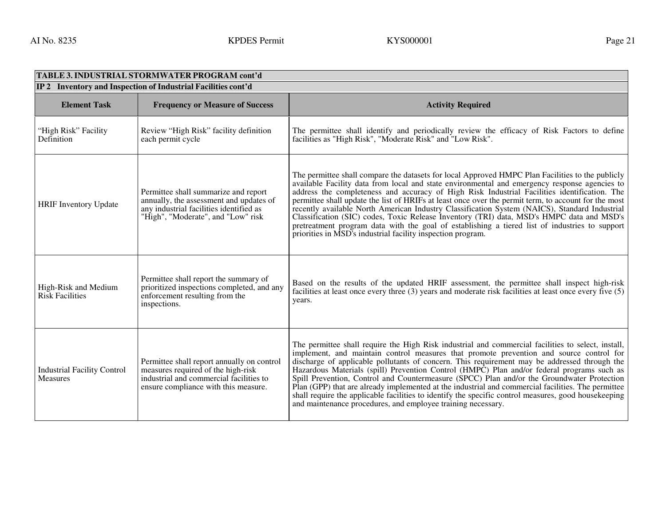| TABLE 3. INDUSTRIAL STORMWATER PROGRAM cont'd                 |                                                                                                                                                                     |                                                                                                                                                                                                                                                                                                                                                                                                                                                                                                                                                                                                                                                                                                                                                                          |  |
|---------------------------------------------------------------|---------------------------------------------------------------------------------------------------------------------------------------------------------------------|--------------------------------------------------------------------------------------------------------------------------------------------------------------------------------------------------------------------------------------------------------------------------------------------------------------------------------------------------------------------------------------------------------------------------------------------------------------------------------------------------------------------------------------------------------------------------------------------------------------------------------------------------------------------------------------------------------------------------------------------------------------------------|--|
| IP 2 Inventory and Inspection of Industrial Facilities cont'd |                                                                                                                                                                     |                                                                                                                                                                                                                                                                                                                                                                                                                                                                                                                                                                                                                                                                                                                                                                          |  |
| <b>Element Task</b>                                           | <b>Frequency or Measure of Success</b>                                                                                                                              | <b>Activity Required</b>                                                                                                                                                                                                                                                                                                                                                                                                                                                                                                                                                                                                                                                                                                                                                 |  |
| "High Risk" Facility<br>Definition                            | Review "High Risk" facility definition<br>each permit cycle                                                                                                         | The permittee shall identify and periodically review the efficacy of Risk Factors to define<br>facilities as "High Risk", "Moderate Risk" and "Low Risk".                                                                                                                                                                                                                                                                                                                                                                                                                                                                                                                                                                                                                |  |
| <b>HRIF Inventory Update</b>                                  | Permittee shall summarize and report<br>annually, the assessment and updates of<br>any industrial facilities identified as<br>"High", "Moderate", and "Low" risk    | The permittee shall compare the datasets for local Approved HMPC Plan Facilities to the publicly<br>available Facility data from local and state environmental and emergency response agencies to<br>address the completeness and accuracy of High Risk Industrial Facilities identification. The<br>permittee shall update the list of HRIFs at least once over the permit term, to account for the most<br>recently available North American Industry Classification System (NAICS), Standard Industrial<br>Classification (SIC) codes, Toxic Release Inventory (TRI) data, MSD's HMPC data and MSD's<br>pretreatment program data with the goal of establishing a tiered list of industries to support<br>priorities in MSD's industrial facility inspection program. |  |
| High-Risk and Medium<br><b>Risk Facilities</b>                | Permittee shall report the summary of<br>prioritized inspections completed, and any<br>enforcement resulting from the<br>inspections.                               | Based on the results of the updated HRIF assessment, the permittee shall inspect high-risk<br>facilities at least once every three (3) years and moderate risk facilities at least once every five (5)<br>years.                                                                                                                                                                                                                                                                                                                                                                                                                                                                                                                                                         |  |
| <b>Industrial Facility Control</b><br><b>Measures</b>         | Permittee shall report annually on control<br>measures required of the high-risk<br>industrial and commercial facilities to<br>ensure compliance with this measure. | The permittee shall require the High Risk industrial and commercial facilities to select, install,<br>implement, and maintain control measures that promote prevention and source control for<br>discharge of applicable pollutants of concern. This requirement may be addressed through the<br>Hazardous Materials (spill) Prevention Control (HMPC) Plan and/or federal programs such as<br>Spill Prevention, Control and Countermeasure (SPCC) Plan and/or the Groundwater Protection<br>Plan (GPP) that are already implemented at the industrial and commercial facilities. The permittee<br>shall require the applicable facilities to identify the specific control measures, good housekeeping<br>and maintenance procedures, and employee training necessary.  |  |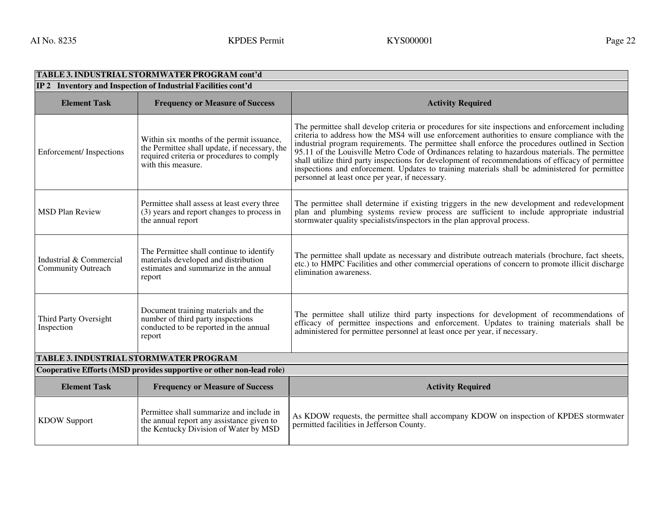| TABLE 3. INDUSTRIAL STORMWATER PROGRAM cont'd                        |                                                                                                                                                               |                                                                                                                                                                                                                                                                                                                                                                                                                                                                                                                                                                                                                                                                  |  |
|----------------------------------------------------------------------|---------------------------------------------------------------------------------------------------------------------------------------------------------------|------------------------------------------------------------------------------------------------------------------------------------------------------------------------------------------------------------------------------------------------------------------------------------------------------------------------------------------------------------------------------------------------------------------------------------------------------------------------------------------------------------------------------------------------------------------------------------------------------------------------------------------------------------------|--|
| IP 2 Inventory and Inspection of Industrial Facilities cont'd        |                                                                                                                                                               |                                                                                                                                                                                                                                                                                                                                                                                                                                                                                                                                                                                                                                                                  |  |
| <b>Element Task</b>                                                  | <b>Frequency or Measure of Success</b>                                                                                                                        | <b>Activity Required</b>                                                                                                                                                                                                                                                                                                                                                                                                                                                                                                                                                                                                                                         |  |
| Enforcement/Inspections                                              | Within six months of the permit issuance,<br>the Permittee shall update, if necessary, the<br>required criteria or procedures to comply<br>with this measure. | The permittee shall develop criteria or procedures for site inspections and enforcement including<br>criteria to address how the MS4 will use enforcement authorities to ensure compliance with the<br>industrial program requirements. The permittee shall enforce the procedures outlined in Section<br>95.11 of the Louisville Metro Code of Ordinances relating to hazardous materials. The permittee<br>shall utilize third party inspections for development of recommendations of efficacy of permittee inspections and enforcement. Updates to training materials shall be administered for permittee<br>personnel at least once per year, if necessary. |  |
| <b>MSD Plan Review</b>                                               | Permittee shall assess at least every three<br>(3) years and report changes to process in<br>the annual report                                                | The permittee shall determine if existing triggers in the new development and redevelopment<br>plan and plumbing systems review process are sufficient to include appropriate industrial<br>stormwater quality specialists/inspectors in the plan approval process.                                                                                                                                                                                                                                                                                                                                                                                              |  |
| Industrial & Commercial<br><b>Community Outreach</b>                 | The Permittee shall continue to identify<br>materials developed and distribution<br>estimates and summarize in the annual<br>report                           | The permittee shall update as necessary and distribute outreach materials (brochure, fact sheets,<br>etc.) to HMPC Facilities and other commercial operations of concern to promote illicit discharge<br>elimination awareness.                                                                                                                                                                                                                                                                                                                                                                                                                                  |  |
| Third Party Oversight<br>Inspection                                  | Document training materials and the<br>number of third party inspections<br>conducted to be reported in the annual<br>report                                  | The permittee shall utilize third party inspections for development of recommendations of<br>efficacy of permittee inspections and enforcement. Updates to training materials shall be<br>administered for permittee personnel at least once per year, if necessary.                                                                                                                                                                                                                                                                                                                                                                                             |  |
| <b>TABLE 3. INDUSTRIAL STORMWATER PROGRAM</b>                        |                                                                                                                                                               |                                                                                                                                                                                                                                                                                                                                                                                                                                                                                                                                                                                                                                                                  |  |
| Cooperative Efforts (MSD provides supportive or other non-lead role) |                                                                                                                                                               |                                                                                                                                                                                                                                                                                                                                                                                                                                                                                                                                                                                                                                                                  |  |
| <b>Element Task</b>                                                  | <b>Frequency or Measure of Success</b>                                                                                                                        | <b>Activity Required</b>                                                                                                                                                                                                                                                                                                                                                                                                                                                                                                                                                                                                                                         |  |
| <b>KDOW Support</b>                                                  | Permittee shall summarize and include in<br>the annual report any assistance given to<br>the Kentucky Division of Water by MSD                                | As KDOW requests, the permittee shall accompany KDOW on inspection of KPDES stormwater<br>permitted facilities in Jefferson County.                                                                                                                                                                                                                                                                                                                                                                                                                                                                                                                              |  |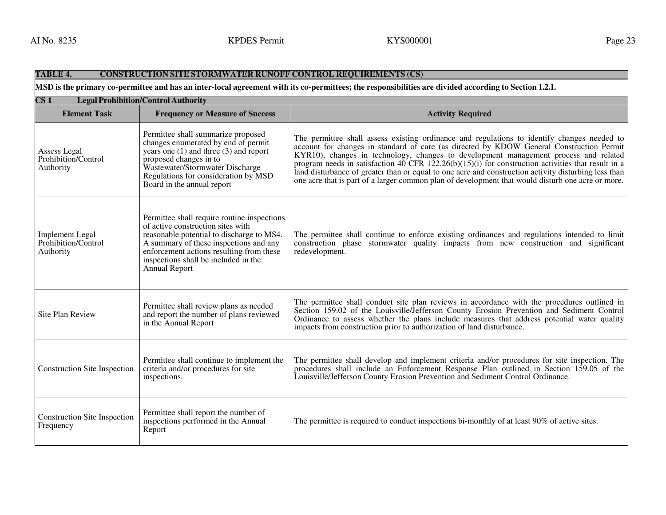#### **TABLE 4. CONSTRUCTION SITE STORMWATER RUNOFF CONTROL REQUIREMENTS (CS) MSD is the primary co-permittee and has an inter-local agreement with its co-permittees; the responsibilities are divided according to Section 1.2.1. CS <sup>1</sup> Legal Prohibition/Control Authority Element Task Frequency or Measure of Success Activity Required Activity Required Activity Required** Assess Legal Prohibition/Control Authority Permittee shall summarize proposed changes enumerated by end of permit years one (1) and three (3) and report proposed changes in to Wastewater/Stormwater Discharge Regulations for consideration by MSD Board in the annual report The permittee shall assess existing ordinance and regulations to identify changes needed to account for changes in standard of care (as directed by KDOW General Construction Permit KYR10), changes in technology, changes to development management process and related program needs in satisfaction 40 CFR  $122.26(b)(15)(i)$  for construction activities that result in a land disturbance of greater than or equal to one acre and construction activity disturbing less than one acre that is part of a larger common plan of development that would disturb one acre or more. Implement Legal Prohibition/Control Authority Permittee shall require routine inspections of active construction sites with reasonable potential to discharge to MS4. A summary of these inspections and any enforcement actions resulting from these inspections shall be included in the Annual Report The permittee shall continue to enforce existing ordinances and regulations intended to limit construction phase stormwater quality impacts from new construction and significant redevelopment. Site Plan Review Permittee shall review plans as needed and report the number of plans reviewed in the Annual Report The permittee shall conduct site plan reviews in accordance with the procedures outlined in Section 159.02 of the Louisville/Jefferson County Erosion Prevention and Sediment Control Ordinance to assess whether the plans include measures that address potential water quality impacts from construction prior to authorization of land disturbance. Construction Site Inspection Permittee shall continue to implement the criteria and/or procedures for site inspections. The permittee shall develop and implement criteria and/or procedures for site inspection. The procedures shall include an Enforcement Response Plan outlined in Section 159.05 of the Louisville/Jefferson County Erosion Prevention and Sediment Control Ordinance. Construction Site Inspection Frequency Permittee shall report the number of inspections performed in the Annual Report The permittee is required to conduct inspections bi-monthly of at least 90% of active sites.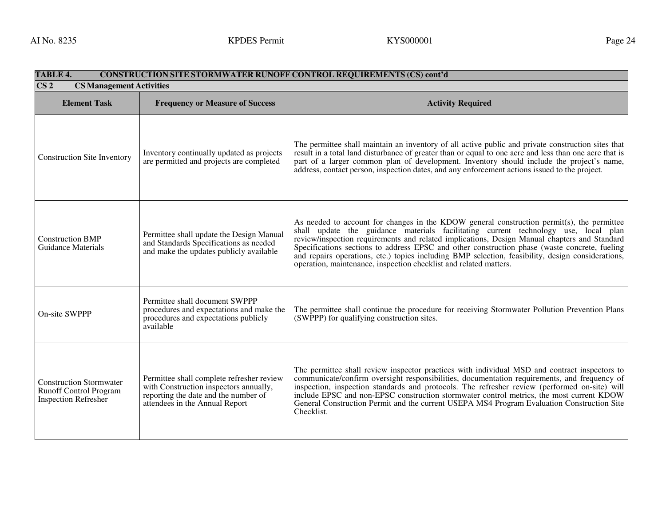| TABLE 4.<br><b>CONSTRUCTION SITE STORMWATER RUNOFF CONTROL REQUIREMENTS (CS) cont'd</b>        |                                                                                                                                                               |                                                                                                                                                                                                                                                                                                                                                                                                                                                                                                                                                              |
|------------------------------------------------------------------------------------------------|---------------------------------------------------------------------------------------------------------------------------------------------------------------|--------------------------------------------------------------------------------------------------------------------------------------------------------------------------------------------------------------------------------------------------------------------------------------------------------------------------------------------------------------------------------------------------------------------------------------------------------------------------------------------------------------------------------------------------------------|
| CS <sub>2</sub><br><b>CS Management Activities</b>                                             |                                                                                                                                                               |                                                                                                                                                                                                                                                                                                                                                                                                                                                                                                                                                              |
| <b>Element Task</b>                                                                            | <b>Frequency or Measure of Success</b>                                                                                                                        | <b>Activity Required</b>                                                                                                                                                                                                                                                                                                                                                                                                                                                                                                                                     |
| <b>Construction Site Inventory</b>                                                             | Inventory continually updated as projects<br>are permitted and projects are completed                                                                         | The permittee shall maintain an inventory of all active public and private construction sites that<br>result in a total land disturbance of greater than or equal to one acre and less than one acre that is<br>part of a larger common plan of development. Inventory should include the project's name,<br>address, contact person, inspection dates, and any enforcement actions issued to the project.                                                                                                                                                   |
| <b>Construction BMP</b><br>Guidance Materials                                                  | Permittee shall update the Design Manual<br>and Standards Specifications as needed<br>and make the updates publicly available                                 | As needed to account for changes in the KDOW general construction permit(s), the permittee<br>shall update the guidance materials facilitating current technology use, local plan<br>review/inspection requirements and related implications, Design Manual chapters and Standard<br>Specifications sections to address EPSC and other construction phase (waste concrete, fueling<br>and repairs operations, etc.) topics including BMP selection, feasibility, design considerations,<br>operation, maintenance, inspection checklist and related matters. |
| On-site SWPPP                                                                                  | Permittee shall document SWPPP<br>procedures and expectations and make the<br>procedures and expectations publicly<br>available                               | The permittee shall continue the procedure for receiving Stormwater Pollution Prevention Plans<br>(SWPPP) for qualifying construction sites.                                                                                                                                                                                                                                                                                                                                                                                                                 |
| <b>Construction Stormwater</b><br><b>Runoff Control Program</b><br><b>Inspection Refresher</b> | Permittee shall complete refresher review<br>with Construction inspectors annually,<br>reporting the date and the number of<br>attendees in the Annual Report | The permittee shall review inspector practices with individual MSD and contract inspectors to<br>communicate/confirm oversight responsibilities, documentation requirements, and frequency of<br>inspection, inspection standards and protocols. The refresher review (performed on-site) will<br>include EPSC and non-EPSC construction stormwater control metrics, the most current KDOW<br>General Construction Permit and the current USEPA MS4 Program Evaluation Construction Site<br>Checklist.                                                       |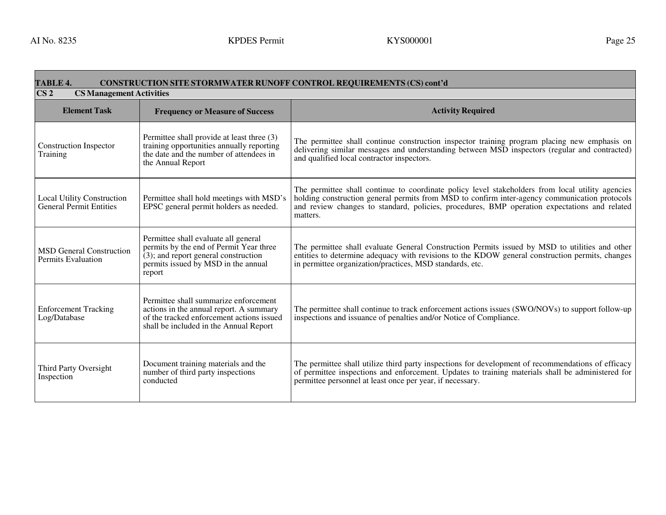#### **TABLE 4. CONSTRUCTION SITE STORMWATER RUNOFF CONTROL REQUIREMENTS (CS) cont'dCS 2 CS Management ActivitiesElement TaskFrequency or Measure of Success and Success and Superior Section Activity Required** Construction Inspector Training Permittee shall provide at least three (3) training opportunities annually reporting the date and the number of attendees in the Annual Report The permittee shall continue construction inspector training program placing new emphasis on delivering similar messages and understanding between MSD inspectors (regular and contracted) and qualified local contractor inspectors. Local Utility Construction General Permit Entities Permittee shall hold meetings with MSD's EPSC general permit holders as needed. The permittee shall continue to coordinate policy level stakeholders from local utility agencies holding construction general permits from MSD to confirm inter-agency communication protocols and review changes to standard, policies, procedures, BMP operation expectations and related matters. MSD General Construction Permits Evaluation Permittee shall evaluate all general permits by the end of Permit Year three (3); and report general construction permits issued by MSD in the annual report The permittee shall evaluate General Construction Permits issued by MSD to utilities and other entities to determine adequacy with revisions to the KDOW general construction permits, changes in permittee organization/practices, MSD standards, etc. Enforcement Tracking Log/Database Permittee shall summarize enforcement actions in the annual report. A summary of the tracked enforcement actions issued shall be included in the Annual Report The permittee shall continue to track enforcement actions issues (SWO/NOVs) to support follow-up inspections and issuance of penalties and/or Notice of Compliance. Third Party Oversight Inspection Document training materials and the number of third party inspections conducted The permittee shall utilize third party inspections for development of recommendations of efficacy of permittee inspections and enforcement. Updates to training materials shall be administered for permittee personnel at least once per year, if necessary.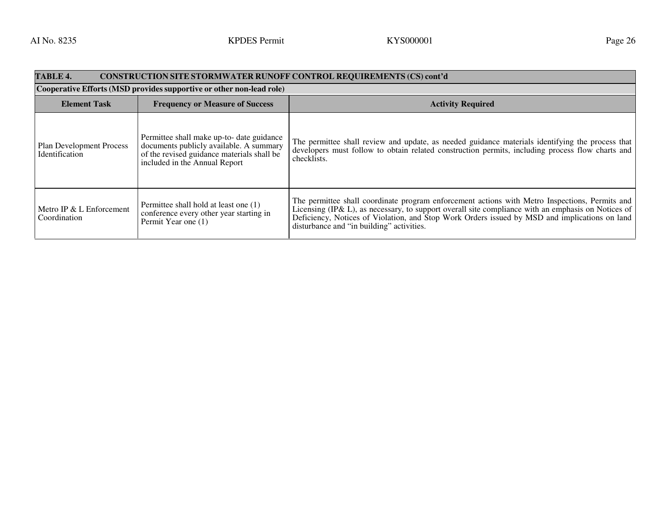| TABLE 4.<br><b>CONSTRUCTION SITE STORMWATER RUNOFF CONTROL REQUIREMENTS (CS) cont'd</b> |                                                                                                                                                                     |                                                                                                                                                                                                                                                                                                                                                    |  |
|-----------------------------------------------------------------------------------------|---------------------------------------------------------------------------------------------------------------------------------------------------------------------|----------------------------------------------------------------------------------------------------------------------------------------------------------------------------------------------------------------------------------------------------------------------------------------------------------------------------------------------------|--|
| Cooperative Efforts (MSD provides supportive or other non-lead role)                    |                                                                                                                                                                     |                                                                                                                                                                                                                                                                                                                                                    |  |
| <b>Element Task</b>                                                                     | <b>Frequency or Measure of Success</b>                                                                                                                              | <b>Activity Required</b>                                                                                                                                                                                                                                                                                                                           |  |
| <b>Plan Development Process</b><br>Identification                                       | Permittee shall make up-to- date guidance<br>documents publicly available. A summary<br>of the revised guidance materials shall be<br>included in the Annual Report | The permittee shall review and update, as needed guidance materials identifying the process that<br>developers must follow to obtain related construction permits, including process flow charts and<br>checklists.                                                                                                                                |  |
| Metro IP & L Enforcement<br>Coordination                                                | Permittee shall hold at least one (1)<br>conference every other year starting in<br>Permit Year one (1)                                                             | The permittee shall coordinate program enforcement actions with Metro Inspections, Permits and<br>Licensing (IP& L), as necessary, to support overall site compliance with an emphasis on Notices of<br>Deficiency, Notices of Violation, and Stop Work Orders issued by MSD and implications on land<br>disturbance and "in building" activities. |  |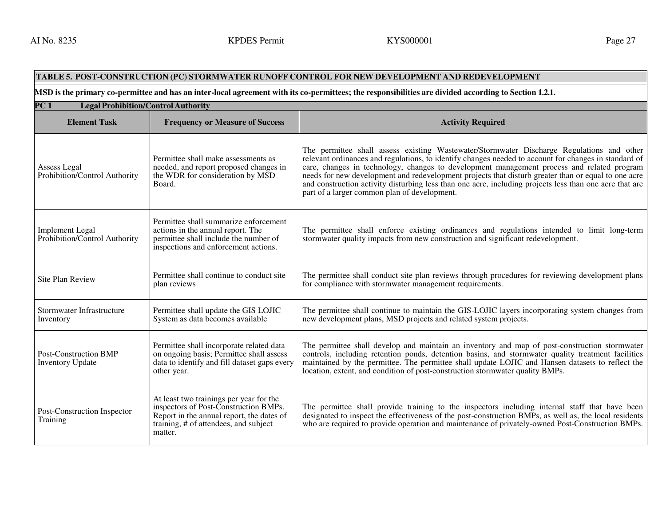#### **TABLE 5. POST-CONSTRUCTION (PC) STORMWATER RUNOFF CONTROL FOR NEW DEVELOPMENT AND REDEVELOPMENT**

#### **MSD is the primary co-permittee and has an inter-local agreement with its co-permittees; the responsibilities are divided according to Section 1.2.1.**

| PC 1<br><b>Legal Prohibition/Control Authority</b>      |                                                                                                                                                                                   |                                                                                                                                                                                                                                                                                                                                                                                                                                                                                                                                                                    |
|---------------------------------------------------------|-----------------------------------------------------------------------------------------------------------------------------------------------------------------------------------|--------------------------------------------------------------------------------------------------------------------------------------------------------------------------------------------------------------------------------------------------------------------------------------------------------------------------------------------------------------------------------------------------------------------------------------------------------------------------------------------------------------------------------------------------------------------|
| <b>Element Task</b>                                     | <b>Frequency or Measure of Success</b>                                                                                                                                            | <b>Activity Required</b>                                                                                                                                                                                                                                                                                                                                                                                                                                                                                                                                           |
| Assess Legal<br>Prohibition/Control Authority           | Permittee shall make assessments as<br>needed, and report proposed changes in<br>the WDR for consideration by MSD<br>Board.                                                       | The permittee shall assess existing Wastewater/Stormwater Discharge Regulations and other<br>relevant ordinances and regulations, to identify changes needed to account for changes in standard of<br>care, changes in technology, changes to development management process and related program<br>needs for new development and redevelopment projects that disturb greater than or equal to one acre<br>and construction activity disturbing less than one acre, including projects less than one acre that are<br>part of a larger common plan of development. |
| <b>Implement Legal</b><br>Prohibition/Control Authority | Permittee shall summarize enforcement<br>actions in the annual report. The<br>permittee shall include the number of<br>inspections and enforcement actions.                       | The permittee shall enforce existing ordinances and regulations intended to limit long-term<br>stormwater quality impacts from new construction and significant redevelopment.                                                                                                                                                                                                                                                                                                                                                                                     |
| <b>Site Plan Review</b>                                 | Permittee shall continue to conduct site<br>plan reviews                                                                                                                          | The permittee shall conduct site plan reviews through procedures for reviewing development plans<br>for compliance with stormwater management requirements.                                                                                                                                                                                                                                                                                                                                                                                                        |
| Stormwater Infrastructure<br>Inventory                  | Permittee shall update the GIS LOJIC<br>System as data becomes available                                                                                                          | The permittee shall continue to maintain the GIS-LOJIC layers incorporating system changes from<br>new development plans, MSD projects and related system projects.                                                                                                                                                                                                                                                                                                                                                                                                |
| <b>Post-Construction BMP</b><br><b>Inventory Update</b> | Permittee shall incorporate related data<br>on ongoing basis; Permittee shall assess<br>data to identify and fill dataset gaps every<br>other year.                               | The permittee shall develop and maintain an inventory and map of post-construction stormwater<br>controls, including retention ponds, detention basins, and stormwater quality treatment facilities<br>maintained by the permittee. The permittee shall update LOJIC and Hansen datasets to reflect the<br>location, extent, and condition of post-construction stormwater quality BMPs.                                                                                                                                                                           |
| Post-Construction Inspector<br>Training                 | At least two trainings per year for the<br>inspectors of Post-Construction BMPs.<br>Report in the annual report, the dates of<br>training, # of attendees, and subject<br>matter. | The permittee shall provide training to the inspectors including internal staff that have been<br>designated to inspect the effectiveness of the post-construction BMPs, as well as, the local residents<br>who are required to provide operation and maintenance of privately-owned Post-Construction BMPs.                                                                                                                                                                                                                                                       |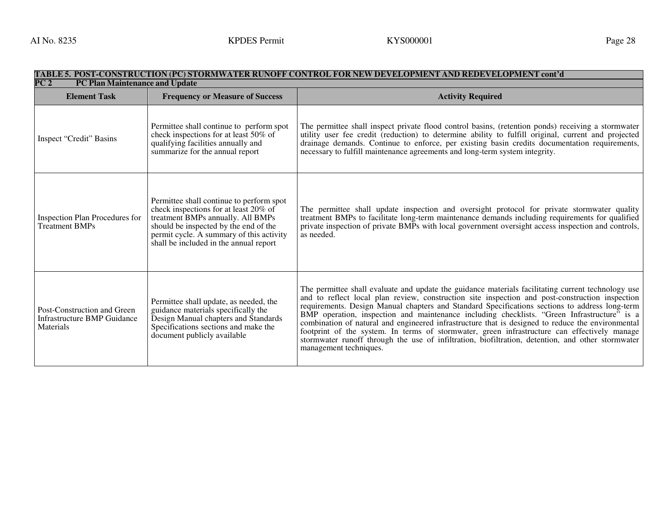#### **TABLE 5. POST-CONSTRUCTION (PC) STORMWATER RUNOFF CONTROL FOR NEW DEVELOPMENT AND REDEVELOPMENT cont'd PC2 PC Plan Maintenance and Update Element Task Frequency or Measure of Success Activity Required Activity Required Activity Required Activity Required** Inspect "Credit" Basins Permittee shall continue to perform spot check inspections for at least 50% of qualifying facilities annually and summarize for the annual report The permittee shall inspect private flood control basins, (retention ponds) receiving a stormwater utility user fee credit (reduction) to determine ability to fulfill original, current and projected drainage demands. Continue to enforce, per existing basin credits documentation requirements, necessary to fulfill maintenance agreements and long-term system integrity. Inspection Plan Procedures for Treatment BMPs Permittee shall continue to perform spot check inspections for at least 20% of treatment BMPs annually. All BMPs should be inspected by the end of the permit cycle. A summary of this activity shall be included in the annual report The permittee shall update inspection and oversight protocol for private stormwater quality treatment BMPs to facilitate long-term maintenance demands including requirements for qualified private inspection of private BMPs with local government oversight access inspection and controls, as needed. Post-Construction and Green Infrastructure BMP Guidance **Materials** Permittee shall update, as needed, the guidance materials specifically the Design Manual chapters and Standards Specifications sections and make the document publicly available The permittee shall evaluate and update the guidance materials facilitating current technology use and to reflect local plan review, construction site inspection and post-construction inspection requirements. Design Manual chapters and Standard Specifications sections to address long-term BMP operation, inspection and maintenance including checklists. "Green Infrastructure" is a combination of natural and engineered infrastructure that is designed to reduce the environmental footprint of the system. In terms of stormwater, green infrastructure can effectively manage stormwater runoff through the use of infiltration, biofiltration, detention, and other stormwater management techniques.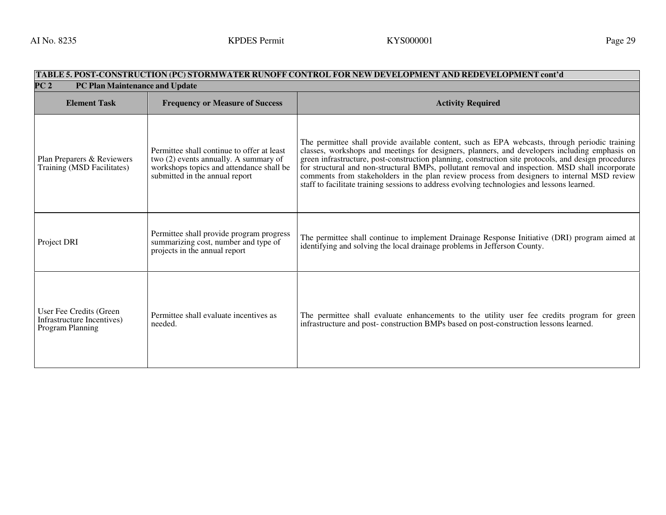# TABLE 5. POST-CONSTRUCTION (PC) STORMWATER RUNOFF CONTROL FOR NEW DEVELOPMENT AND REDEVELOPMENT cont'd<br>PC 2 PC Plan Maintenance and Update

| ⊥∪∠<br><u>I C I lall Mallitenance and Opuate</u>                          |                                                                                                                                                                   |                                                                                                                                                                                                                                                                                                                                                                                                                                                                                                                                                                                                          |
|---------------------------------------------------------------------------|-------------------------------------------------------------------------------------------------------------------------------------------------------------------|----------------------------------------------------------------------------------------------------------------------------------------------------------------------------------------------------------------------------------------------------------------------------------------------------------------------------------------------------------------------------------------------------------------------------------------------------------------------------------------------------------------------------------------------------------------------------------------------------------|
| <b>Element Task</b>                                                       | <b>Frequency or Measure of Success</b>                                                                                                                            | <b>Activity Required</b>                                                                                                                                                                                                                                                                                                                                                                                                                                                                                                                                                                                 |
| Plan Preparers & Reviewers<br>Training (MSD Facilitates)                  | Permittee shall continue to offer at least<br>two (2) events annually. A summary of<br>workshops topics and attendance shall be<br>submitted in the annual report | The permittee shall provide available content, such as EPA webcasts, through periodic training<br>classes, workshops and meetings for designers, planners, and developers including emphasis on<br>green infrastructure, post-construction planning, construction site protocols, and design procedures<br>For structural and non-structural BMPs, pollutant removal and inspection. MSD shall incorporate<br>comments from stakeholders in the plan review process from designers to internal MSD review<br>staff to facilitate training sessions to address evolving technologies and lessons learned. |
| Project DRI                                                               | Permittee shall provide program progress<br>summarizing cost, number and type of<br>projects in the annual report                                                 | The permittee shall continue to implement Drainage Response Initiative (DRI) program aimed at<br>identifying and solving the local drainage problems in Jefferson County.                                                                                                                                                                                                                                                                                                                                                                                                                                |
| User Fee Credits (Green<br>Infrastructure Incentives)<br>Program Planning | Permittee shall evaluate incentives as<br>needed.                                                                                                                 | The permittee shall evaluate enhancements to the utility user fee credits program for green<br>infrastructure and post-construction BMPs based on post-construction lessons learned.                                                                                                                                                                                                                                                                                                                                                                                                                     |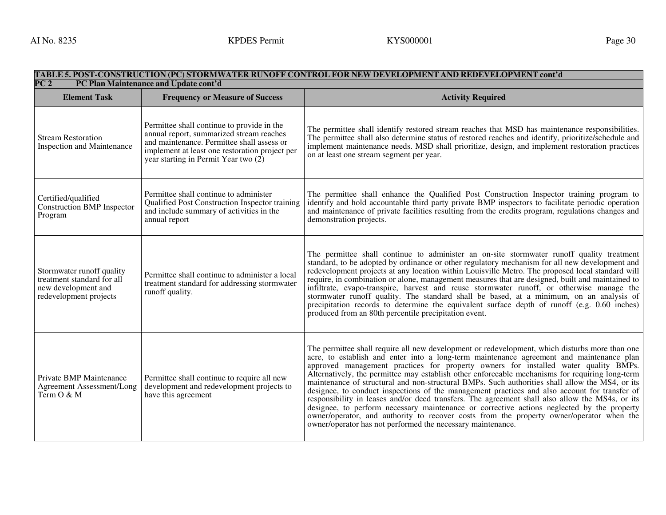| TABLE 5. POST-CONSTRUCTION (PC) STORMWATER RUNOFF CONTROL FOR NEW DEVELOPMENT AND REDEVELOPMENT cont'd<br>$\overline{PC2}$<br>PC Plan Maintenance and Update cont'd |                                                                                                                                                                                                                                  |                                                                                                                                                                                                                                                                                                                                                                                                                                                                                                                                                                                                                                                                                                                                                                                                                                                                                                                                                      |  |
|---------------------------------------------------------------------------------------------------------------------------------------------------------------------|----------------------------------------------------------------------------------------------------------------------------------------------------------------------------------------------------------------------------------|------------------------------------------------------------------------------------------------------------------------------------------------------------------------------------------------------------------------------------------------------------------------------------------------------------------------------------------------------------------------------------------------------------------------------------------------------------------------------------------------------------------------------------------------------------------------------------------------------------------------------------------------------------------------------------------------------------------------------------------------------------------------------------------------------------------------------------------------------------------------------------------------------------------------------------------------------|--|
| <b>Element Task</b>                                                                                                                                                 | <b>Frequency or Measure of Success</b>                                                                                                                                                                                           | <b>Activity Required</b>                                                                                                                                                                                                                                                                                                                                                                                                                                                                                                                                                                                                                                                                                                                                                                                                                                                                                                                             |  |
| <b>Stream Restoration</b><br>Inspection and Maintenance                                                                                                             | Permittee shall continue to provide in the<br>annual report, summarized stream reaches<br>and maintenance. Permittee shall assess or<br>implement at least one restoration project per<br>year starting in Permit Year two $(2)$ | The permittee shall identify restored stream reaches that MSD has maintenance responsibilities.<br>The permittee shall also determine status of restored reaches and identify, prioritize/schedule and<br>implement maintenance needs. MSD shall prioritize, design, and implement restoration practices<br>on at least one stream segment per year.                                                                                                                                                                                                                                                                                                                                                                                                                                                                                                                                                                                                 |  |
| Certified/qualified<br>Construction BMP Inspector<br>Program                                                                                                        | Permittee shall continue to administer<br>Qualified Post Construction Inspector training<br>and include summary of activities in the<br>annual report                                                                            | The permittee shall enhance the Qualified Post Construction Inspector training program to<br>identify and hold accountable third party private BMP inspectors to facilitate periodic operation<br>and maintenance of private facilities resulting from the credits program, regulations changes and<br>demonstration projects.                                                                                                                                                                                                                                                                                                                                                                                                                                                                                                                                                                                                                       |  |
| Stormwater runoff quality<br>treatment standard for all<br>new development and<br>redevelopment projects                                                            | Permittee shall continue to administer a local<br>treatment standard for addressing stormwater<br>runoff quality.                                                                                                                | The permittee shall continue to administer an on-site stormwater runoff quality treatment<br>standard, to be adopted by ordinance or other regulatory mechanism for all new development and<br>redevelopment projects at any location within Louisville Metro. The proposed local standard will<br>require, in combination or alone, management measures that are designed, built and maintained to<br>infiltrate, evapo-transpire, harvest and reuse stormwater runoff, or otherwise manage the<br>stormwater runoff quality. The standard shall be based, at a minimum, on an analysis of<br>precipitation records to determine the equivalent surface depth of runoff (e.g. 0.60 inches)<br>produced from an 80th percentile precipitation event.                                                                                                                                                                                                 |  |
| Private BMP Maintenance<br>Agreement Assessment/Long<br>Term O & M                                                                                                  | Permittee shall continue to require all new<br>development and redevelopment projects to<br>have this agreement                                                                                                                  | The permittee shall require all new development or redevelopment, which disturbs more than one<br>acre, to establish and enter into a long-term maintenance agreement and maintenance plan<br>approved management practices for property owners for installed water quality BMPs.<br>Alternatively, the permittee may establish other enforceable mechanisms for requiring long-term<br>maintenance of structural and non-structural BMPs. Such authorities shall allow the MS4, or its<br>designee, to conduct inspections of the management practices and also account for transfer of<br>responsibility in leases and/or deed transfers. The agreement shall also allow the MS4s, or its<br>designee, to perform necessary maintenance or corrective actions neglected by the property<br>owner/operator, and authority to recover costs from the property owner/operator when the<br>owner/operator has not performed the necessary maintenance. |  |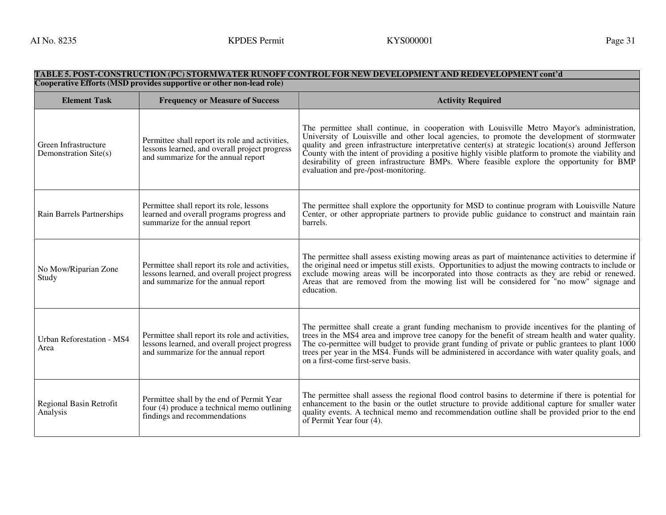# TABLE 5. POST-CONSTRUCTION (PC) STORMWATER RUNOFF CONTROL FOR NEW DEVELOPMENT AND REDEVELOPMENT cont'd<br>Cooperative Efforts (MSD provides supportive or other non-lead role)

| <b>Element Task</b>                           | <b>Frequency or Measure of Success</b>                                                                                                  | <b>Activity Required</b>                                                                                                                                                                                                                                                                                                                                                                                                                                                                                                                     |
|-----------------------------------------------|-----------------------------------------------------------------------------------------------------------------------------------------|----------------------------------------------------------------------------------------------------------------------------------------------------------------------------------------------------------------------------------------------------------------------------------------------------------------------------------------------------------------------------------------------------------------------------------------------------------------------------------------------------------------------------------------------|
| Green Infrastructure<br>Demonstration Site(s) | Permittee shall report its role and activities,<br>lessons learned, and overall project progress<br>and summarize for the annual report | The permittee shall continue, in cooperation with Louisville Metro Mayor's administration,<br>University of Louisville and other local agencies, to promote the development of stormwater<br>quality and green infrastructure interpretative center(s) at strategic location(s) around Jefferson<br>County with the intent of providing a positive highly visible platform to promote the viability and<br>desirability of green infrastructure BMPs. Where feasible explore the opportunity for BMP<br>evaluation and pre-/post-monitoring. |
| Rain Barrels Partnerships                     | Permittee shall report its role, lessons<br>learned and overall programs progress and<br>summarize for the annual report                | The permittee shall explore the opportunity for MSD to continue program with Louisville Nature<br>Center, or other appropriate partners to provide public guidance to construct and maintain rain<br>barrels.                                                                                                                                                                                                                                                                                                                                |
| No Mow/Riparian Zone<br>Study                 | Permittee shall report its role and activities,<br>lessons learned, and overall project progress<br>and summarize for the annual report | The permittee shall assess existing mowing areas as part of maintenance activities to determine if<br>the original need or impetus still exists. Opportunities to adjust the mowing contracts to include or<br>exclude mowing areas will be incorporated into those contracts as they are rebid or renewed.<br>Areas that are removed from the mowing list will be considered for "no mow" signage and<br>education.                                                                                                                         |
| <b>Urban Reforestation - MS4</b><br>Area      | Permittee shall report its role and activities,<br>lessons learned, and overall project progress<br>and summarize for the annual report | The permittee shall create a grant funding mechanism to provide incentives for the planting of<br>trees in the MS4 area and improve tree can opy for the benefit of stream health and water quality.<br>The co-permittee will budget to provide grant funding of private or public grantees to plant 1000<br>trees per year in the MS4. Funds will be administered in accordance with water quality goals, and<br>on a first-come first-serve basis.                                                                                         |
| Regional Basin Retrofit<br>Analysis           | Permittee shall by the end of Permit Year<br>four (4) produce a technical memo outlining<br>findings and recommendations                | The permittee shall assess the regional flood control basins to determine if there is potential for<br>enhancement to the basin or the outlet structure to provide additional capture for smaller water<br>quality events. A technical memo and recommendation outline shall be provided prior to the end<br>of Permit Year four (4).                                                                                                                                                                                                        |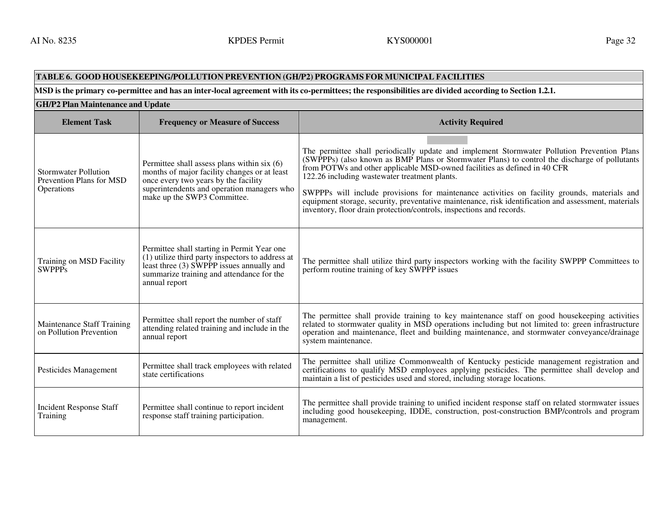#### **TABLE 6. GOOD HOUSEKEEPING/POLLUTION PREVENTION (GH/P2) PROGRAMS FOR MUNICIPAL FACILITIESMSD is the primary co-permittee and has an inter-local agreement with its co-permittees; the responsibilities are divided according to Section 1.2.1. GH/P2 Plan Maintenance and UpdateElement Task Frequency or Measure of Success Activity Required Activity Required Activity Required Activity Required** Stormwater Pollution Prevention Plans for MSD **Operations** Permittee shall assess plans within six (6) months of major facility changes or at least once every two years by the facility superintendents and operation managers who make up the SWP3 Committee. The permittee shall periodically update and implement Stormwater Pollution Prevention Plans (SWPPPs) (also known as BMP Plans or Stormwater Plans) to control the discharge of pollutants from POTWs and other applicable MSD-owned facilities as defined in 40 CFR 122.26 including wastewater treatment plants. SWPPPs will include provisions for maintenance activities on facility grounds, materials and equipment storage, security, preventative maintenance, risk identification and assessment, materials inventory, floor drain protection/controls, inspections and records. Training on MSD Facility **SWPPPs** Permittee shall starting in Permit Year one (1) utilize third party inspectors to address at least three (3) SWPPP issues annually and summarize training and attendance for the annual report The permittee shall utilize third party inspectors working with the facility SWPPP Committees to perform routine training of key SWPPP issues Maintenance Staff Training on Pollution Prevention Permittee shall report the number of staff attending related training and include in the annual report The permittee shall provide training to key maintenance staff on good housekeeping activities related to stormwater quality in MSD operations including but not limited to: green infrastructure operation and maintenance, fleet and building maintenance, and stormwater conveyance/drainage system maintenance. Permittee shall track employees with related The permittee shall utilize Commonwealth of Kentucky pesticide management registration and certifications to qualify MSD employees applying pesticides. The permittee shall devel Incident Response Staff Training Permittee shall continue to report incident response staff training participation. The permittee shall provide training to unified incident response staff on related stormwater issues including good housekeeping, IDDE, construction, post-construction BMP/controls and program management.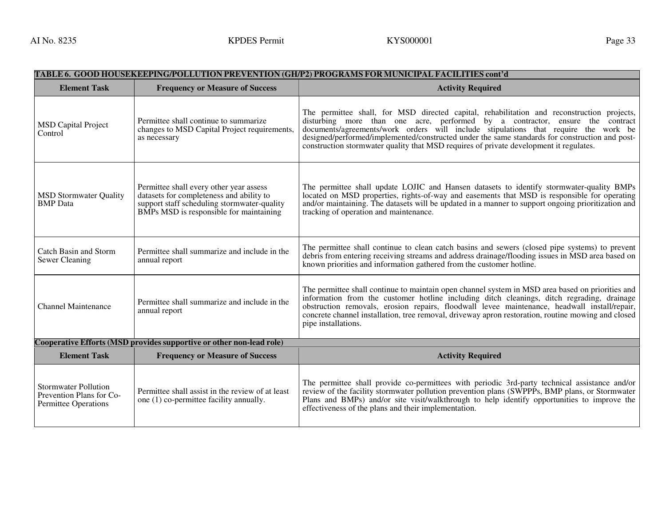| TABLE 6.  GOOD HOUSEKEEPING/POLLUTION PREVENTION (GH/P2) PROGRAMS FOR MUNICIPAL FACILITIES cont'd |                                                                                                                                                                               |                                                                                                                                                                                                                                                                                                                                                                                                                                                                |  |  |
|---------------------------------------------------------------------------------------------------|-------------------------------------------------------------------------------------------------------------------------------------------------------------------------------|----------------------------------------------------------------------------------------------------------------------------------------------------------------------------------------------------------------------------------------------------------------------------------------------------------------------------------------------------------------------------------------------------------------------------------------------------------------|--|--|
| <b>Element Task</b>                                                                               | <b>Frequency or Measure of Success</b>                                                                                                                                        | <b>Activity Required</b>                                                                                                                                                                                                                                                                                                                                                                                                                                       |  |  |
| <b>MSD Capital Project</b><br>Control                                                             | Permittee shall continue to summarize<br>changes to MSD Capital Project requirements,<br>as necessary                                                                         | The permittee shall, for MSD directed capital, rehabilitation and reconstruction projects,<br>disturbing more than one acre, performed by a contractor, ensure the contract<br>documents/agreements/work orders will include stipulations that require the work be<br>designed/performed/implemented/constructed under the same standards for construction and post-<br>construction stormwater quality that MSD requires of private development it regulates. |  |  |
| <b>MSD Stormwater Quality</b><br><b>BMP</b> Data                                                  | Permittee shall every other year assess<br>datasets for completeness and ability to<br>support staff scheduling stormwater-quality<br>BMPs MSD is responsible for maintaining | The permittee shall update LOJIC and Hansen datasets to identify stormwater-quality BMPs<br>located on MSD properties, rights-of-way and easements that MSD is responsible for operating<br>and/or maintaining. The datasets will be updated in a manner to support ongoing prioritization and<br>tracking of operation and maintenance.                                                                                                                       |  |  |
| Catch Basin and Storm<br>Sewer Cleaning                                                           | Permittee shall summarize and include in the<br>annual report                                                                                                                 | The permittee shall continue to clean catch basins and sewers (closed pipe systems) to prevent<br>debris from entering receiving streams and address drainage/flooding issues in MSD area based on<br>known priorities and information gathered from the customer hotline.                                                                                                                                                                                     |  |  |
| <b>Channel Maintenance</b>                                                                        | Permittee shall summarize and include in the<br>annual report                                                                                                                 | The permittee shall continue to maintain open channel system in MSD area based on priorities and<br>information from the customer hotline including ditch cleanings, ditch regrading, drainage<br>obstruction removals, erosion repairs, floodwall levee maintenance, headwall install/repair,<br>concrete channel installation, tree removal, driveway apron restoration, routine mowing and closed<br>pipe installations.                                    |  |  |
| Cooperative Efforts (MSD provides supportive or other non-lead role)                              |                                                                                                                                                                               |                                                                                                                                                                                                                                                                                                                                                                                                                                                                |  |  |
| <b>Element Task</b>                                                                               | <b>Frequency or Measure of Success</b>                                                                                                                                        | <b>Activity Required</b>                                                                                                                                                                                                                                                                                                                                                                                                                                       |  |  |
| <b>Stormwater Pollution</b><br>Prevention Plans for Co-<br>Permittee Operations                   | Permittee shall assist in the review of at least<br>one (1) co-permittee facility annually.                                                                                   | The permittee shall provide co-permittees with periodic 3rd-party technical assistance and/or<br>review of the facility stormwater pollution prevention plans (SWPPPs, BMP plans, or Stormwater<br>Plans and BMPs) and/or site visit/walkthrough to help identify opportunities to improve the<br>effectiveness of the plans and their implementation.                                                                                                         |  |  |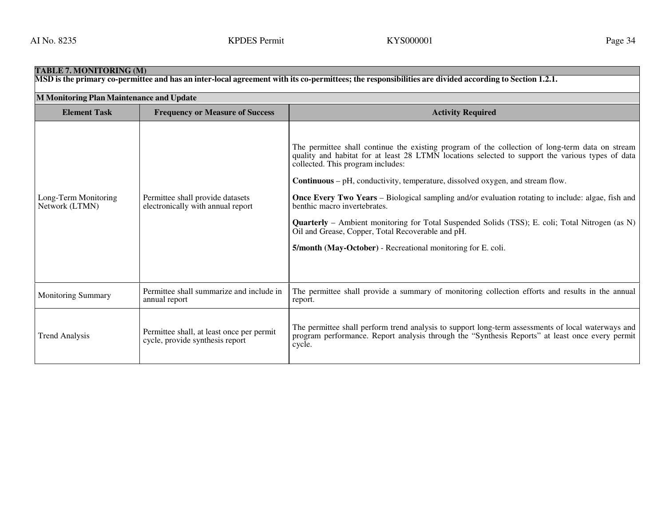| <b>TABLE 7. MONITORING (M)</b>                                                                                                                        |                                                                              |                                                                                                                                                                                                                                                                                                                                                                                                                                                                                                                                                                                                                                                                                                                        |  |  |  |
|-------------------------------------------------------------------------------------------------------------------------------------------------------|------------------------------------------------------------------------------|------------------------------------------------------------------------------------------------------------------------------------------------------------------------------------------------------------------------------------------------------------------------------------------------------------------------------------------------------------------------------------------------------------------------------------------------------------------------------------------------------------------------------------------------------------------------------------------------------------------------------------------------------------------------------------------------------------------------|--|--|--|
| MSD is the primary co-permittee and has an inter-local agreement with its co-permittees; the responsibilities are divided according to Section 1.2.1. |                                                                              |                                                                                                                                                                                                                                                                                                                                                                                                                                                                                                                                                                                                                                                                                                                        |  |  |  |
| M Monitoring Plan Maintenance and Update                                                                                                              |                                                                              |                                                                                                                                                                                                                                                                                                                                                                                                                                                                                                                                                                                                                                                                                                                        |  |  |  |
| <b>Element Task</b>                                                                                                                                   | <b>Frequency or Measure of Success</b>                                       | <b>Activity Required</b>                                                                                                                                                                                                                                                                                                                                                                                                                                                                                                                                                                                                                                                                                               |  |  |  |
| Long-Term Monitoring<br>Network (LTMN)                                                                                                                | Permittee shall provide datasets<br>electronically with annual report        | The permittee shall continue the existing program of the collection of long-term data on stream<br>quality and habitat for at least 28 LTMN locations selected to support the various types of data<br>collected. This program includes:<br><b>Continuous</b> – $pH$ , conductivity, temperature, dissolved oxygen, and stream flow.<br><b>Once Every Two Years</b> – Biological sampling and/or evaluation rotating to include: algae, fish and<br>benthic macro invertebrates.<br><b>Quarterly</b> – Ambient monitoring for Total Suspended Solids (TSS); E. coli; Total Nitrogen (as N)<br>Oil and Grease, Copper, Total Recoverable and pH.<br><b>5/month (May-October)</b> - Recreational monitoring for E. coli. |  |  |  |
| <b>Monitoring Summary</b>                                                                                                                             | Permittee shall summarize and include in<br>annual report                    | The permittee shall provide a summary of monitoring collection efforts and results in the annual<br>report.                                                                                                                                                                                                                                                                                                                                                                                                                                                                                                                                                                                                            |  |  |  |
| <b>Trend Analysis</b>                                                                                                                                 | Permittee shall, at least once per permit<br>cycle, provide synthesis report | The permittee shall perform trend analysis to support long-term assessments of local waterways and<br>program performance. Report analysis through the "Synthesis Reports" at least once every permit<br>cycle.                                                                                                                                                                                                                                                                                                                                                                                                                                                                                                        |  |  |  |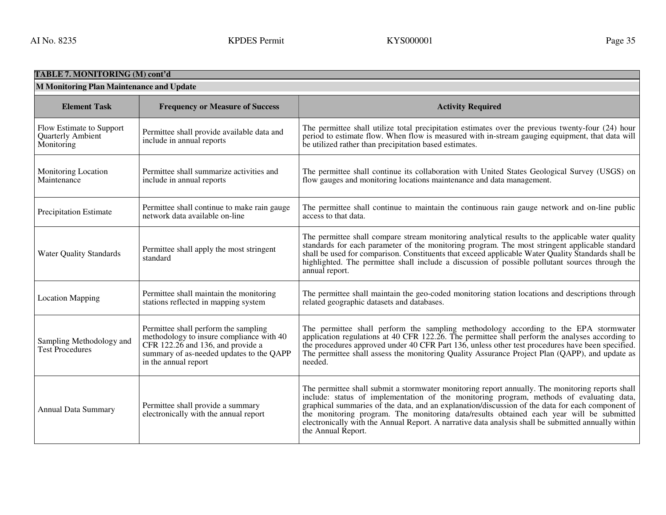| <b>TABLE 7. MONITORING (M) cont'd</b>                       |                                                                                                                                                                                           |                                                                                                                                                                                                                                                                                                                                                                                                                                                                                                                           |  |
|-------------------------------------------------------------|-------------------------------------------------------------------------------------------------------------------------------------------------------------------------------------------|---------------------------------------------------------------------------------------------------------------------------------------------------------------------------------------------------------------------------------------------------------------------------------------------------------------------------------------------------------------------------------------------------------------------------------------------------------------------------------------------------------------------------|--|
| M Monitoring Plan Maintenance and Update                    |                                                                                                                                                                                           |                                                                                                                                                                                                                                                                                                                                                                                                                                                                                                                           |  |
| <b>Element Task</b>                                         | <b>Frequency or Measure of Success</b>                                                                                                                                                    | <b>Activity Required</b>                                                                                                                                                                                                                                                                                                                                                                                                                                                                                                  |  |
| Flow Estimate to Support<br>Quarterly Ambient<br>Monitoring | Permittee shall provide available data and<br>include in annual reports                                                                                                                   | The permittee shall utilize total precipitation estimates over the previous twenty-four (24) hour<br>period to estimate flow. When flow is measured with in-stream gauging equipment, that data will<br>be utilized rather than precipitation based estimates.                                                                                                                                                                                                                                                            |  |
| Monitoring Location<br>Maintenance                          | Permittee shall summarize activities and<br>include in annual reports                                                                                                                     | The permittee shall continue its collaboration with United States Geological Survey (USGS) on<br>flow gauges and monitoring locations maintenance and data management.                                                                                                                                                                                                                                                                                                                                                    |  |
| Precipitation Estimate                                      | Permittee shall continue to make rain gauge<br>network data available on-line                                                                                                             | The permittee shall continue to maintain the continuous rain gauge network and on-line public<br>access to that data.                                                                                                                                                                                                                                                                                                                                                                                                     |  |
| <b>Water Quality Standards</b>                              | Permittee shall apply the most stringent<br>standard                                                                                                                                      | The permittee shall compare stream monitoring analytical results to the applicable water quality<br>standards for each parameter of the monitoring program. The most stringent applicable standard<br>shall be used for comparison. Constituents that exceed applicable Water Quality Standards shall be<br>highlighted. The permittee shall include a discussion of possible pollutant sources through the<br>annual report.                                                                                             |  |
| <b>Location Mapping</b>                                     | Permittee shall maintain the monitoring<br>stations reflected in mapping system                                                                                                           | The permittee shall maintain the geo-coded monitoring station locations and descriptions through<br>related geographic datasets and databases.                                                                                                                                                                                                                                                                                                                                                                            |  |
| Sampling Methodology and<br>Test Procedures                 | Permittee shall perform the sampling<br>methodology to insure compliance with 40<br>CFR 122.26 and 136, and provide a<br>summary of as-needed updates to the QAPP<br>in the annual report | The permittee shall perform the sampling methodology according to the EPA stormwater<br>application regulations at 40 CFR 122.26. The permittee shall perform the analyses according to<br>the procedures approved under 40 CFR Part 136, unless other test procedures have been specified.<br>The permittee shall assess the monitoring Quality Assurance Project Plan (QAPP), and update as<br>needed.                                                                                                                  |  |
| <b>Annual Data Summary</b>                                  | Permittee shall provide a summary<br>electronically with the annual report                                                                                                                | The permittee shall submit a stormwater monitoring report annually. The monitoring reports shall<br>include: status of implementation of the monitoring program, methods of evaluating data,<br>graphical summaries of the data, and an explanation/discussion of the data for each component of<br>the monitoring program. The monitoring data/results obtained each year will be submitted<br>electronically with the Annual Report. A narrative data analysis shall be submitted annually within<br>the Annual Report. |  |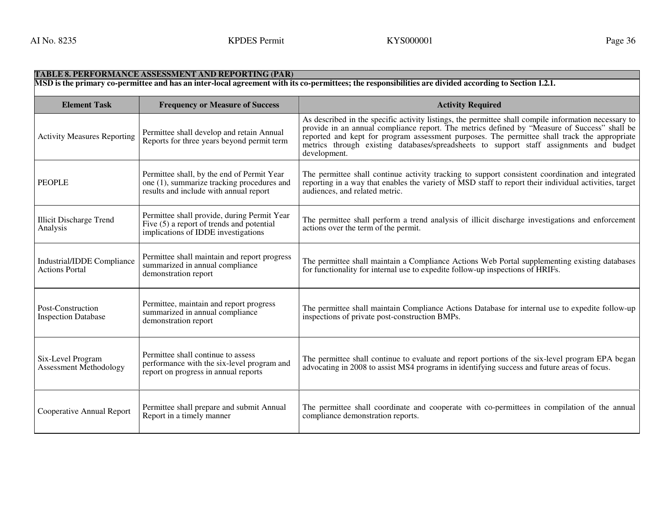| <b>TABLE 8. PERFORMANCE ASSESSMENT AND REPORTING (PAR)</b><br>MSD is the primary co-permittee and has an inter-local agreement with its co-permittees; the responsibilities are divided according to Section 1.2.1. |                                                                                                                                    |                                                                                                                                                                                                                                                                                                                                                                                                                 |  |  |
|---------------------------------------------------------------------------------------------------------------------------------------------------------------------------------------------------------------------|------------------------------------------------------------------------------------------------------------------------------------|-----------------------------------------------------------------------------------------------------------------------------------------------------------------------------------------------------------------------------------------------------------------------------------------------------------------------------------------------------------------------------------------------------------------|--|--|
|                                                                                                                                                                                                                     |                                                                                                                                    |                                                                                                                                                                                                                                                                                                                                                                                                                 |  |  |
| <b>Element Task</b>                                                                                                                                                                                                 | <b>Frequency or Measure of Success</b>                                                                                             | <b>Activity Required</b>                                                                                                                                                                                                                                                                                                                                                                                        |  |  |
| <b>Activity Measures Reporting</b>                                                                                                                                                                                  | Permittee shall develop and retain Annual<br>Reports for three years beyond permit term                                            | As described in the specific activity listings, the permittee shall compile information necessary to<br>provide in an annual compliance report. The metrics defined by "Measure of Success" shall be<br>reported and kept for program assessment purposes. The permittee shall track the appropriate<br>metrics through existing databases/spreadsheets to support staff assignments and budget<br>development. |  |  |
| <b>PEOPLE</b>                                                                                                                                                                                                       | Permittee shall, by the end of Permit Year<br>one (1), summarize tracking procedures and<br>results and include with annual report | The permittee shall continue activity tracking to support consistent coordination and integrated<br>reporting in a way that enables the variety of MSD staff to report their individual activities, target<br>audiences, and related metric.                                                                                                                                                                    |  |  |
| <b>Illicit Discharge Trend</b><br>Analysis                                                                                                                                                                          | Permittee shall provide, during Permit Year<br>Five (5) a report of trends and potential<br>implications of IDDE investigations    | The permittee shall perform a trend analysis of illicit discharge investigations and enforcement<br>actions over the term of the permit.                                                                                                                                                                                                                                                                        |  |  |
| Industrial/IDDE Compliance<br><b>Actions Portal</b>                                                                                                                                                                 | Permittee shall maintain and report progress<br>summarized in annual compliance<br>demonstration report                            | The permittee shall maintain a Compliance Actions Web Portal supplementing existing databases<br>for functionality for internal use to expedite follow-up inspections of HRIFs.                                                                                                                                                                                                                                 |  |  |
| Post-Construction<br><b>Inspection Database</b>                                                                                                                                                                     | Permittee, maintain and report progress<br>summarized in annual compliance<br>demonstration report                                 | The permittee shall maintain Compliance Actions Database for internal use to expedite follow-up<br>inspections of private post-construction BMPs.                                                                                                                                                                                                                                                               |  |  |
| Six-Level Program<br>Assessment Methodology                                                                                                                                                                         | Permittee shall continue to assess<br>performance with the six-level program and<br>report on progress in annual reports           | The permittee shall continue to evaluate and report portions of the six-level program EPA began<br>advocating in 2008 to assist MS4 programs in identifying success and future areas of focus.                                                                                                                                                                                                                  |  |  |
| Cooperative Annual Report                                                                                                                                                                                           | Permittee shall prepare and submit Annual<br>Report in a timely manner                                                             | The permittee shall coordinate and cooperate with co-permittees in compilation of the annual<br>compliance demonstration reports.                                                                                                                                                                                                                                                                               |  |  |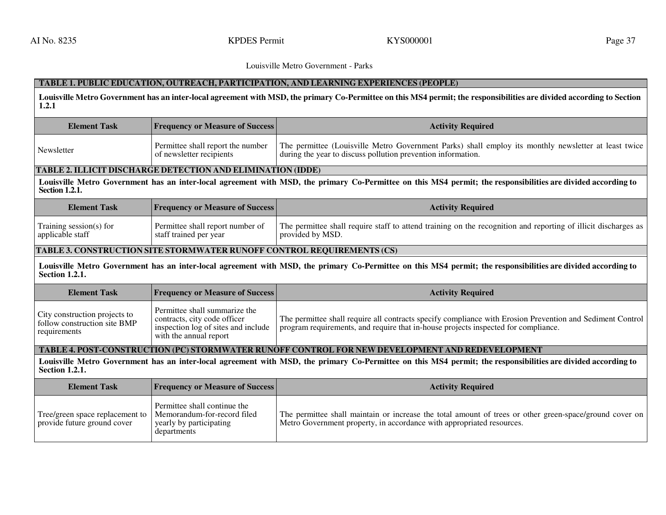# **TABLE 1. PUBLIC EDUCATION, OUTREACH, PARTICIPATION, AND LEARNING EXPERIENCES (PEOPLE)**

**Louisville Metro Government has an inter-local agreement with MSD, the primary Co-Permittee on this MS4 permit; the responsibilities are divided according to Section 1.2.1** 

| <b>Element Task</b> | <b>Frequency or Measure of Success</b>                        | <b>Activity Required</b>                                                                                                                                             |
|---------------------|---------------------------------------------------------------|----------------------------------------------------------------------------------------------------------------------------------------------------------------------|
| Newsletter          | Permittee shall report the number<br>of newsletter recipients | The permittee (Louisville Metro Government Parks) shall employ its monthly newsletter at least twice<br>during the year to discuss pollution prevention information. |

# **TABLE 2. ILLICIT DISCHARGE DETECTION AND ELIMINATION (IDDE)**

**Louisville Metro Government has an inter-local agreement with MSD, the primary Co-Permittee on this MS4 permit; the responsibilities are divided according to Section 1.2.1.** 

| <b>Element Task</b>     | <b>Frequency or Measure of Success</b> | <b>Activity Required</b>                                                                                       |
|-------------------------|----------------------------------------|----------------------------------------------------------------------------------------------------------------|
| Training session(s) for | Permittee shall report number of       | The permittee shall require staff to attend training on the recognition and reporting of illicit discharges as |
| applicable staff        | staff trained per year                 | provided by MSD.                                                                                               |

### **TABLE 3. CONSTRUCTION SITE STORMWATER RUNOFF CONTROL REQUIREMENTS (CS)**

**Louisville Metro Government has an inter-local agreement with MSD, the primary Co-Permittee on this MS4 permit; the responsibilities are divided according to Section 1.2.1.**

| <b>Element Task</b>                                                           | <b>Frequency or Measure of Success</b>                                                                                         | <b>Activity Required</b>                                                                                                                                                                        |
|-------------------------------------------------------------------------------|--------------------------------------------------------------------------------------------------------------------------------|-------------------------------------------------------------------------------------------------------------------------------------------------------------------------------------------------|
| City construction projects to<br>follow construction site BMP<br>requirements | Permittee shall summarize the<br>contracts, city code officer<br>inspection log of sites and include<br>with the annual report | The permittee shall require all contracts specify compliance with Erosion Prevention and Sediment Control<br>program requirements, and require that in-house projects inspected for compliance. |

# **TABLE 4. POST-CONSTRUCTION (PC) STORMWATER RUNOFF CONTROL FOR NEW DEVELOPMENT AND REDEVELOPMENT**

**Louisville Metro Government has an inter-local agreement with MSD, the primary Co-Permittee on this MS4 permit; the responsibilities are divided according to Section 1.2.1.** 

| <b>Element Task</b>                                            | <b>Frequency or Measure of Success</b>                                                                | <b>Activity Required</b>                                                                                                                                                         |
|----------------------------------------------------------------|-------------------------------------------------------------------------------------------------------|----------------------------------------------------------------------------------------------------------------------------------------------------------------------------------|
| Tree/green space replacement to<br>provide future ground cover | Permittee shall continue the<br>Memorandum-for-record filed<br>yearly by participating<br>departments | The permittee shall maintain or increase the total amount of trees or other green-space/ground cover on<br>Metro Government property, in accordance with appropriated resources. |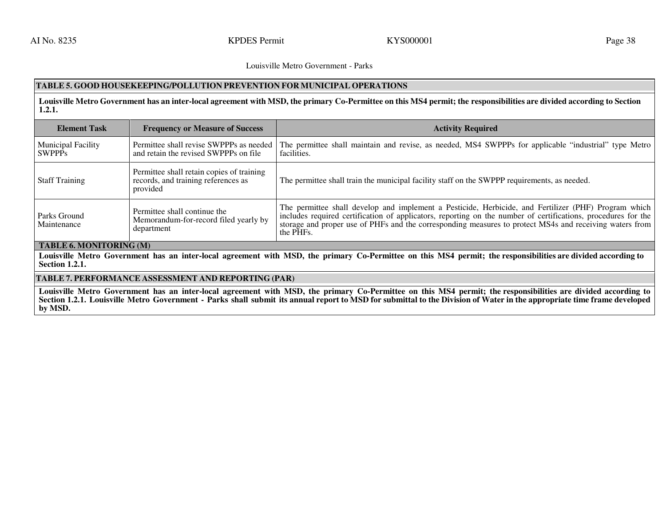### **TABLE 5. GOOD HOUSEKEEPING/POLLUTION PREVENTION FOR MUNICIPAL OPERATIONS**

**Louisville Metro Government has an inter-local agreement with MSD, the primary Co-Permittee on this MS4 permit; the responsibilities are divided according to Section 1.2.1.** 

| <b>Element Task</b>                        | <b>Frequency or Measure of Success</b>                                                       | <b>Activity Required</b>                                                                                                                                                                                                                                                                                                                      |
|--------------------------------------------|----------------------------------------------------------------------------------------------|-----------------------------------------------------------------------------------------------------------------------------------------------------------------------------------------------------------------------------------------------------------------------------------------------------------------------------------------------|
| <b>Municipal Facility</b><br><b>SWPPPs</b> | Permittee shall revise SWPPPs as needed<br>and retain the revised SWPPPs on file             | The permittee shall maintain and revise, as needed, MS4 SWPPPs for applicable "industrial" type Metro<br>facilities.                                                                                                                                                                                                                          |
| <b>Staff Training</b>                      | Permittee shall retain copies of training<br>records, and training references as<br>provided | The permittee shall train the municipal facility staff on the SWPPP requirements, as needed.                                                                                                                                                                                                                                                  |
| <b>Parks Ground</b><br>Maintenance         | Permittee shall continue the<br>Memorandum-for-record filed yearly by<br>department          | The permittee shall develop and implement a Pesticide, Herbicide, and Fertilizer (PHF) Program which<br>includes required certification of applicators, reporting on the number of certifications, procedures for the<br>storage and proper use of PHFs and the corresponding measures to protect MS4s and receiving waters from<br>the PHFs. |

# **TABLE 6. MONITORING (M)**

**Louisville Metro Government has an inter-local agreement with MSD, the primary Co-Permittee on this MS4 permit; the responsibilities are divided according to Section 1.2.1.** 

### **TABLE 7. PERFORMANCE ASSESSMENT AND REPORTING (PAR)**

**Louisville Metro Government has an inter-local agreement with MSD, the primary Co-Permittee on this MS4 permit; the responsibilities are divided according to Section 1.2.1. Louisville Metro Government - Parks shall submit its annual report to MSD for submittal to the Division of Water in the appropriate time frame developed by MSD.**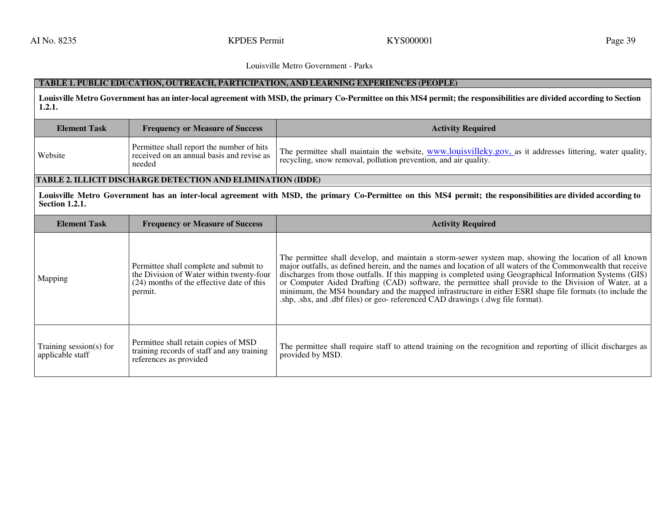# **TABLE 1. PUBLIC EDUCATION, OUTREACH, PARTICIPATION, AND LEARNING EXPERIENCES (PEOPLE)**

**Louisville Metro Government has an inter-local agreement with MSD, the primary Co-Permittee on this MS4 permit; the responsibilities are divided according to Section 1.2.1.** 

| <b>Element Task</b>                         | <b>Frequency or Measure of Success</b>                                                                                                                        | <b>Activity Required</b>                                                                                                                                                                                                                                                                                                                                                                                                                                                                                                                                                                                                               |  |
|---------------------------------------------|---------------------------------------------------------------------------------------------------------------------------------------------------------------|----------------------------------------------------------------------------------------------------------------------------------------------------------------------------------------------------------------------------------------------------------------------------------------------------------------------------------------------------------------------------------------------------------------------------------------------------------------------------------------------------------------------------------------------------------------------------------------------------------------------------------------|--|
| Website                                     | Permittee shall report the number of hits<br>received on an annual basis and revise as<br>needed                                                              | The permittee shall maintain the website, www.louisvilleky.gov, as it addresses littering, water quality,<br>recycling, snow removal, pollution prevention, and air quality.                                                                                                                                                                                                                                                                                                                                                                                                                                                           |  |
|                                             | <b>TABLE 2. ILLICIT DISCHARGE DETECTION AND ELIMINATION (IDDE)</b>                                                                                            |                                                                                                                                                                                                                                                                                                                                                                                                                                                                                                                                                                                                                                        |  |
| <b>Section 1.2.1.</b>                       | Louisville Metro Government has an inter-local agreement with MSD, the primary Co-Permittee on this MS4 permit; the responsibilities are divided according to |                                                                                                                                                                                                                                                                                                                                                                                                                                                                                                                                                                                                                                        |  |
| <b>Element Task</b>                         | <b>Frequency or Measure of Success</b>                                                                                                                        | <b>Activity Required</b>                                                                                                                                                                                                                                                                                                                                                                                                                                                                                                                                                                                                               |  |
| Mapping                                     | Permittee shall complete and submit to<br>the Division of Water within twenty-four<br>(24) months of the effective date of this<br>permit.                    | The permittee shall develop, and maintain a storm-sewer system map, showing the location of all known<br>major outfalls, as defined herein, and the names and location of all waters of the Commonwealth that receive<br>discharges from those outfalls. If this mapping is completed using Geographical Information Systems (GIS)<br>or Computer Aided Drafting (CAD) software, the permittee shall provide to the Division of Water, at a<br>minimum, the MS4 boundary and the mapped infrastructure in either ESRI shape file formats (to include the<br>shp, shx, and dbf files) or geo-referenced CAD drawings (dwg file format). |  |
| Training session(s) for<br>applicable staff | Permittee shall retain copies of MSD<br>training records of staff and any training<br>references as provided                                                  | The permittee shall require staff to attend training on the recognition and reporting of illicit discharges as<br>provided by MSD.                                                                                                                                                                                                                                                                                                                                                                                                                                                                                                     |  |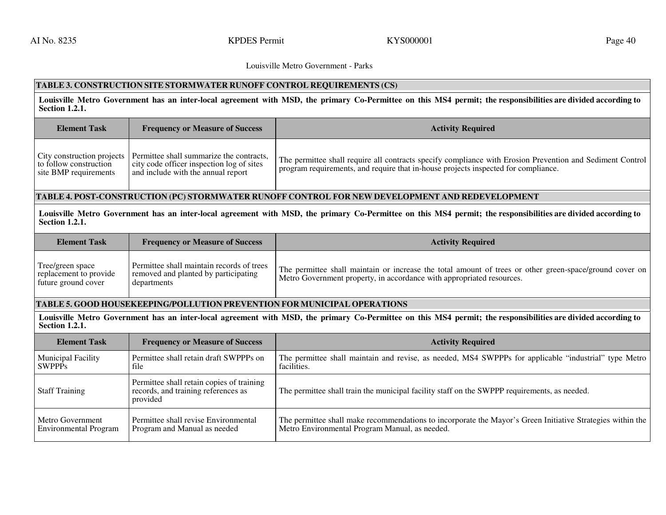### **TABLE 3. CONSTRUCTION SITE STORMWATER RUNOFF CONTROL REQUIREMENTS (CS)**

**Louisville Metro Government has an inter-local agreement with MSD, the primary Co-Permittee on this MS4 permit; the responsibilities are divided according to Section 1.2.1.** 

| <b>Element Task</b>                             | <b>Frequency or Measure of Success</b>                                                                                                                   | <b>Activity Required</b>                                                                                                                                                                        |
|-------------------------------------------------|----------------------------------------------------------------------------------------------------------------------------------------------------------|-------------------------------------------------------------------------------------------------------------------------------------------------------------------------------------------------|
| to follow construction<br>site BMP requirements | City construction projects   Permittee shall summarize the contracts,<br>city code officer inspection log of sites<br>and include with the annual report | The permittee shall require all contracts specify compliance with Erosion Prevention and Sediment Control<br>program requirements, and require that in-house projects inspected for compliance. |

# **TABLE 4. POST-CONSTRUCTION (PC) STORMWATER RUNOFF CONTROL FOR NEW DEVELOPMENT AND REDEVELOPMENT**

**Louisville Metro Government has an inter-local agreement with MSD, the primary Co-Permittee on this MS4 permit; the responsibilities are divided according to Section 1.2.1.**

| <b>Element Task</b>                                               | <b>Frequency or Measure of Success</b>                                                           | <b>Activity Required</b>                                                                                                                                                         |
|-------------------------------------------------------------------|--------------------------------------------------------------------------------------------------|----------------------------------------------------------------------------------------------------------------------------------------------------------------------------------|
| Tree/green space<br>replacement to provide<br>future ground cover | Permittee shall maintain records of trees<br>removed and planted by participating<br>departments | The permittee shall maintain or increase the total amount of trees or other green-space/ground cover on<br>Metro Government property, in accordance with appropriated resources. |

### **TABLE 5. GOOD HOUSEKEEPING/POLLUTION PREVENTION FOR MUNICIPAL OPERATIONS**

**Louisville Metro Government has an inter-local agreement with MSD, the primary Co-Permittee on this MS4 permit; the responsibilities are divided according to Section 1.2.1.** 

| <b>Element Task</b>          | <b>Frequency or Measure of Success</b>                                                       | <b>Activity Required</b>                                                                                   |
|------------------------------|----------------------------------------------------------------------------------------------|------------------------------------------------------------------------------------------------------------|
| <b>Municipal Facility</b>    | Permittee shall retain draft SWPPPs on                                                       | The permittee shall maintain and revise, as needed, MS4 SWPPPs for applicable "industrial" type Metro      |
| <b>SWPPPs</b>                | file                                                                                         | facilities.                                                                                                |
| <b>Staff Training</b>        | Permittee shall retain copies of training<br>records, and training references as<br>provided | The permittee shall train the municipal facility staff on the SWPPP requirements, as needed.               |
| Metro Government             | Permittee shall revise Environmental                                                         | The permittee shall make recommendations to incorporate the Mayor's Green Initiative Strategies within the |
| <b>Environmental Program</b> | Program and Manual as needed                                                                 | Metro Environmental Program Manual, as needed.                                                             |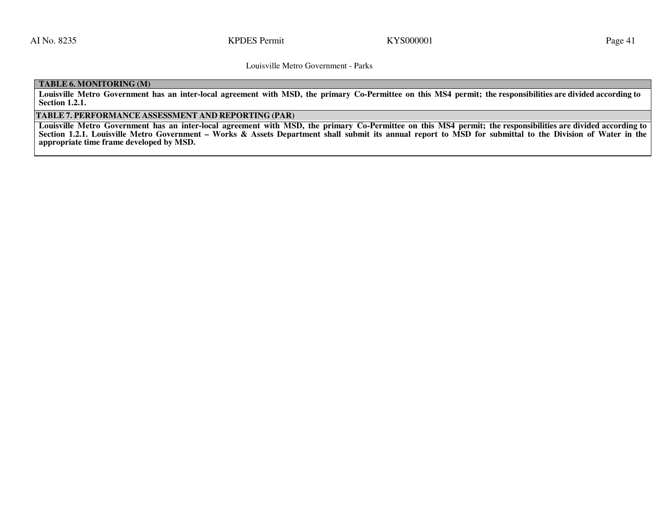# **TABLE 6. MONITORING (M)**

**Louisville Metro Government has an inter-local agreement with MSD, the primary Co-Permittee on this MS4 permit; the responsibilities are divided according to Section 1.2.1.** 

### **TABLE 7. PERFORMANCE ASSESSMENT AND REPORTING (PAR)**

Louisville Metro Government has an inter-local agreement with MSD, the primary Co-Permittee on this MS4 permit; the responsibilities are divided according to<br>Section 1214 Louisville Matre Germany to Wesley & Arata Developm **Section 1.2.1. Louisville Metro Government – Works & Assets Department shall submit its annual report to MSD for submittal to the Division of Water in the appropriate time frame developed by MSD.**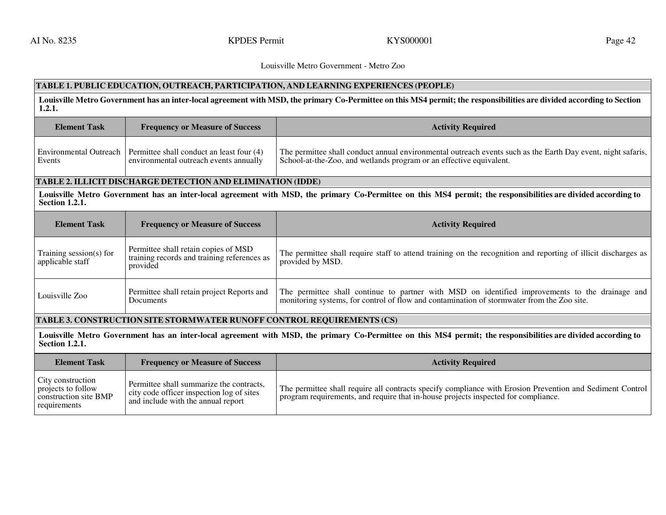### Louisville Metro Government - Metro Zoo

# **TABLE 1. PUBLIC EDUCATION, OUTREACH, PARTICIPATION, AND LEARNING EXPERIENCES (PEOPLE)**

**Louisville Metro Government has an inter-local agreement with MSD, the primary Co-Permittee on this MS4 permit; the responsibilities are divided according to Section 1.2.1.** 

| <b>Element Task</b>                         | <b>Frequency or Measure of Success</b>                                                                                                                        | <b>Activity Required</b>                                                                                                                                                            |  |  |
|---------------------------------------------|---------------------------------------------------------------------------------------------------------------------------------------------------------------|-------------------------------------------------------------------------------------------------------------------------------------------------------------------------------------|--|--|
| Environmental Outreach<br>Events            | Permittee shall conduct an least four (4)<br>environmental outreach events annually                                                                           | The permittee shall conduct annual environmental outreach events such as the Earth Day event, night safaris,<br>School-at-the-Zoo, and wetlands program or an effective equivalent. |  |  |
|                                             | <b>TABLE 2. ILLICIT DISCHARGE DETECTION AND ELIMINATION (IDDE)</b>                                                                                            |                                                                                                                                                                                     |  |  |
| <b>Section 1.2.1.</b>                       | Louisville Metro Government has an inter-local agreement with MSD, the primary Co-Permittee on this MS4 permit; the responsibilities are divided according to |                                                                                                                                                                                     |  |  |
|                                             |                                                                                                                                                               |                                                                                                                                                                                     |  |  |
| <b>Element Task</b>                         | <b>Frequency or Measure of Success</b>                                                                                                                        | <b>Activity Required</b>                                                                                                                                                            |  |  |
| Training session(s) for<br>applicable staff | Permittee shall retain copies of MSD<br>training records and training references as<br>provided                                                               | The permittee shall require staff to attend training on the recognition and reporting of illicit discharges as<br>provided by MSD.                                                  |  |  |

### **TABLE 3. CONSTRUCTION SITE STORMWATER RUNOFF CONTROL REQUIREMENTS (CS)**

**Louisville Metro Government has an inter-local agreement with MSD, the primary Co-Permittee on this MS4 permit; the responsibilities are divided according to Section 1.2.1.** 

| <b>Element Task</b>                                                              | <b>Frequency or Measure of Success</b>                                                                                      | <b>Activity Required</b>                                                                                                                                                                        |
|----------------------------------------------------------------------------------|-----------------------------------------------------------------------------------------------------------------------------|-------------------------------------------------------------------------------------------------------------------------------------------------------------------------------------------------|
| City construction<br>projects to follow<br>construction site BMP<br>requirements | Permittee shall summarize the contracts,<br>city code officer inspection log of sites<br>and include with the annual report | The permittee shall require all contracts specify compliance with Erosion Prevention and Sediment Control<br>program requirements, and require that in-house projects inspected for compliance. |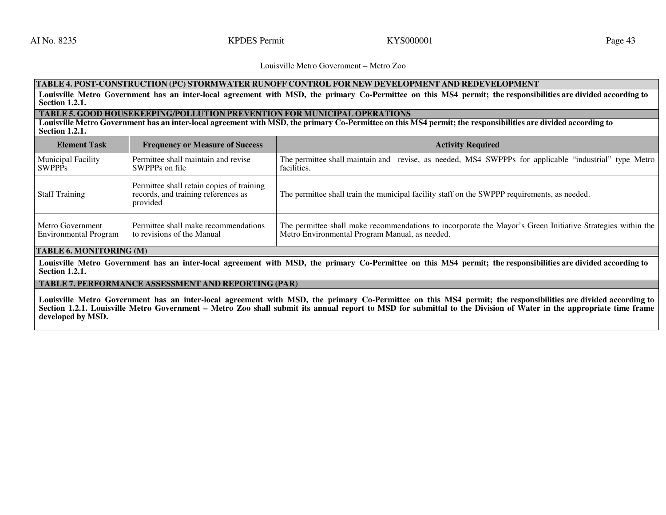Louisville Metro Government – Metro Zoo

# **TABLE 4. POST-CONSTRUCTION (PC) STORMWATER RUNOFF CONTROL FOR NEW DEVELOPMENT AND REDEVELOPMENT**

Louisville Metro Government has an inter-local agreement with MSD, the primary Co-Permittee on this MS4 permit; the responsibilities are divided according to<br>Section 1.2.1 **Section 1.2.1.** 

# **TABLE 5. GOOD HOUSEKEEPING/POLLUTION PREVENTION FOR MUNICIPAL OPERATIONS**

Louisville Metro Government has an inter-local agreement with MSD, the primary Co-Permittee on this MS4 permit; the responsibilities are divided according to<br>Section 1.2.1 **Section 1.2.1.** 

| <b>Element Task</b>          | <b>Frequency or Measure of Success</b>                                                       | <b>Activity Required</b>                                                                                   |
|------------------------------|----------------------------------------------------------------------------------------------|------------------------------------------------------------------------------------------------------------|
| <b>Municipal Facility</b>    | Permittee shall maintain and revise                                                          | The permittee shall maintain and revise, as needed, MS4 SWPPPs for applicable "industrial" type Metro      |
| l SWPPPs                     | SWPPPs on file                                                                               | facilities.                                                                                                |
| <b>Staff Training</b>        | Permittee shall retain copies of training<br>records, and training references as<br>provided | The permittee shall train the municipal facility staff on the SWPPP requirements, as needed.               |
| Metro Government             | Permittee shall make recommendations                                                         | The permittee shall make recommendations to incorporate the Mayor's Green Initiative Strategies within the |
| <b>Environmental Program</b> | to revisions of the Manual                                                                   | Metro Environmental Program Manual, as needed.                                                             |

# **TABLE 6. MONITORING (M)**

**Louisville Metro Government has an inter-local agreement with MSD, the primary Co-Permittee on this MS4 permit; the responsibilities are divided according to Section 1.2.1.** 

# **TABLE 7. PERFORMANCE ASSESSMENT AND REPORTING (PAR)**

**Louisville Metro Government has an inter-local agreement with MSD, the primary Co-Permittee on this MS4 permit; the responsibilities are divided according to Section 1.2.1. Louisville Metro Government – Metro Zoo shall submit its annual report to MSD for submittal to the Division of Water in the appropriate time frame developed by MSD.**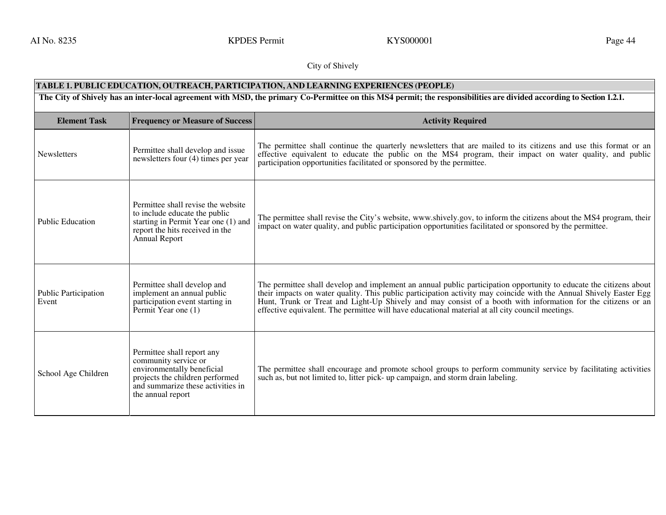AI No. 8235 KPDES Permit KYS000001 KYS000001

# City of Shively

| TABLE 1. PUBLIC EDUCATION, OUTREACH, PARTICIPATION, AND LEARNING EXPERIENCES (PEOPLE)                                                                                |                                                                                                                                                                               |                                                                                                                                                                                                                                                                                                                                                                                                                                                              |
|----------------------------------------------------------------------------------------------------------------------------------------------------------------------|-------------------------------------------------------------------------------------------------------------------------------------------------------------------------------|--------------------------------------------------------------------------------------------------------------------------------------------------------------------------------------------------------------------------------------------------------------------------------------------------------------------------------------------------------------------------------------------------------------------------------------------------------------|
| The City of Shively has an inter-local agreement with MSD, the primary Co-Permittee on this MS4 permit; the responsibilities are divided according to Section 1.2.1. |                                                                                                                                                                               |                                                                                                                                                                                                                                                                                                                                                                                                                                                              |
| <b>Element Task</b>                                                                                                                                                  | <b>Frequency or Measure of Success</b>                                                                                                                                        | <b>Activity Required</b>                                                                                                                                                                                                                                                                                                                                                                                                                                     |
| Newsletters                                                                                                                                                          | Permittee shall develop and issue<br>newsletters four (4) times per year                                                                                                      | The permittee shall continue the quarterly newsletters that are mailed to its citizens and use this format or an<br>effective equivalent to educate the public on the MS4 program, their impact on water quality, and public<br>participation opportunities facilitated or sponsored by the permittee.                                                                                                                                                       |
| <b>Public Education</b>                                                                                                                                              | Permittee shall revise the website<br>to include educate the public<br>starting in Permit Year one (1) and<br>report the hits received in the<br>Annual Report                | The permittee shall revise the City's website, www.shively.gov, to inform the citizens about the MS4 program, their<br>impact on water quality, and public participation opportunities facilitated or sponsored by the permittee.                                                                                                                                                                                                                            |
| <b>Public Participation</b><br>Event                                                                                                                                 | Permittee shall develop and<br>implement an annual public<br>participation event starting in<br>Permit Year one (1)                                                           | The permittee shall develop and implement an annual public participation opportunity to educate the citizens about<br>their impacts on water quality. This public participation activity may coincide with the Annual Shively Easter Egg<br>Hunt, Trunk or Treat and Light-Up Shively and may consist of a booth with information for the citizens or an<br>effective equivalent. The permittee will have educational material at all city council meetings. |
| School Age Children                                                                                                                                                  | Permittee shall report any<br>community service or<br>environmentally beneficial<br>projects the children performed<br>and summarize these activities in<br>the annual report | The permittee shall encourage and promote school groups to perform community service by facilitating activities<br>such as, but not limited to, litter pick- up campaign, and storm drain labeling.                                                                                                                                                                                                                                                          |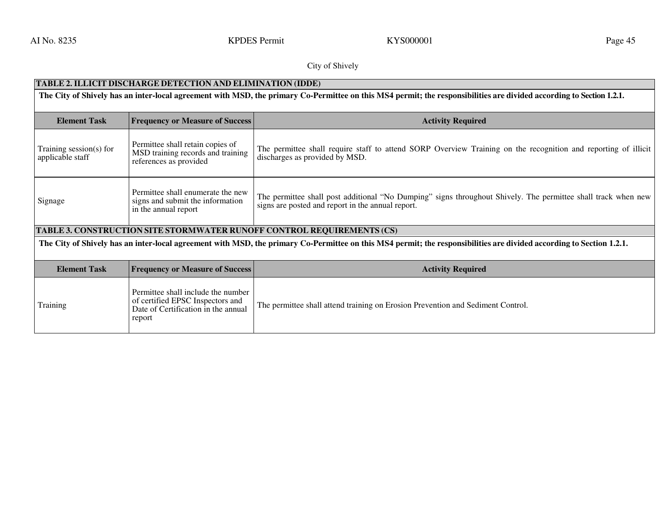AI No. 8235 **KPDES Permit** KYS000001 **Page 45** KYS000001 **Page 45** 

## City of Shively

# **TABLE 2. ILLICIT DISCHARGE DETECTION AND ELIMINATION (IDDE)**

**The City of Shively has an inter-local agreement with MSD, the primary Co-Permittee on this MS4 permit; the responsibilities are divided according to Section 1.2.1.**  Element Task **Frequency or Measure of Success Activity Required**  Training session(s) for applicable staff Permittee shall retain copies of MSD training records and training references as provided The permittee shall require staff to attend SORP Overview Training on the recognition and reporting of illicit discharges as provided by MSD. Signage Permittee shall enumerate the new signs and submit the information in the annual report The permittee shall post additional "No Dumping" signs throughout Shively. The permittee shall track when new signs are posted and report in the annual report. **TABLE 3. CONSTRUCTION SITE STORMWATER RUNOFF CONTROL REQUIREMENTS (CS)The City of Shively has an inter-local agreement with MSD, the primary Co-Permittee on this MS4 permit; the responsibilities are divided according to Section 1.2.1.** Element Task **Frequency or Measure of Success Activity Required Training** Permittee shall include the number of certified EPSC Inspectors and Date of Certification in the annual report The permittee shall attend training on Erosion Prevention and Sediment Control.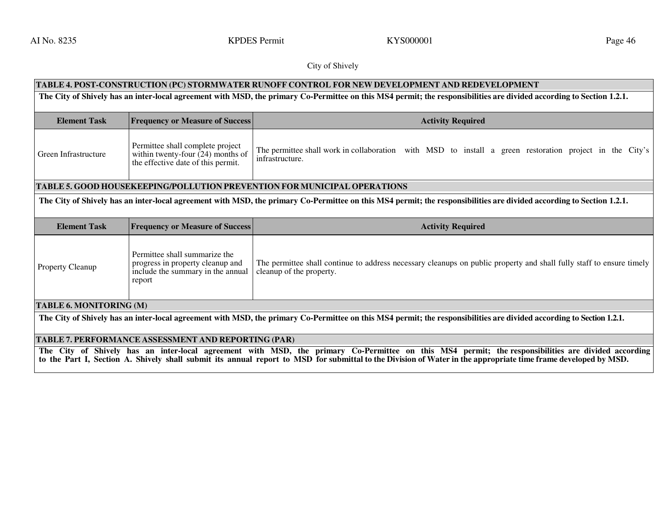AI No. 8235 **KPDES Permit** KYS000001 **Page 46** Register All No. 8235

# City of Shively

| TABLE 4. POST-CONSTRUCTION (PC) STORMWATER RUNOFF CONTROL FOR NEW DEVELOPMENT AND REDEVELOPMENT                                                                      |                                                                                                                  |                                                                                                                                                  |  |
|----------------------------------------------------------------------------------------------------------------------------------------------------------------------|------------------------------------------------------------------------------------------------------------------|--------------------------------------------------------------------------------------------------------------------------------------------------|--|
| The City of Shively has an inter-local agreement with MSD, the primary Co-Permittee on this MS4 permit; the responsibilities are divided according to Section 1.2.1. |                                                                                                                  |                                                                                                                                                  |  |
| <b>Element Task</b>                                                                                                                                                  | <b>Frequency or Measure of Success</b>                                                                           | <b>Activity Required</b>                                                                                                                         |  |
| Green Infrastructure                                                                                                                                                 | Permittee shall complete project<br>within twenty-four $(24)$ months of<br>the effective date of this permit.    | The permittee shall work in collaboration with MSD to install a green restoration project in the City's<br>infrastructure.                       |  |
|                                                                                                                                                                      |                                                                                                                  | <b>TABLE 5. GOOD HOUSEKEEPING/POLLUTION PREVENTION FOR MUNICIPAL OPERATIONS</b>                                                                  |  |
| The City of Shively has an inter-local agreement with MSD, the primary Co-Permittee on this MS4 permit; the responsibilities are divided according to Section 1.2.1. |                                                                                                                  |                                                                                                                                                  |  |
| <b>Element Task</b>                                                                                                                                                  | <b>Frequency or Measure of Success</b>                                                                           | <b>Activity Required</b>                                                                                                                         |  |
| Property Cleanup                                                                                                                                                     | Permittee shall summarize the<br>progress in property cleanup and<br>include the summary in the annual<br>report | The permittee shall continue to address necessary cleanups on public property and shall fully staff to ensure timely<br>cleanup of the property. |  |
|                                                                                                                                                                      |                                                                                                                  |                                                                                                                                                  |  |
| <b>TABLE 6. MONITORING (M)</b>                                                                                                                                       |                                                                                                                  |                                                                                                                                                  |  |

## **TABLE 7. PERFORMANCE ASSESSMENT AND REPORTING (PAR)**

The City of Shively has an inter-local agreement with MSD, the primary Co-Permittee on this MS4 permit; the responsibilities are divided according<br>to the Part I, Section A. Shively shall submit its annual report to MSD for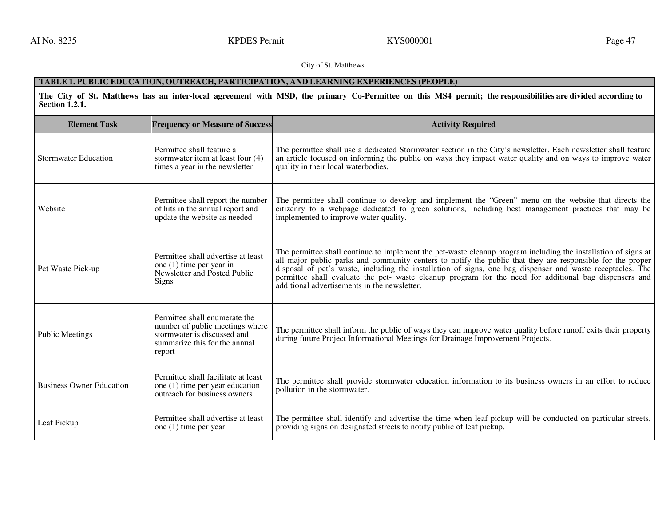AI No. 8235 **KPDES Permit** KYS000001 **Page 47** KYS000001 **Page 47** 

City of St. Matthews

# **TABLE 1. PUBLIC EDUCATION, OUTREACH, PARTICIPATION, AND LEARNING EXPERIENCES (PEOPLE)**

**The City of St. Matthews has an inter-local agreement with MSD, the primary Co-Permittee on this MS4 permit; the responsibilities are divided according to Section 1.2.1.** 

| <b>Element Task</b>             | <b>Frequency or Measure of Success</b>                                                                                                     | <b>Activity Required</b>                                                                                                                                                                                                                                                                                                                                                                                                                                                                             |
|---------------------------------|--------------------------------------------------------------------------------------------------------------------------------------------|------------------------------------------------------------------------------------------------------------------------------------------------------------------------------------------------------------------------------------------------------------------------------------------------------------------------------------------------------------------------------------------------------------------------------------------------------------------------------------------------------|
| <b>Stormwater Education</b>     | Permittee shall feature a<br>stormwater item at least four (4)<br>times a year in the newsletter                                           | The permittee shall use a dedicated Stormwater section in the City's newsletter. Each newsletter shall feature<br>an article focused on informing the public on ways they impact water quality and on ways to improve water<br>quality in their local waterbodies.                                                                                                                                                                                                                                   |
| Website                         | Permittee shall report the number<br>of hits in the annual report and<br>update the website as needed                                      | The permittee shall continue to develop and implement the "Green" menu on the website that directs the<br>citizenry to a webpage dedicated to green solutions, including best management practices that may be<br>implemented to improve water quality.                                                                                                                                                                                                                                              |
| Pet Waste Pick-up               | Permittee shall advertise at least<br>one $(1)$ time per year in<br>Newsletter and Posted Public<br>Signs                                  | The permittee shall continue to implement the pet-waste cleanup program including the installation of signs at<br>all major public parks and community centers to notify the public that they are responsible for the proper<br>disposal of pet's waste, including the installation of signs, one bag dispenser and waste receptacles. The<br>permittee shall evaluate the pet- waste cleanup program for the need for additional bag dispensers and<br>additional advertisements in the newsletter. |
| <b>Public Meetings</b>          | Permittee shall enumerate the<br>number of public meetings where<br>stormwater is discussed and<br>summarize this for the annual<br>report | The permittee shall inform the public of ways they can improve water quality before runoff exits their property<br>during future Project Informational Meetings for Drainage Improvement Projects.                                                                                                                                                                                                                                                                                                   |
| <b>Business Owner Education</b> | Permittee shall facilitate at least<br>one (1) time per year education<br>outreach for business owners                                     | The permittee shall provide stormwater education information to its business owners in an effort to reduce<br>pollution in the stormwater.                                                                                                                                                                                                                                                                                                                                                           |
| Leaf Pickup                     | Permittee shall advertise at least<br>one (1) time per year                                                                                | The permittee shall identify and advertise the time when leaf pickup will be conducted on particular streets,<br>providing signs on designated streets to notify public of leaf pickup.                                                                                                                                                                                                                                                                                                              |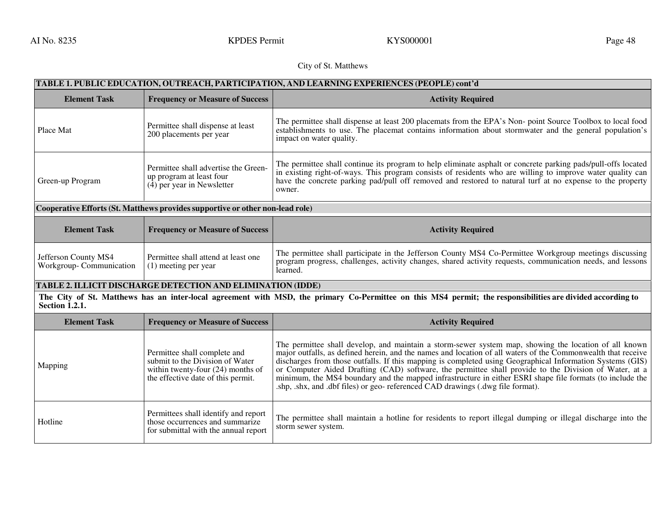AI No. 8235 **KPDES Permit** KYS000001 **Page 48** Report of the Research Control of the Rege 48

# City of St. Matthews

| TABLE 1. PUBLIC EDUCATION, OUTREACH, PARTICIPATION, AND LEARNING EXPERIENCES (PEOPLE) cont'd |                                                                                                                                              |                                                                                                                                                                                                                                                                                                                                                                                                                                                                                                                                                                                                                                            |
|----------------------------------------------------------------------------------------------|----------------------------------------------------------------------------------------------------------------------------------------------|--------------------------------------------------------------------------------------------------------------------------------------------------------------------------------------------------------------------------------------------------------------------------------------------------------------------------------------------------------------------------------------------------------------------------------------------------------------------------------------------------------------------------------------------------------------------------------------------------------------------------------------------|
| <b>Element Task</b>                                                                          | <b>Frequency or Measure of Success</b>                                                                                                       | <b>Activity Required</b>                                                                                                                                                                                                                                                                                                                                                                                                                                                                                                                                                                                                                   |
| Place Mat                                                                                    | Permittee shall dispense at least<br>200 placements per year                                                                                 | The permittee shall dispense at least 200 placemats from the EPA's Non-point Source Toolbox to local food<br>establishments to use. The placemat contains information about stormwater and the general population's<br>impact on water quality.                                                                                                                                                                                                                                                                                                                                                                                            |
| Green-up Program                                                                             | Permittee shall advertise the Green-<br>up program at least four<br>$(4)$ per year in Newsletter                                             | The permittee shall continue its program to help eliminate asphalt or concrete parking pads/pull-offs located<br>in existing right-of-ways. This program consists of residents who are willing to improve water quality can<br>have the concrete parking pad/pull off removed and restored to natural turf at no expense to the property<br>owner.                                                                                                                                                                                                                                                                                         |
|                                                                                              | Cooperative Efforts (St. Matthews provides supportive or other non-lead role)                                                                |                                                                                                                                                                                                                                                                                                                                                                                                                                                                                                                                                                                                                                            |
| <b>Element Task</b>                                                                          | <b>Frequency or Measure of Success</b>                                                                                                       | <b>Activity Required</b>                                                                                                                                                                                                                                                                                                                                                                                                                                                                                                                                                                                                                   |
| Jefferson County MS4<br>Workgroup-Communication                                              | Permittee shall attend at least one<br>(1) meeting per year                                                                                  | The permittee shall participate in the Jefferson County MS4 Co-Permittee Workgroup meetings discussing<br>program progress, challenges, activity changes, shared activity requests, communication needs, and lessons<br>learned.                                                                                                                                                                                                                                                                                                                                                                                                           |
|                                                                                              | TABLE 2. ILLICIT DISCHARGE DETECTION AND ELIMINATION (IDDE)                                                                                  |                                                                                                                                                                                                                                                                                                                                                                                                                                                                                                                                                                                                                                            |
| Section 1.2.1.                                                                               |                                                                                                                                              | The City of St. Matthews has an inter-local agreement with MSD, the primary Co-Permittee on this MS4 permit; the responsibilities are divided according to                                                                                                                                                                                                                                                                                                                                                                                                                                                                                 |
| <b>Element Task</b>                                                                          | <b>Frequency or Measure of Success</b>                                                                                                       | <b>Activity Required</b>                                                                                                                                                                                                                                                                                                                                                                                                                                                                                                                                                                                                                   |
| Mapping                                                                                      | Permittee shall complete and<br>submit to the Division of Water<br>within twenty-four $(24)$ months of<br>the effective date of this permit. | The permittee shall develop, and maintain a storm-sewer system map, showing the location of all known<br>major outfalls, as defined herein, and the names and location of all waters of the Commonwealth that receive<br>discharges from those outfalls. If this mapping is completed using Geographical Information Systems (GIS)<br>or Computer Aided Drafting (CAD) software, the permittee shall provide to the Division of Water, at a<br>minimum, the MS4 boundary and the mapped infrastructure in either ESRI shape file formats (to include the<br>.shp, .shx, and .dbf files) or geo-referenced CAD drawings (.dwg file format). |
| Hotline                                                                                      | Permittees shall identify and report<br>those occurrences and summarize<br>for submittal with the annual report                              | The permittee shall maintain a hotline for residents to report illegal dumping or illegal discharge into the<br>storm sewer system.                                                                                                                                                                                                                                                                                                                                                                                                                                                                                                        |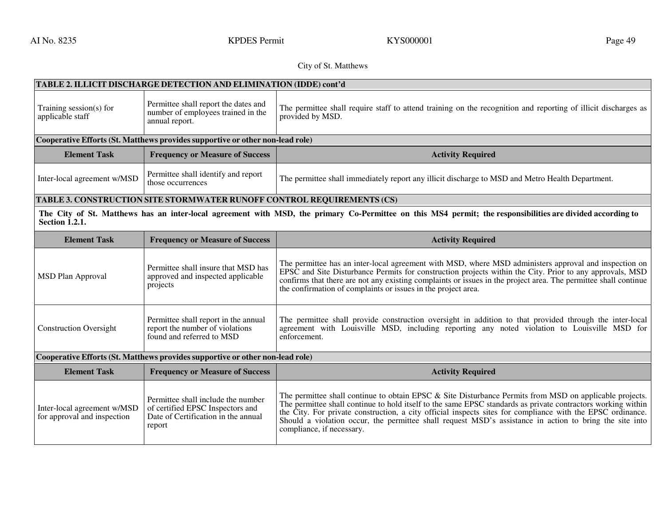AI No. 8235 **KPDES Permit** KYS000001 **Page 49** Rege 49

# City of St. Matthews

|                                             | TABLE 2. ILLICIT DISCHARGE DETECTION AND ELIMINATION (IDDE) cont'd                                   |                                                                                                                                                                                                                                                                                                                                                                                                       |  |
|---------------------------------------------|------------------------------------------------------------------------------------------------------|-------------------------------------------------------------------------------------------------------------------------------------------------------------------------------------------------------------------------------------------------------------------------------------------------------------------------------------------------------------------------------------------------------|--|
| Training session(s) for<br>applicable staff | Permittee shall report the dates and<br>number of employees trained in the<br>annual report.         | The permittee shall require staff to attend training on the recognition and reporting of illicit discharges as<br>provided by MSD.                                                                                                                                                                                                                                                                    |  |
|                                             | Cooperative Efforts (St. Matthews provides supportive or other non-lead role)                        |                                                                                                                                                                                                                                                                                                                                                                                                       |  |
| <b>Element Task</b>                         | <b>Frequency or Measure of Success</b>                                                               | <b>Activity Required</b>                                                                                                                                                                                                                                                                                                                                                                              |  |
| Inter-local agreement w/MSD                 | Permittee shall identify and report<br>those occurrences                                             | The permittee shall immediately report any illicit discharge to MSD and Metro Health Department.                                                                                                                                                                                                                                                                                                      |  |
|                                             | TABLE 3. CONSTRUCTION SITE STORMWATER RUNOFF CONTROL REQUIREMENTS (CS)                               |                                                                                                                                                                                                                                                                                                                                                                                                       |  |
| <b>Section 1.2.1.</b>                       |                                                                                                      | The City of St. Matthews has an inter-local agreement with MSD, the primary Co-Permittee on this MS4 permit; the responsibilities are divided according to                                                                                                                                                                                                                                            |  |
| <b>Element Task</b>                         | <b>Frequency or Measure of Success</b>                                                               | <b>Activity Required</b>                                                                                                                                                                                                                                                                                                                                                                              |  |
| <b>MSD Plan Approval</b>                    | Permittee shall insure that MSD has<br>approved and inspected applicable<br>projects                 | The permittee has an inter-local agreement with MSD, where MSD administers approval and inspection on<br>EPSC and Site Disturbance Permits for construction projects within the City. Prior to any approvals, MSD<br>confirms that there are not any existing complaints or issues in the project area. The permittee shall continue<br>the confirmation of complaints or issues in the project area. |  |
| <b>Construction Oversight</b>               | Permittee shall report in the annual<br>report the number of violations<br>found and referred to MSD | The permittee shall provide construction oversight in addition to that provided through the inter-local<br>agreement with Louisville MSD, including reporting any noted violation to Louisville MSD for<br>enforcement.                                                                                                                                                                               |  |
|                                             |                                                                                                      |                                                                                                                                                                                                                                                                                                                                                                                                       |  |
|                                             | Cooperative Efforts (St. Matthews provides supportive or other non-lead role)                        |                                                                                                                                                                                                                                                                                                                                                                                                       |  |
| <b>Element Task</b>                         | <b>Frequency or Measure of Success</b>                                                               | <b>Activity Required</b>                                                                                                                                                                                                                                                                                                                                                                              |  |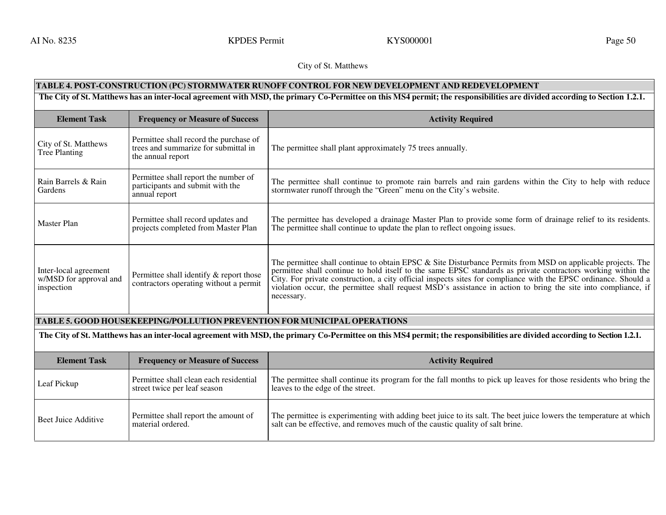AI No. 8235 **KPDES Permit** KYS000001 **Page 50** Rage 50

### City of St. Matthews

# **TABLE 4. POST-CONSTRUCTION (PC) STORMWATER RUNOFF CONTROL FOR NEW DEVELOPMENT AND REDEVELOPMENT**

The City of St. Matthews has an inter-local agreement with MSD, the primary Co-Permittee on this MS4 permit; the responsibilities are divided according to Section 1.2.1.

| <b>Element Task</b>                                           | <b>Frequency or Measure of Success</b>                                                              | <b>Activity Required</b>                                                                                                                                                                                                                                                                                                                                                                                                                                                      |
|---------------------------------------------------------------|-----------------------------------------------------------------------------------------------------|-------------------------------------------------------------------------------------------------------------------------------------------------------------------------------------------------------------------------------------------------------------------------------------------------------------------------------------------------------------------------------------------------------------------------------------------------------------------------------|
| City of St. Matthews<br>Tree Planting                         | Permittee shall record the purchase of<br>trees and summarize for submittal in<br>the annual report | The permittee shall plant approximately 75 trees annually.                                                                                                                                                                                                                                                                                                                                                                                                                    |
| Rain Barrels & Rain<br>Gardens                                | Permittee shall report the number of<br>participants and submit with the<br>annual report           | The permittee shall continue to promote rain barrels and rain gardens within the City to help with reduce<br>stormwater runoff through the "Green" menu on the City's website.                                                                                                                                                                                                                                                                                                |
| Master Plan                                                   | Permittee shall record updates and<br>projects completed from Master Plan                           | The permittee has developed a drainage Master Plan to provide some form of drainage relief to its residents.<br>The permittee shall continue to update the plan to reflect ongoing issues.                                                                                                                                                                                                                                                                                    |
| Inter-local agreement<br>w/MSD for approval and<br>inspection | Permittee shall identify & report those<br>contractors operating without a permit                   | The permittee shall continue to obtain EPSC & Site Disturbance Permits from MSD on applicable projects. The<br>permittee shall continue to hold itself to the same EPSC standards as private contractors working within the<br>City. For private construction, a city official inspects sites for compliance with the EPSC ordinance. Should a<br>violation occur, the permittee shall request MSD's assistance in action to bring the site into compliance, if<br>necessary. |

## **TABLE 5. GOOD HOUSEKEEPING/POLLUTION PREVENTION FOR MUNICIPAL OPERATIONS**

**The City of St. Matthews has an inter-local agreement with MSD, the primary Co-Permittee on this MS4 permit; the responsibilities are divided according to Section 1.2.1.** 

| <b>Element Task</b> | <b>Frequency or Measure of Success</b>                                 | <b>Activity Required</b>                                                                                                                                                                           |
|---------------------|------------------------------------------------------------------------|----------------------------------------------------------------------------------------------------------------------------------------------------------------------------------------------------|
| Leaf Pickup         | Permittee shall clean each residential<br>street twice per leaf season | The permittee shall continue its program for the fall months to pick up leaves for those residents who bring the<br>leaves to the edge of the street.                                              |
| Beet Juice Additive | Permittee shall report the amount of<br>material ordered.              | The permittee is experimenting with adding beet juice to its salt. The beet juice lowers the temperature at which<br>salt can be effective, and removes much of the caustic quality of salt brine. |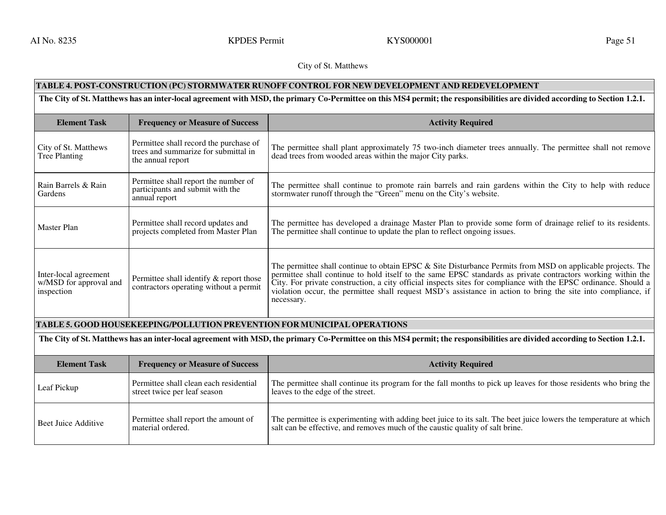AI No. 8235 **KPDES Permit** KYS000001 **Page 51** 

City of St. Matthews

# **TABLE 4. POST-CONSTRUCTION (PC) STORMWATER RUNOFF CONTROL FOR NEW DEVELOPMENT AND REDEVELOPMENT**

**The City of St. Matthews has an inter-local agreement with MSD, the primary Co-Permittee on this MS4 permit; the responsibilities are divided according to Section 1.2.1.** 

| <b>Element Task</b>                                           | <b>Frequency or Measure of Success</b>                                                              | <b>Activity Required</b>                                                                                                                                                                                                                                                                                                                                                                                                                                                         |
|---------------------------------------------------------------|-----------------------------------------------------------------------------------------------------|----------------------------------------------------------------------------------------------------------------------------------------------------------------------------------------------------------------------------------------------------------------------------------------------------------------------------------------------------------------------------------------------------------------------------------------------------------------------------------|
| City of St. Matthews<br>Tree Planting                         | Permittee shall record the purchase of<br>trees and summarize for submittal in<br>the annual report | The permittee shall plant approximately 75 two-inch diameter trees annually. The permittee shall not remove<br>dead trees from wooded areas within the major City parks.                                                                                                                                                                                                                                                                                                         |
| Rain Barrels & Rain<br>Gardens                                | Permittee shall report the number of<br>participants and submit with the<br>annual report           | The permittee shall continue to promote rain barrels and rain gardens within the City to help with reduce<br>stormwater runoff through the "Green" menu on the City's website.                                                                                                                                                                                                                                                                                                   |
| Master Plan                                                   | Permittee shall record updates and<br>projects completed from Master Plan                           | The permittee has developed a drainage Master Plan to provide some form of drainage relief to its residents.<br>The permittee shall continue to update the plan to reflect ongoing issues.                                                                                                                                                                                                                                                                                       |
| Inter-local agreement<br>w/MSD for approval and<br>inspection | Permittee shall identify & report those<br>contractors operating without a permit                   | The permittee shall continue to obtain EPSC $\&$ Site Disturbance Permits from MSD on applicable projects. The<br>permittee shall continue to hold itself to the same EPSC standards as private contractors working within the<br>City. For private construction, a city official inspects sites for compliance with the EPSC ordinance. Should a<br>violation occur, the permittee shall request MSD's assistance in action to bring the site into compliance, if<br>necessary. |

## **TABLE 5. GOOD HOUSEKEEPING/POLLUTION PREVENTION FOR MUNICIPAL OPERATIONS**

**The City of St. Matthews has an inter-local agreement with MSD, the primary Co-Permittee on this MS4 permit; the responsibilities are divided according to Section 1.2.1.** 

| <b>Element Task</b> | <b>Frequency or Measure of Success</b>                                 | <b>Activity Required</b>                                                                                                                                                                             |
|---------------------|------------------------------------------------------------------------|------------------------------------------------------------------------------------------------------------------------------------------------------------------------------------------------------|
| Leaf Pickup         | Permittee shall clean each residential<br>street twice per leaf season | The permittee shall continue its program for the fall months to pick up leaves for those residents who bring the<br>leaves to the edge of the street.                                                |
| Beet Juice Additive | Permittee shall report the amount of<br>material ordered.              | The permittee is experimenting with adding beet juice to its salt. The beet juice lowers the temperature at which  <br>salt can be effective, and removes much of the caustic quality of salt brine. |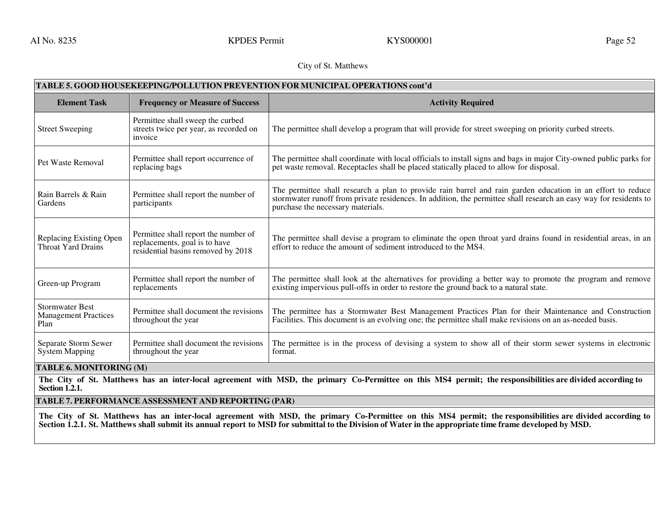AI No. 8235 September 2012 Superint Represent Research RYS000001 Contract Research Rage 52

# City of St. Matthews

| TABLE 5. GOOD HOUSEKEEPING/POLLUTION PREVENTION FOR MUNICIPAL OPERATIONS cont'd |                                                                                                             |                                                                                                                                                                                                                                                                       |
|---------------------------------------------------------------------------------|-------------------------------------------------------------------------------------------------------------|-----------------------------------------------------------------------------------------------------------------------------------------------------------------------------------------------------------------------------------------------------------------------|
| <b>Element Task</b>                                                             | <b>Frequency or Measure of Success</b>                                                                      | <b>Activity Required</b>                                                                                                                                                                                                                                              |
| <b>Street Sweeping</b>                                                          | Permittee shall sweep the curbed<br>streets twice per year, as recorded on<br>invoice                       | The permittee shall develop a program that will provide for street sweeping on priority curbed streets.                                                                                                                                                               |
| Pet Waste Removal                                                               | Permittee shall report occurrence of<br>replacing bags                                                      | The permittee shall coordinate with local officials to install signs and bags in major City-owned public parks for<br>pet waste removal. Receptacles shall be placed statically placed to allow for disposal.                                                         |
| Rain Barrels & Rain<br>Gardens                                                  | Permittee shall report the number of<br>participants                                                        | The permittee shall research a plan to provide rain barrel and rain garden education in an effort to reduce<br>stormwater runoff from private residences. In addition, the permittee shall research an easy way for residents to<br>purchase the necessary materials. |
| Replacing Existing Open<br><b>Throat Yard Drains</b>                            | Permittee shall report the number of<br>replacements, goal is to have<br>residential basins removed by 2018 | The permittee shall devise a program to eliminate the open throat yard drains found in residential areas, in an<br>effort to reduce the amount of sediment introduced to the MS4.                                                                                     |
| Green-up Program                                                                | Permittee shall report the number of<br>replacements                                                        | The permittee shall look at the alternatives for providing a better way to promote the program and remove<br>existing impervious pull-offs in order to restore the ground back to a natural state.                                                                    |
| <b>Stormwater Best</b><br><b>Management Practices</b><br>Plan                   | Permittee shall document the revisions<br>throughout the year                                               | The permittee has a Stormwater Best Management Practices Plan for their Maintenance and Construction<br>Facilities. This document is an evolving one; the permittee shall make revisions on an as-needed basis.                                                       |
| Separate Storm Sewer<br><b>System Mapping</b>                                   | Permittee shall document the revisions<br>throughout the year                                               | The permittee is in the process of devising a system to show all of their storm sewer systems in electronic<br>format.                                                                                                                                                |

### **TABLE 6. MONITORING (M)**

**The City of St. Matthews has an inter-local agreement with MSD, the primary Co-Permittee on this MS4 permit; the responsibilities are divided according to Section 1.2.1.** 

**TABLE 7. PERFORMANCE ASSESSMENT AND REPORTING (PAR)**

**The City of St. Matthews has an inter-local agreement with MSD, the primary Co-Permittee on this MS4 permit; the responsibilities are divided according to Section 1.2.1. St. Matthews shall submit its annual report to MSD for submittal to the Division of Water in the appropriate time frame developed by MSD.**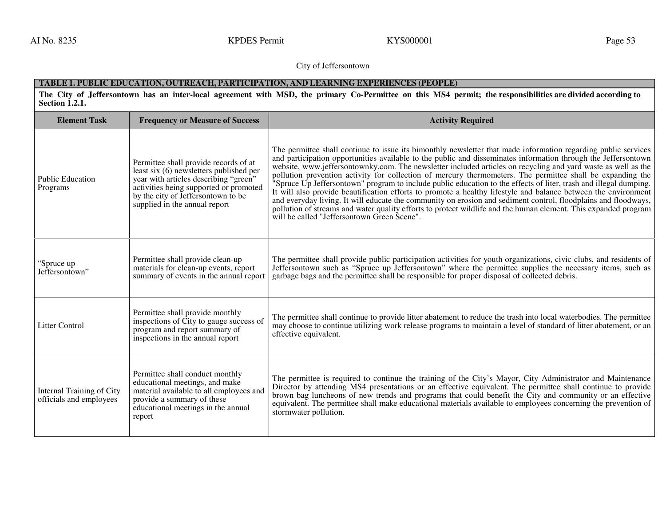AI No. 8235 September 2008 Contract Contract Contract Contract Contract Contract Contract Contract Contract Contract Contract Contract Contract Contract Contract Contract Contract Contract Contract Contract Contract Contra

City of Jeffersontown

# **TABLE 1. PUBLIC EDUCATION, OUTREACH, PARTICIPATION, AND LEARNING EXPERIENCES (PEOPLE)**

**The City of Jeffersontown has an inter-local agreement with MSD, the primary Co-Permittee on this MS4 permit; the responsibilities are divided according to Section 1.2.1.** 

| <b>Element Task</b>                                  | <b>Frequency or Measure of Success</b>                                                                                                                                                                                                     | <b>Activity Required</b>                                                                                                                                                                                                                                                                                                                                                                                                                                                                                                                                                                                                                                                                                                                                                                                                                                                                                                                                                                   |
|------------------------------------------------------|--------------------------------------------------------------------------------------------------------------------------------------------------------------------------------------------------------------------------------------------|--------------------------------------------------------------------------------------------------------------------------------------------------------------------------------------------------------------------------------------------------------------------------------------------------------------------------------------------------------------------------------------------------------------------------------------------------------------------------------------------------------------------------------------------------------------------------------------------------------------------------------------------------------------------------------------------------------------------------------------------------------------------------------------------------------------------------------------------------------------------------------------------------------------------------------------------------------------------------------------------|
| <b>Public Education</b><br>Programs                  | Permittee shall provide records of at<br>least six (6) newsletters published per<br>year with articles describing "green"<br>activities being supported or promoted<br>by the city of Jeffersontown to be<br>supplied in the annual report | The permittee shall continue to issue its bimonthly newsletter that made information regarding public services<br>and participation opportunities available to the public and disseminates information through the Jeffersontown<br>website, www.jeffersontownky.com. The newsletter included articles on recycling and yard waste as well as the<br>pollution prevention activity for collection of mercury thermometers. The permittee shall be expanding the<br>"Spruce Up Jeffersontown" program to include public education to the effects of liter, trash and illegal dumping.<br>It will also provide beautification efforts to promote a healthy lifestyle and balance between the environment<br>and everyday living. It will educate the community on erosion and sediment control, floodplains and floodways,<br>pollution of streams and water quality efforts to protect wildlife and the human element. This expanded program<br>will be called "Jeffersontown Green Scene". |
| "Spruce up<br>Jeffersontown"                         | Permittee shall provide clean-up<br>materials for clean-up events, report<br>summary of events in the annual report                                                                                                                        | The permittee shall provide public participation activities for youth organizations, civic clubs, and residents of<br>Jeffersontown such as "Spruce up Jeffersontown" where the permittee supplies the necessary items, such as<br>garbage bags and the permittee shall be responsible for proper disposal of collected debris.                                                                                                                                                                                                                                                                                                                                                                                                                                                                                                                                                                                                                                                            |
| <b>Litter Control</b>                                | Permittee shall provide monthly<br>inspections of City to gauge success of<br>program and report summary of<br>inspections in the annual report                                                                                            | The permittee shall continue to provide litter abatement to reduce the trash into local waterbodies. The permittee<br>may choose to continue utilizing work release programs to maintain a level of standard of litter abatement, or an<br>effective equivalent.                                                                                                                                                                                                                                                                                                                                                                                                                                                                                                                                                                                                                                                                                                                           |
| Internal Training of City<br>officials and employees | Permittee shall conduct monthly<br>educational meetings, and make<br>material available to all employees and<br>provide a summary of these<br>educational meetings in the annual<br>report                                                 | The permittee is required to continue the training of the City's Mayor, City Administrator and Maintenance<br>Director by attending MS4 presentations or an effective equivalent. The permittee shall continue to provide<br>brown bag luncheons of new trends and programs that could benefit the City and community or an effective<br>equivalent. The permittee shall make educational materials available to employees concerning the prevention of<br>stormwater pollution.                                                                                                                                                                                                                                                                                                                                                                                                                                                                                                           |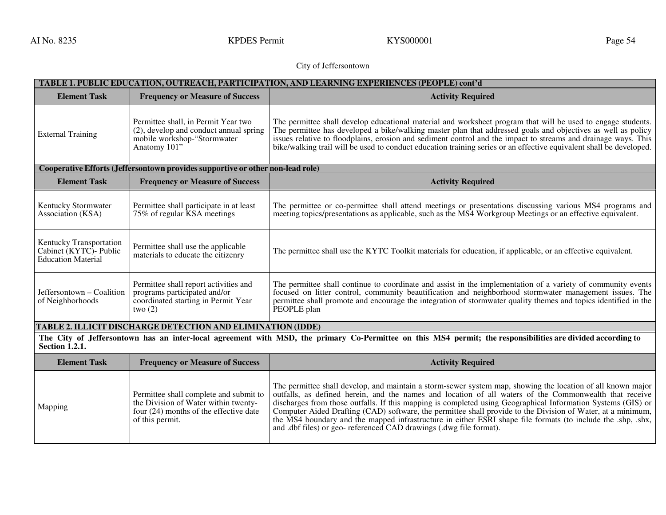AI No. 8235 September 2008 Step September 2008 Step September 2008 Step September 2008 Step September 2008 Step September 2009 Step September 2009 Step September 2009 Step September 2009 Step September 2009 Step September

# City of Jeffersontown

| TABLE 1. PUBLIC EDUCATION, OUTREACH, PARTICIPATION, AND LEARNING EXPERIENCES (PEOPLE) cont'd |                                                                                                                              |                                                                                                                                                                                                                                                                                                                                                                                                                                                                       |
|----------------------------------------------------------------------------------------------|------------------------------------------------------------------------------------------------------------------------------|-----------------------------------------------------------------------------------------------------------------------------------------------------------------------------------------------------------------------------------------------------------------------------------------------------------------------------------------------------------------------------------------------------------------------------------------------------------------------|
| <b>Element Task</b>                                                                          | <b>Frequency or Measure of Success</b>                                                                                       | <b>Activity Required</b>                                                                                                                                                                                                                                                                                                                                                                                                                                              |
| <b>External Training</b>                                                                     | Permittee shall, in Permit Year two<br>(2), develop and conduct annual spring<br>mobile workshop-"Stormwater<br>Anatomy 101" | The permittee shall develop educational material and worksheet program that will be used to engage students.<br>The permittee has developed a bike/walking master plan that addressed goals and objectives as well as policy<br>issues relative to floodplains, erosion and sediment control and the impact to streams and drainage ways. This<br>bike/walking trail will be used to conduct education training series or an effective equivalent shall be developed. |
|                                                                                              | Cooperative Efforts (Jeffersontown provides supportive or other non-lead role)                                               |                                                                                                                                                                                                                                                                                                                                                                                                                                                                       |
| <b>Element Task</b>                                                                          | <b>Frequency or Measure of Success</b>                                                                                       | <b>Activity Required</b>                                                                                                                                                                                                                                                                                                                                                                                                                                              |
| Kentucky Stormwater<br>Association (KSA)                                                     | Permittee shall participate in at least<br>75% of regular KSA meetings                                                       | The permittee or co-permittee shall attend meetings or presentations discussing various MS4 programs and<br>meeting topics/presentations as applicable, such as the MS4 Workgroup Meetings or an effective equivalent.                                                                                                                                                                                                                                                |
| Kentucky Transportation<br>Cabinet (KYTC) - Public<br><b>Education Material</b>              | Permittee shall use the applicable<br>materials to educate the citizenry                                                     | The permittee shall use the KYTC Toolkit materials for education, if applicable, or an effective equivalent.                                                                                                                                                                                                                                                                                                                                                          |
| Jeffersontown - Coalition<br>of Neighborhoods                                                | Permittee shall report activities and<br>programs participated and/or<br>coordinated starting in Permit Year<br>two $(2)$    | The permittee shall continue to coordinate and assist in the implementation of a variety of community events<br>focused on litter control, community beautification and neighborhood stormwater management issues. The<br>permittee shall promote and encourage the integration of stormwater quality themes and topics identified in the<br>PEOPLE plan                                                                                                              |

# **TABLE 2. ILLICIT DISCHARGE DETECTION AND ELIMINATION (IDDE)**

 **The City of Jeffersontown has an inter-local agreement with MSD, the primary Co-Permittee on this MS4 permit; the responsibilities are divided according to Section 1.2.1.** 

| <b>Element Task</b> | <b>Frequency or Measure of Success</b>                                                                                                        | <b>Activity Required</b>                                                                                                                                                                                                                                                                                                                                                                                                                                                                                                                                                                                                                   |
|---------------------|-----------------------------------------------------------------------------------------------------------------------------------------------|--------------------------------------------------------------------------------------------------------------------------------------------------------------------------------------------------------------------------------------------------------------------------------------------------------------------------------------------------------------------------------------------------------------------------------------------------------------------------------------------------------------------------------------------------------------------------------------------------------------------------------------------|
| Mapping             | Permittee shall complete and submit to<br>the Division of Water within twenty-<br>four $(24)$ months of the effective date<br>of this permit. | The permittee shall develop, and maintain a storm-sewer system map, showing the location of all known major<br>outfalls, as defined herein, and the names and location of all waters of the Commonwealth that receive<br>discharges from those outfalls. If this mapping is completed using Geographical Information Systems (GIS) or<br>Computer Aided Drafting (CAD) software, the permittee shall provide to the Division of Water, at a minimum,<br>the MS4 boundary and the mapped infrastructure in either ESRI shape file formats (to include the .shp, .shx,  <br>and dbf files) or geo-referenced CAD drawings (dwg file format). |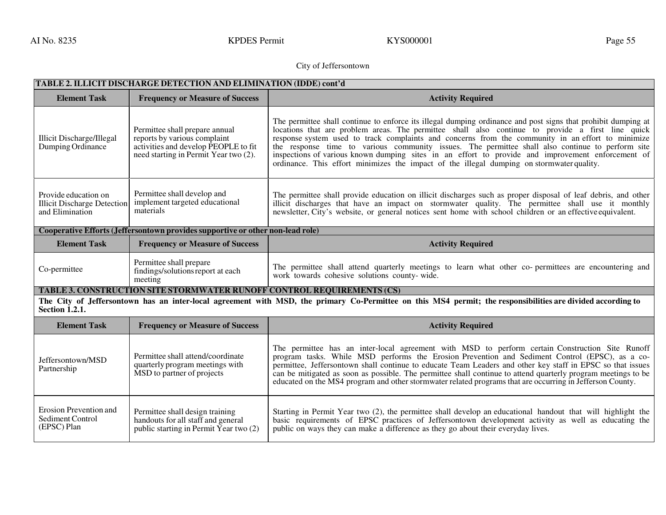AI No. 8235 September 2008 Control Control Control Control Control Control Control Control Control Control Control Control Control Control Control Control Control Control Control Control Control Control Control Control Con

# City of Jeffersontown

| TABLE 2. ILLICIT DISCHARGE DETECTION AND ELIMINATION (IDDE) cont'd            |                                                                                                                                                 |                                                                                                                                                                                                                                                                                                                                                                                                                                                                                                                                                                                                                               |
|-------------------------------------------------------------------------------|-------------------------------------------------------------------------------------------------------------------------------------------------|-------------------------------------------------------------------------------------------------------------------------------------------------------------------------------------------------------------------------------------------------------------------------------------------------------------------------------------------------------------------------------------------------------------------------------------------------------------------------------------------------------------------------------------------------------------------------------------------------------------------------------|
| <b>Element Task</b>                                                           | <b>Frequency or Measure of Success</b>                                                                                                          | <b>Activity Required</b>                                                                                                                                                                                                                                                                                                                                                                                                                                                                                                                                                                                                      |
| Illicit Discharge/Illegal<br>Dumping Ordinance                                | Permittee shall prepare annual<br>reports by various complaint<br>activities and develop PEOPLE to fit<br>need starting in Permit Year two (2). | The permittee shall continue to enforce its illegal dumping ordinance and post signs that prohibit dumping at<br>locations that are problem areas. The permittee shall also continue to provide a first line quick<br>response system used to track complaints and concerns from the community in an effort to minimize<br>the response time to various community issues. The permittee shall also continue to perform site<br>inspections of various known dumping sites in an effort to provide and improvement enforcement of<br>ordinance. This effort minimizes the impact of the illegal dumping on stormwater quality. |
| Provide education on<br><b>Illicit Discharge Detection</b><br>and Elimination | Permittee shall develop and<br>implement targeted educational<br>materials                                                                      | The permittee shall provide education on illicit discharges such as proper disposal of leaf debris, and other<br>illicit discharges that have an impact on stormwater quality. The permittee shall use it monthly<br>newsletter, City's website, or general notices sent home with school children or an effective equivalent.                                                                                                                                                                                                                                                                                                |
|                                                                               | Cooperative Efforts (Jeffersontown provides supportive or other non-lead role)                                                                  |                                                                                                                                                                                                                                                                                                                                                                                                                                                                                                                                                                                                                               |
| <b>Element Task</b>                                                           | <b>Frequency or Measure of Success</b>                                                                                                          | <b>Activity Required</b>                                                                                                                                                                                                                                                                                                                                                                                                                                                                                                                                                                                                      |
| Co-permittee                                                                  | Permittee shall prepare<br>findings/solutions report at each<br>meeting                                                                         | The permittee shall attend quarterly meetings to learn what other co-permittees are encountering and<br>work towards cohesive solutions county-wide.                                                                                                                                                                                                                                                                                                                                                                                                                                                                          |
|                                                                               | <b>TABLE 3. CONSTRUCTION SITE STORMWATER RUNOFF CONTROL REQUIREMENTS (CS)</b>                                                                   |                                                                                                                                                                                                                                                                                                                                                                                                                                                                                                                                                                                                                               |
| <b>Section 1.2.1.</b>                                                         |                                                                                                                                                 | The City of Jeffersontown has an inter-local agreement with MSD, the primary Co-Permittee on this MS4 permit; the responsibilities are divided according to                                                                                                                                                                                                                                                                                                                                                                                                                                                                   |
| <b>Element Task</b>                                                           | <b>Frequency or Measure of Success</b>                                                                                                          | <b>Activity Required</b>                                                                                                                                                                                                                                                                                                                                                                                                                                                                                                                                                                                                      |
| Jeffersontown/MSD<br>Partnership                                              | Permittee shall attend/coordinate<br>quarterly program meetings with<br>MSD to partner of projects                                              | The permittee has an inter-local agreement with MSD to perform certain Construction Site Runoff<br>program tasks. While MSD performs the Erosion Prevention and Sediment Control (EPSC), as a co-<br>permittee, Jeffersontown shall continue to educate Team Leaders and other key staff in EPSC so that issues<br>can be mitigated as soon as possible. The permittee shall continue to attend quarterly program meetings to be<br>educated on the MS4 program and other stormwater related programs that are occurring in Jefferson County.                                                                                 |
| Erosion Prevention and<br>Sediment Control<br>(EPSC) Plan                     | Permittee shall design training<br>handouts for all staff and general<br>public starting in Permit Year two $(2)$                               | Starting in Permit Year two (2), the permittee shall develop an educational handout that will highlight the<br>basic requirements of EPSC practices of Jeffersontown development activity as well as educating the<br>public on ways they can make a difference as they go about their everyday lives.                                                                                                                                                                                                                                                                                                                        |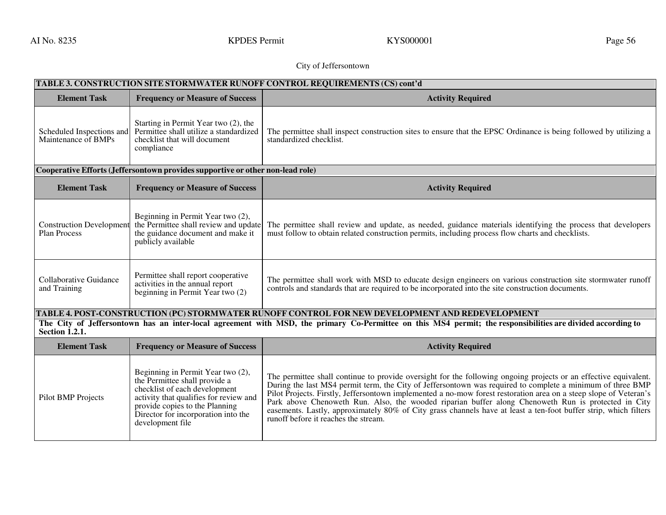AI No. 8235 September 2008 Control Control Control Control Control Control Control Control Control Control Control Control Control Control Control Control Control Control Control Control Control Control Control Control Con

# City of Jeffersontown

| TABLE 3. CONSTRUCTION SITE STORMWATER RUNOFF CONTROL REQUIREMENTS (CS) cont'd |                                                                                                                                                                                                                                            |                                                                                                                                                                                                                                                                                                                                                                                                                                                                                                                                                                                                                        |
|-------------------------------------------------------------------------------|--------------------------------------------------------------------------------------------------------------------------------------------------------------------------------------------------------------------------------------------|------------------------------------------------------------------------------------------------------------------------------------------------------------------------------------------------------------------------------------------------------------------------------------------------------------------------------------------------------------------------------------------------------------------------------------------------------------------------------------------------------------------------------------------------------------------------------------------------------------------------|
| <b>Element Task</b>                                                           | <b>Frequency or Measure of Success</b>                                                                                                                                                                                                     | <b>Activity Required</b>                                                                                                                                                                                                                                                                                                                                                                                                                                                                                                                                                                                               |
| Scheduled Inspections and<br>Maintenance of BMPs                              | Starting in Permit Year two (2), the<br>Permittee shall utilize a standardized<br>checklist that will document<br>compliance                                                                                                               | The permittee shall inspect construction sites to ensure that the EPSC Ordinance is being followed by utilizing a<br>standardized checklist.                                                                                                                                                                                                                                                                                                                                                                                                                                                                           |
|                                                                               | Cooperative Efforts (Jeffersontown provides supportive or other non-lead role)                                                                                                                                                             |                                                                                                                                                                                                                                                                                                                                                                                                                                                                                                                                                                                                                        |
| <b>Element Task</b>                                                           | <b>Frequency or Measure of Success</b>                                                                                                                                                                                                     | <b>Activity Required</b>                                                                                                                                                                                                                                                                                                                                                                                                                                                                                                                                                                                               |
| <b>Construction Development</b><br><b>Plan Process</b>                        | Beginning in Permit Year two (2),<br>the Permittee shall review and update<br>the guidance document and make it<br>publicly available                                                                                                      | The permittee shall review and update, as needed, guidance materials identifying the process that developers<br>must follow to obtain related construction permits, including process flow charts and checklists.                                                                                                                                                                                                                                                                                                                                                                                                      |
| Collaborative Guidance<br>and Training                                        | Permittee shall report cooperative<br>activities in the annual report<br>beginning in Permit Year two (2)                                                                                                                                  | The permittee shall work with MSD to educate design engineers on various construction site stormwater runoff<br>controls and standards that are required to be incorporated into the site construction documents.                                                                                                                                                                                                                                                                                                                                                                                                      |
|                                                                               |                                                                                                                                                                                                                                            | TABLE 4. POST-CONSTRUCTION (PC) STORMWATER RUNOFF CONTROL FOR NEW DEVELOPMENT AND REDEVELOPMENT                                                                                                                                                                                                                                                                                                                                                                                                                                                                                                                        |
| Section 1.2.1.                                                                |                                                                                                                                                                                                                                            | The City of Jeffersontown has an inter-local agreement with MSD, the primary Co-Permittee on this MS4 permit; the responsibilities are divided according to                                                                                                                                                                                                                                                                                                                                                                                                                                                            |
| <b>Element Task</b>                                                           | <b>Frequency or Measure of Success</b>                                                                                                                                                                                                     | <b>Activity Required</b>                                                                                                                                                                                                                                                                                                                                                                                                                                                                                                                                                                                               |
| Pilot BMP Projects                                                            | Beginning in Permit Year two (2),<br>the Permittee shall provide a<br>checklist of each development<br>activity that qualifies for review and<br>provide copies to the Planning<br>Director for incorporation into the<br>development file | The permittee shall continue to provide oversight for the following ongoing projects or an effective equivalent.<br>During the last MS4 permit term, the City of Jeffersontown was required to complete a minimum of three BMP<br>Pilot Projects. Firstly, Jeffersontown implemented a no-mow forest restoration area on a steep slope of Veteran's<br>Park above Chenoweth Run. Also, the wooded riparian buffer along Chenoweth Run is protected in City<br>easements. Lastly, approximately 80% of City grass channels have at least a ten-foot buffer strip, which filters<br>runoff before it reaches the stream. |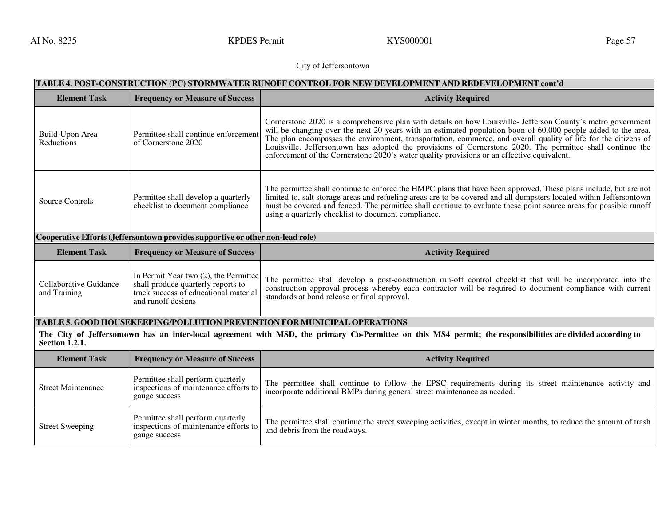AI No. 8235 September 2008 Superint Represent Research RYS000001 Nage 57 September 2014 No. 8235 September 201

# City of Jeffersontown

|                               | TABLE 4. POST-CONSTRUCTION (PC) STORMWATER RUNOFF CONTROL FOR NEW DEVELOPMENT AND REDEVELOPMENT cont'd |                                                                                                                                                                                                                                                                                                                                                                                                                                                                                                                                                              |  |
|-------------------------------|--------------------------------------------------------------------------------------------------------|--------------------------------------------------------------------------------------------------------------------------------------------------------------------------------------------------------------------------------------------------------------------------------------------------------------------------------------------------------------------------------------------------------------------------------------------------------------------------------------------------------------------------------------------------------------|--|
| <b>Element Task</b>           | <b>Frequency or Measure of Success</b>                                                                 | <b>Activity Required</b>                                                                                                                                                                                                                                                                                                                                                                                                                                                                                                                                     |  |
| Build-Upon Area<br>Reductions | Permittee shall continue enforcement<br>of Cornerstone 2020                                            | Cornerstone 2020 is a comprehensive plan with details on how Louisville- Jefferson County's metro government<br>will be changing over the next 20 years with an estimated population boon of 60,000 people added to the area.<br>The plan encompasses the environment, transportation, commerce, and overall quality of life for the citizens of<br>Louisville. Jeffersontown has adopted the provisions of Cornerstone 2020. The permittee shall continue the<br>enforcement of the Cornerstone 2020's water quality provisions or an effective equivalent. |  |
| Source Controls               | Permittee shall develop a quarterly<br>checklist to document compliance                                | The permittee shall continue to enforce the HMPC plans that have been approved. These plans include, but are not<br>limited to, salt storage areas and refueling areas are to be covered and all dumpsters located within Jeffersontown<br>must be covered and fenced. The permittee shall continue to evaluate these point source areas for possible runoff<br>using a quarterly checklist to document compliance.                                                                                                                                          |  |
|                               | Cooperative Efforts (Jeffersontown provides supportive or other non-lead role)                         |                                                                                                                                                                                                                                                                                                                                                                                                                                                                                                                                                              |  |
| <b>Element Task</b>           | <b>Frequency or Measure of Success</b>                                                                 | <b>Activity Required</b>                                                                                                                                                                                                                                                                                                                                                                                                                                                                                                                                     |  |
| <b>Collaborative Guidance</b> | In Permit Year two (2), the Permittee                                                                  |                                                                                                                                                                                                                                                                                                                                                                                                                                                                                                                                                              |  |
| and Training                  | shall produce quarterly reports to<br>track success of educational material<br>and runoff designs      | The permittee shall develop a post-construction run-off control checklist that will be incorporated into the<br>construction approval process whereby each contractor will be required to document compliance with current<br>standards at bond release or final approval.                                                                                                                                                                                                                                                                                   |  |
|                               |                                                                                                        | <b>TABLE 5. GOOD HOUSEKEEPING/POLLUTION PREVENTION FOR MUNICIPAL OPERATIONS</b>                                                                                                                                                                                                                                                                                                                                                                                                                                                                              |  |
| <b>Section 1.2.1.</b>         |                                                                                                        | The City of Jeffersontown has an inter-local agreement with MSD, the primary Co-Permittee on this MS4 permit; the responsibilities are divided according to                                                                                                                                                                                                                                                                                                                                                                                                  |  |
| <b>Element Task</b>           | <b>Frequency or Measure of Success</b>                                                                 | <b>Activity Required</b>                                                                                                                                                                                                                                                                                                                                                                                                                                                                                                                                     |  |
| <b>Street Maintenance</b>     | Permittee shall perform quarterly<br>inspections of maintenance efforts to<br>gauge success            | The permittee shall continue to follow the EPSC requirements during its street maintenance activity and<br>incorporate additional BMPs during general street maintenance as needed.                                                                                                                                                                                                                                                                                                                                                                          |  |

Street Sweeping Permittee shall perform quarterly inspections of maintenance efforts to gauge success The permittee shall continue the street sweeping activities, except in winter months, to reduce the amount of trash and debris from the roadways.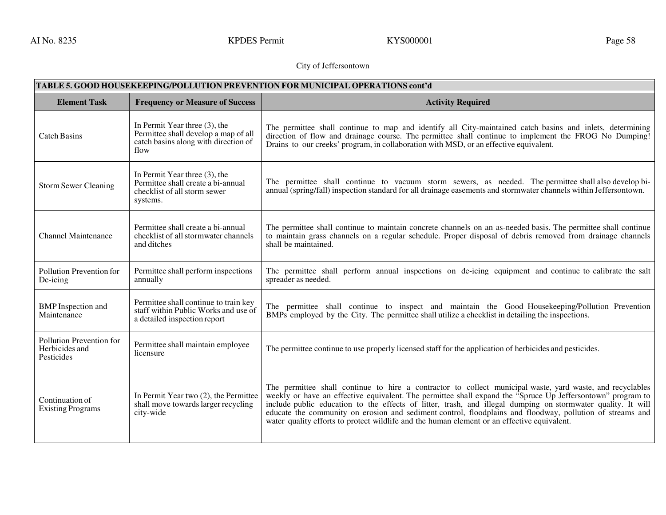AI No. 8235 KPDES Permit KYS000001 Rage 58

# City of Jeffersontown

| TABLE 5. GOOD HOUSEKEEPING/POLLUTION PREVENTION FOR MUNICIPAL OPERATIONS cont'd |                                                                                                                          |                                                                                                                                                                                                                                                                                                                                                                                                                                                                                                                                                   |
|---------------------------------------------------------------------------------|--------------------------------------------------------------------------------------------------------------------------|---------------------------------------------------------------------------------------------------------------------------------------------------------------------------------------------------------------------------------------------------------------------------------------------------------------------------------------------------------------------------------------------------------------------------------------------------------------------------------------------------------------------------------------------------|
| <b>Element Task</b>                                                             | <b>Frequency or Measure of Success</b>                                                                                   | <b>Activity Required</b>                                                                                                                                                                                                                                                                                                                                                                                                                                                                                                                          |
| <b>Catch Basins</b>                                                             | In Permit Year three $(3)$ , the<br>Permittee shall develop a map of all<br>catch basins along with direction of<br>flow | The permittee shall continue to map and identify all City-maintained catch basins and inlets, determining<br>direction of flow and drainage course. The permittee shall continue to implement the FROG No Dumping!<br>Drains to our creeks' program, in collaboration with MSD, or an effective equivalent.                                                                                                                                                                                                                                       |
| <b>Storm Sewer Cleaning</b>                                                     | In Permit Year three (3), the<br>Permittee shall create a bi-annual<br>checklist of all storm sewer<br>systems.          | The permittee shall continue to vacuum storm sewers, as needed. The permittee shall also develop bi-<br>annual (spring/fall) inspection standard for all drainage easements and stormwater channels within Jeffersontown.                                                                                                                                                                                                                                                                                                                         |
| <b>Channel Maintenance</b>                                                      | Permittee shall create a bi-annual<br>checklist of all stormwater channels<br>and ditches                                | The permittee shall continue to maintain concrete channels on an as-needed basis. The permittee shall continue<br>to maintain grass channels on a regular schedule. Proper disposal of debris removed from drainage channels<br>shall be maintained.                                                                                                                                                                                                                                                                                              |
| Pollution Prevention for<br>De-icing                                            | Permittee shall perform inspections<br>annually                                                                          | The permittee shall perform annual inspections on de-icing equipment and continue to calibrate the salt<br>spreader as needed.                                                                                                                                                                                                                                                                                                                                                                                                                    |
| <b>BMP</b> Inspection and<br>Maintenance                                        | Permittee shall continue to train key<br>staff within Public Works and use of<br>a detailed inspection report            | The permittee shall continue to inspect and maintain the Good Housekeeping/Pollution Prevention<br>BMPs employed by the City. The permittee shall utilize a checklist in detailing the inspections.                                                                                                                                                                                                                                                                                                                                               |
| Pollution Prevention for<br>Herbicides and<br>Pesticides                        | Permittee shall maintain employee<br>licensure                                                                           | The permittee continue to use properly licensed staff for the application of herbicides and pesticides.                                                                                                                                                                                                                                                                                                                                                                                                                                           |
| Continuation of<br><b>Existing Programs</b>                                     | In Permit Year two (2), the Permittee<br>shall move towards larger recycling<br>city-wide                                | The permittee shall continue to hire a contractor to collect municipal waste, yard waste, and recyclables<br>weekly or have an effective equivalent. The permittee shall expand the "Spruce Up Jeffersontown" program to<br>include public education to the effects of litter, trash, and illegal dumping on stormwater quality. It will educate the community on erosion and sediment control, floodplains and floodway, pollution of streams and<br>water quality efforts to protect wildlife and the human element or an effective equivalent. |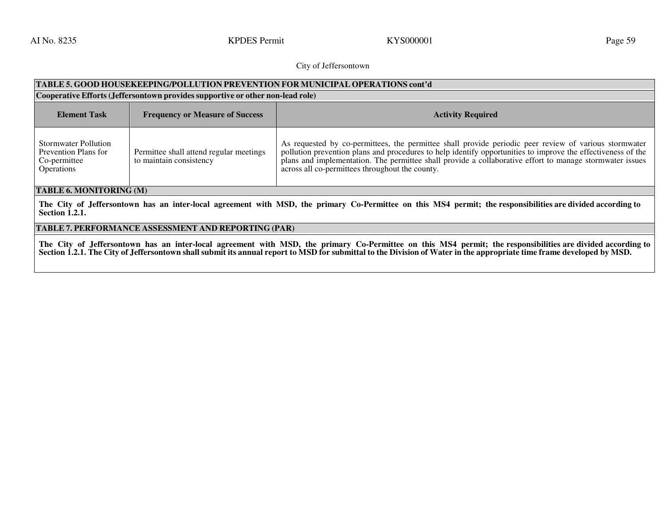AI No. 8235 September 2008 Superint Report of the September 2011 No. 8235 September 2014 No. 8235 September 20

### City of Jeffersontown

# **TABLE 5. GOOD HOUSEKEEPING/POLLUTION PREVENTION FOR MUNICIPAL OPERATIONS cont'd**

| Cooperative Efforts (Jeffersontown provides supportive or other non-lead role)           |                                                                    |                                                                                                                                                                                                                                                                                                                                                                                      |
|------------------------------------------------------------------------------------------|--------------------------------------------------------------------|--------------------------------------------------------------------------------------------------------------------------------------------------------------------------------------------------------------------------------------------------------------------------------------------------------------------------------------------------------------------------------------|
| <b>Element Task</b>                                                                      | <b>Frequency or Measure of Success</b>                             | <b>Activity Required</b>                                                                                                                                                                                                                                                                                                                                                             |
| <b>Stormwater Pollution</b><br>Prevention Plans for<br>Co-permittee<br><b>Operations</b> | Permittee shall attend regular meetings<br>to maintain consistency | As requested by co-permittees, the permittee shall provide periodic peer review of various stormwater<br>pollution prevention plans and procedures to help identify opportunities to improve the effectiveness of the<br>plans and implementation. The permittee shall provide a collaborative effort to manage stormwater issues<br>across all co-permittees throughout the county. |

# **TABLE 6. MONITORING (M)**

**The City of Jeffersontown has an inter-local agreement with MSD, the primary Co-Permittee on this MS4 permit; the responsibilities are divided according to Section 1.2.1.**

### **TABLE 7. PERFORMANCE ASSESSMENT AND REPORTING (PAR)**

**The City of Jeffersontown has an inter-local agreement with MSD, the primary Co-Permittee on this MS4 permit; the responsibilities are divided according to Section 1.2.1. The City of Jeffersontown shall submit its annual report to MSD for submittal to the Division of Water in the appropriate time frame developed by MSD.**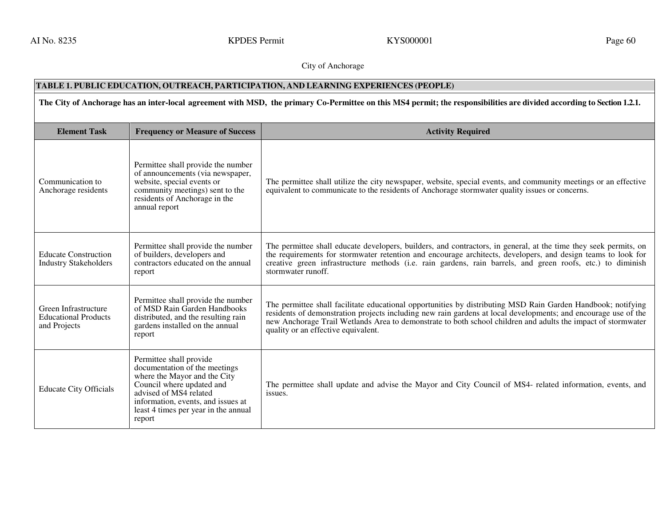AI No. 8235 September 2008 Superint Represent Research RYS000001 September 2014 September 2014 September 2014

# City of Anchorage

# **TABLE 1. PUBLIC EDUCATION, OUTREACH, PARTICIPATION, AND LEARNING EXPERIENCES (PEOPLE)**

# **The City of Anchorage has an inter-local agreement with MSD, the primary Co-Permittee on this MS4 permit; the responsibilities are divided according to Section 1.2.1.**

| <b>Element Task</b>                                                 | <b>Frequency or Measure of Success</b>                                                                                                                                                                                                  | <b>Activity Required</b>                                                                                                                                                                                                                                                                                                                                                              |
|---------------------------------------------------------------------|-----------------------------------------------------------------------------------------------------------------------------------------------------------------------------------------------------------------------------------------|---------------------------------------------------------------------------------------------------------------------------------------------------------------------------------------------------------------------------------------------------------------------------------------------------------------------------------------------------------------------------------------|
| Communication to<br>Anchorage residents                             | Permittee shall provide the number<br>of announcements (via newspaper,<br>website, special events or<br>community meetings) sent to the<br>residents of Anchorage in the<br>annual report                                               | The permittee shall utilize the city newspaper, website, special events, and community meetings or an effective<br>equivalent to communicate to the residents of Anchorage stormwater quality issues or concerns.                                                                                                                                                                     |
| <b>Educate Construction</b><br><b>Industry Stakeholders</b>         | Permittee shall provide the number<br>of builders, developers and<br>contractors educated on the annual<br>report                                                                                                                       | The permittee shall educate developers, builders, and contractors, in general, at the time they seek permits, on<br>the requirements for stormwater retention and encourage architects, developers, and design teams to look for<br>creative green infrastructure methods (i.e. rain gardens, rain barrels, and green roofs, etc.) to diminish<br>stormwater runoff.                  |
| Green Infrastructure<br><b>Educational Products</b><br>and Projects | Permittee shall provide the number<br>of MSD Rain Garden Handbooks<br>distributed, and the resulting rain<br>gardens installed on the annual<br>report                                                                                  | The permittee shall facilitate educational opportunities by distributing MSD Rain Garden Handbook; notifying<br>residents of demonstration projects including new rain gardens at local developments; and encourage use of the<br>new Anchorage Trail Wetlands Area to demonstrate to both school children and adults the impact of stormwater<br>quality or an effective equivalent. |
| <b>Educate City Officials</b>                                       | Permittee shall provide<br>documentation of the meetings<br>where the Mayor and the City<br>Council where updated and<br>advised of MS4 related<br>information, events, and issues at<br>least 4 times per year in the annual<br>report | The permittee shall update and advise the Mayor and City Council of MS4- related information, events, and<br>issues.                                                                                                                                                                                                                                                                  |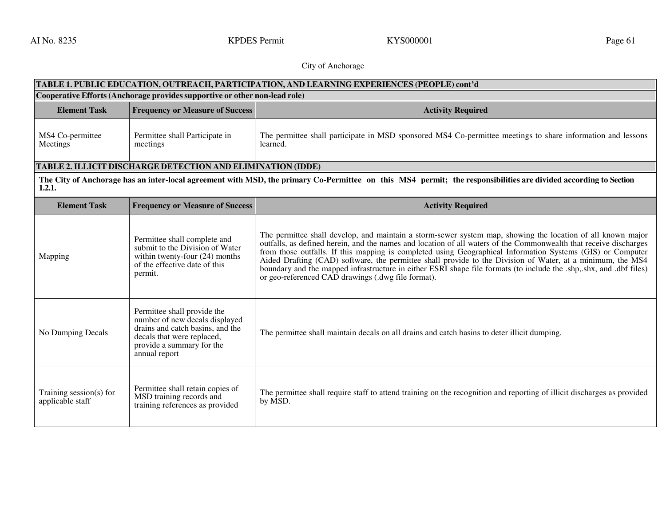AI No. 8235 September 2008 Superint Report of the September 2011 No. 8235 September 2012 September 2014 No. 8235

# City of Anchorage

| TABLE 1. PUBLIC EDUCATION, OUTREACH, PARTICIPATION, AND LEARNING EXPERIENCES (PEOPLE) cont'd |                                                                                                                                                                               |                                                                                                                                                                                                                                                                                                                                                                                                                                                                                                                                                                                                                                         |
|----------------------------------------------------------------------------------------------|-------------------------------------------------------------------------------------------------------------------------------------------------------------------------------|-----------------------------------------------------------------------------------------------------------------------------------------------------------------------------------------------------------------------------------------------------------------------------------------------------------------------------------------------------------------------------------------------------------------------------------------------------------------------------------------------------------------------------------------------------------------------------------------------------------------------------------------|
| Cooperative Efforts (Anchorage provides supportive or other non-lead role)                   |                                                                                                                                                                               |                                                                                                                                                                                                                                                                                                                                                                                                                                                                                                                                                                                                                                         |
| <b>Element Task</b>                                                                          | <b>Frequency or Measure of Success</b>                                                                                                                                        | <b>Activity Required</b>                                                                                                                                                                                                                                                                                                                                                                                                                                                                                                                                                                                                                |
| MS4 Co-permittee<br>Meetings                                                                 | Permittee shall Participate in<br>meetings                                                                                                                                    | The permittee shall participate in MSD sponsored MS4 Co-permittee meetings to share information and lessons<br>learned.                                                                                                                                                                                                                                                                                                                                                                                                                                                                                                                 |
|                                                                                              | TABLE 2. ILLICIT DISCHARGE DETECTION AND ELIMINATION (IDDE)                                                                                                                   |                                                                                                                                                                                                                                                                                                                                                                                                                                                                                                                                                                                                                                         |
| 1.2.1.                                                                                       |                                                                                                                                                                               | The City of Anchorage has an inter-local agreement with MSD, the primary Co-Permittee on this MS4 permit; the responsibilities are divided according to Section                                                                                                                                                                                                                                                                                                                                                                                                                                                                         |
| <b>Element Task</b>                                                                          | <b>Frequency or Measure of Success</b>                                                                                                                                        | <b>Activity Required</b>                                                                                                                                                                                                                                                                                                                                                                                                                                                                                                                                                                                                                |
| Mapping                                                                                      | Permittee shall complete and<br>submit to the Division of Water<br>within twenty-four (24) months<br>of the effective date of this<br>permit.                                 | The permittee shall develop, and maintain a storm-sewer system map, showing the location of all known major<br>outfalls, as defined herein, and the names and location of all waters of the Commonwealth that receive discharges<br>from those outfalls. If this mapping is completed using Geographical Information Systems (GIS) or Computer<br>Aided Drafting (CAD) software, the permittee shall provide to the Division of Water, at a minimum, the MS4<br>boundary and the mapped infrastructure in either ESRI shape file formats (to include the shp, shx, and dbf files)<br>or geo-referenced CAD drawings (.dwg file format). |
| No Dumping Decals                                                                            | Permittee shall provide the<br>number of new decals displayed<br>drains and catch basins, and the<br>decals that were replaced,<br>provide a summary for the<br>annual report | The permittee shall maintain decals on all drains and catch basins to deter illicit dumping.                                                                                                                                                                                                                                                                                                                                                                                                                                                                                                                                            |
| Training session(s) for<br>applicable staff                                                  | Permittee shall retain copies of<br>MSD training records and<br>training references as provided                                                                               | The permittee shall require staff to attend training on the recognition and reporting of illicit discharges as provided<br>by MSD.                                                                                                                                                                                                                                                                                                                                                                                                                                                                                                      |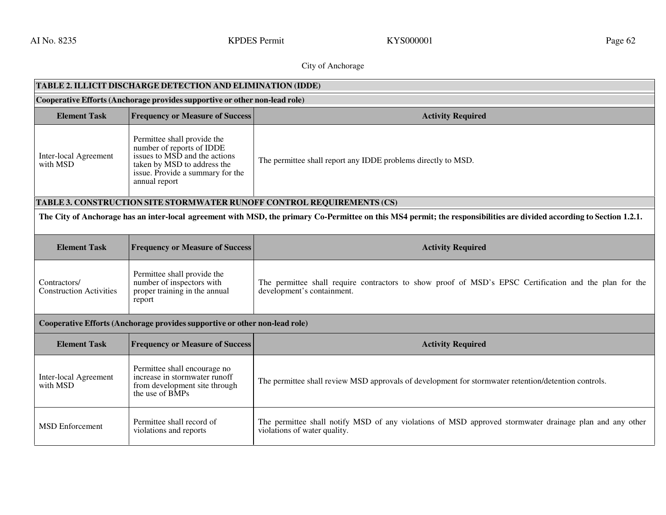AI No. 8235 September 2008 Control Control Control Control Control Control Control Control Control Control Control Control Control Control Control Control Control Control Control Control Control Control Control Control Con

# City of Anchorage

| <b>TABLE 2. ILLICIT DISCHARGE DETECTION AND ELIMINATION (IDDE)</b>         |                                                                                                                                                                               |                                                                                                                                                                        |
|----------------------------------------------------------------------------|-------------------------------------------------------------------------------------------------------------------------------------------------------------------------------|------------------------------------------------------------------------------------------------------------------------------------------------------------------------|
| Cooperative Efforts (Anchorage provides supportive or other non-lead role) |                                                                                                                                                                               |                                                                                                                                                                        |
| <b>Element Task</b>                                                        | <b>Frequency or Measure of Success</b>                                                                                                                                        | <b>Activity Required</b>                                                                                                                                               |
| Inter-local Agreement<br>with MSD                                          | Permittee shall provide the<br>number of reports of IDDE<br>issues to MSD and the actions<br>taken by MSD to address the<br>issue. Provide a summary for the<br>annual report | The permittee shall report any IDDE problems directly to MSD.                                                                                                          |
|                                                                            |                                                                                                                                                                               | TABLE 3. CONSTRUCTION SITE STORMWATER RUNOFF CONTROL REQUIREMENTS (CS)                                                                                                 |
|                                                                            |                                                                                                                                                                               | The City of Anchorage has an inter-local agreement with MSD, the primary Co-Permittee on this MS4 permit; the responsibilities are divided according to Section 1.2.1. |
| <b>Element Task</b>                                                        | <b>Frequency or Measure of Success</b>                                                                                                                                        | <b>Activity Required</b>                                                                                                                                               |
| Contractors/<br><b>Construction Activities</b>                             | Permittee shall provide the<br>number of inspectors with<br>proper training in the annual<br>report                                                                           | The permittee shall require contractors to show proof of MSD's EPSC Certification and the plan for the<br>development's containment.                                   |
|                                                                            | Cooperative Efforts (Anchorage provides supportive or other non-lead role)                                                                                                    |                                                                                                                                                                        |
| <b>Element Task</b>                                                        | <b>Frequency or Measure of Success</b>                                                                                                                                        | <b>Activity Required</b>                                                                                                                                               |
| Inter-local Agreement<br>with MSD                                          | Permittee shall encourage no<br>increase in stormwater runoff<br>from development site through<br>the use of BMPs                                                             | The permittee shall review MSD approvals of development for stormwater retention/detention controls.                                                                   |
| <b>MSD</b> Enforcement                                                     | Permittee shall record of<br>violations and reports                                                                                                                           | The permittee shall notify MSD of any violations of MSD approved stormwater drainage plan and any other<br>violations of water quality.                                |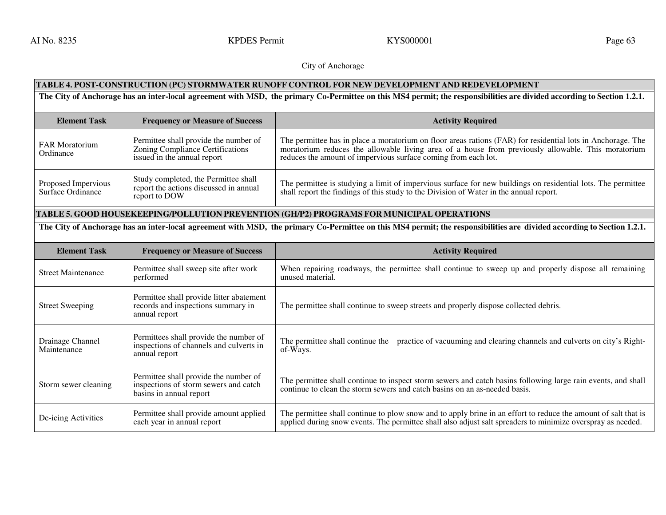AI No. 8235 September 2008 Control Control Control Control Control Control Control Control Control Control Control Control Control Control Control Control Control Control Control Control Control Control Control Control Con

City of Anchorage

# **TABLE 4. POST-CONSTRUCTION (PC) STORMWATER RUNOFF CONTROL FOR NEW DEVELOPMENT AND REDEVELOPMENT**

**The City of Anchorage has an inter-local agreement with MSD, the primary Co-Permittee on this MS4 permit; the responsibilities are divided according to Section 1.2.1.** 

| <b>Element Task</b>                      | <b>Frequency or Measure of Success</b>                                                                          | <b>Activity Required</b>                                                                                                                                                                                                                                                            |
|------------------------------------------|-----------------------------------------------------------------------------------------------------------------|-------------------------------------------------------------------------------------------------------------------------------------------------------------------------------------------------------------------------------------------------------------------------------------|
| <b>FAR Moratorium</b><br>Ordinance       | Permittee shall provide the number of<br><b>Zoning Compliance Certifications</b><br>issued in the annual report | The permittee has in place a moratorium on floor areas rations (FAR) for residential lots in Anchorage. The<br>moratorium reduces the allowable living area of a house from previously allowable. This moratorium<br>reduces the amount of impervious surface coming from each lot. |
| Proposed Impervious<br>Surface Ordinance | Study completed, the Permittee shall<br>report the actions discussed in annual<br>report to DOW                 | The permittee is studying a limit of impervious surface for new buildings on residential lots. The permittee<br>shall report the findings of this study to the Division of Water in the annual report.                                                                              |

# **TABLE 5. GOOD HOUSEKEEPING/POLLUTION PREVENTION (GH/P2) PROGRAMS FOR MUNICIPAL OPERATIONS**

The City of Anchorage has an inter-local agreement with MSD, the primary Co-Permittee on this MS4 permit; the responsibilities are divided according to Section 1.2.1.

| <b>Element Task</b>             | <b>Frequency or Measure of Success</b>                                                                    | <b>Activity Required</b>                                                                                                                                                                                                      |
|---------------------------------|-----------------------------------------------------------------------------------------------------------|-------------------------------------------------------------------------------------------------------------------------------------------------------------------------------------------------------------------------------|
| <b>Street Maintenance</b>       | Permittee shall sweep site after work<br>performed                                                        | When repairing roadways, the permittee shall continue to sweep up and properly dispose all remaining<br>unused material.                                                                                                      |
| <b>Street Sweeping</b>          | Permittee shall provide litter abatement<br>records and inspections summary in<br>annual report           | The permittee shall continue to sweep streets and properly dispose collected debris.                                                                                                                                          |
| Drainage Channel<br>Maintenance | Permittees shall provide the number of<br>inspections of channels and culverts in<br>annual report        | The permittee shall continue the practice of vacuuming and clearing channels and culverts on city's Right-<br>of-Ways.                                                                                                        |
| Storm sewer cleaning            | Permittee shall provide the number of<br>inspections of storm sewers and catch<br>basins in annual report | The permittee shall continue to inspect storm sewers and catch basins following large rain events, and shall<br>continue to clean the storm sewers and catch basins on an as-needed basis.                                    |
| De-icing Activities             | Permittee shall provide amount applied<br>each year in annual report                                      | The permittee shall continue to plow snow and to apply brine in an effort to reduce the amount of salt that is<br>applied during snow events. The permittee shall also adjust salt spreaders to minimize overspray as needed. |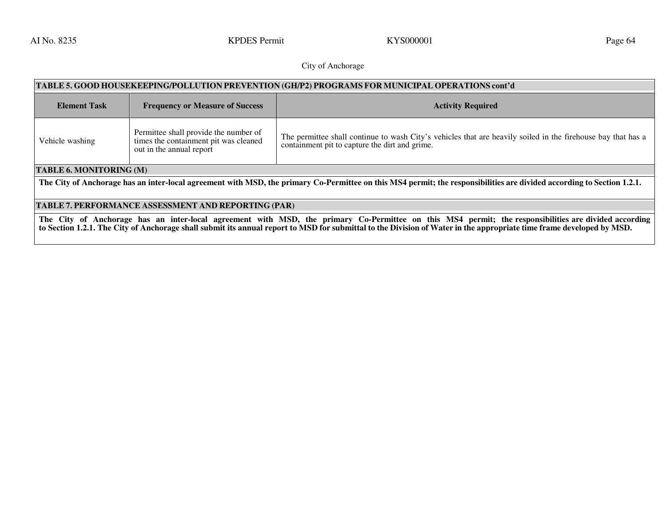AI No. 8235 September 2008 Superint Report of the September 2011 No. 8235 September 2014 No. 8235 September 20

# City of Anchorage

| TABLE 5. GOOD HOUSEKEEPING/POLLUTION PREVENTION (GH/P2) PROGRAMS FOR MUNICIPAL OPERATIONS cont'd                                                                       |                                                                                                            |                                                                                                                                                                |
|------------------------------------------------------------------------------------------------------------------------------------------------------------------------|------------------------------------------------------------------------------------------------------------|----------------------------------------------------------------------------------------------------------------------------------------------------------------|
| <b>Element Task</b>                                                                                                                                                    | <b>Frequency or Measure of Success</b>                                                                     | <b>Activity Required</b>                                                                                                                                       |
| Vehicle washing                                                                                                                                                        | Permittee shall provide the number of<br>times the containment pit was cleaned<br>out in the annual report | The permittee shall continue to wash City's vehicles that are heavily soiled in the firehouse bay that has a<br>containment pit to capture the dirt and grime. |
| TABLE 6. MONITORING (M)                                                                                                                                                |                                                                                                            |                                                                                                                                                                |
| The City of Anchorage has an inter-local agreement with MSD, the primary Co-Permittee on this MS4 permit; the responsibilities are divided according to Section 1.2.1. |                                                                                                            |                                                                                                                                                                |
|                                                                                                                                                                        |                                                                                                            |                                                                                                                                                                |
| TABLE 7. PERFORMANCE ASSESSMENT AND REPORTING (PAR)                                                                                                                    |                                                                                                            |                                                                                                                                                                |

**The City of Anchorage has an inter-local agreement with MSD, the primary Co-Permittee on this MS4 permit; the responsibilities are divided according to Section 1.2.1. The City of Anchorage shall submit its annual report to MSD for submittal to the Division of Water in the appropriate time frame developed by MSD.**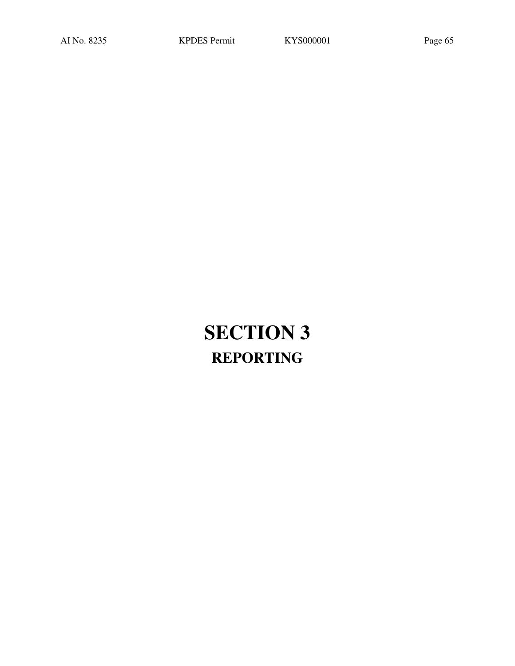# **SECTION 3 REPORTING**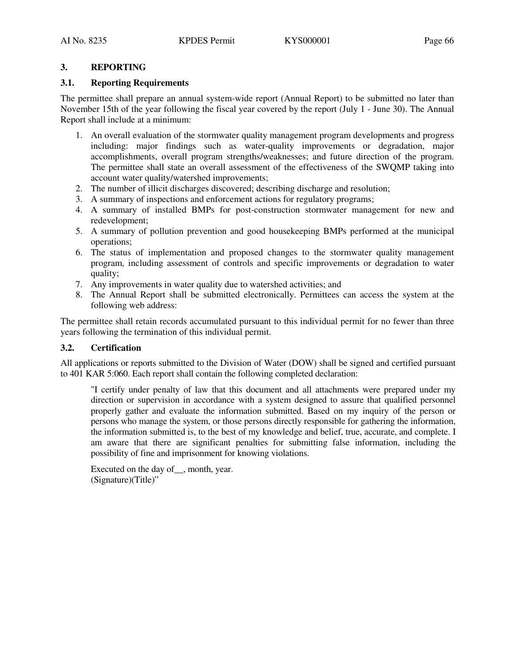# **3. REPORTING**

# **3.1. Reporting Requirements**

The permittee shall prepare an annual system-wide report (Annual Report) to be submitted no later than November 15th of the year following the fiscal year covered by the report (July 1 - June 30). The Annual Report shall include at a minimum:

- 1. An overall evaluation of the stormwater quality management program developments and progress including: major findings such as water-quality improvements or degradation, major accomplishments, overall program strengths/weaknesses; and future direction of the program. The permittee shall state an overall assessment of the effectiveness of the SWQMP taking into account water quality/watershed improvements;
- 2. The number of illicit discharges discovered; describing discharge and resolution;
- 3. A summary of inspections and enforcement actions for regulatory programs;
- 4. A summary of installed BMPs for post-construction stormwater management for new and redevelopment;
- 5. A summary of pollution prevention and good housekeeping BMPs performed at the municipal operations;
- 6. The status of implementation and proposed changes to the stormwater quality management program, including assessment of controls and specific improvements or degradation to water quality;
- 7. Any improvements in water quality due to watershed activities; and
- 8. The Annual Report shall be submitted electronically. Permittees can access the system at the following web address:

The permittee shall retain records accumulated pursuant to this individual permit for no fewer than three years following the termination of this individual permit.

# **3.2. Certification**

All applications or reports submitted to the Division of Water (DOW) shall be signed and certified pursuant to 401 KAR 5:060. Each report shall contain the following completed declaration:

"I certify under penalty of law that this document and all attachments were prepared under my direction or supervision in accordance with a system designed to assure that qualified personnel properly gather and evaluate the information submitted. Based on my inquiry of the person or persons who manage the system, or those persons directly responsible for gathering the information, the information submitted is, to the best of my knowledge and belief, true, accurate, and complete. I am aware that there are significant penalties for submitting false information, including the possibility of fine and imprisonment for knowing violations.

```
Executed on the day of, month, year.
(Signature)(Title)"
```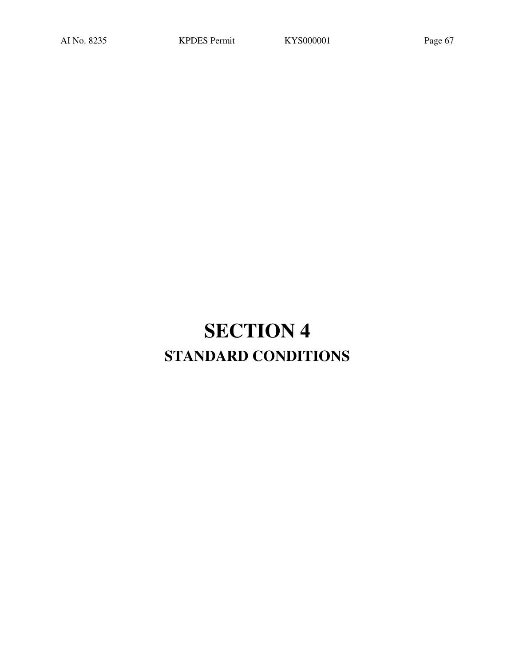# **SECTION 4 STANDARD CONDITIONS**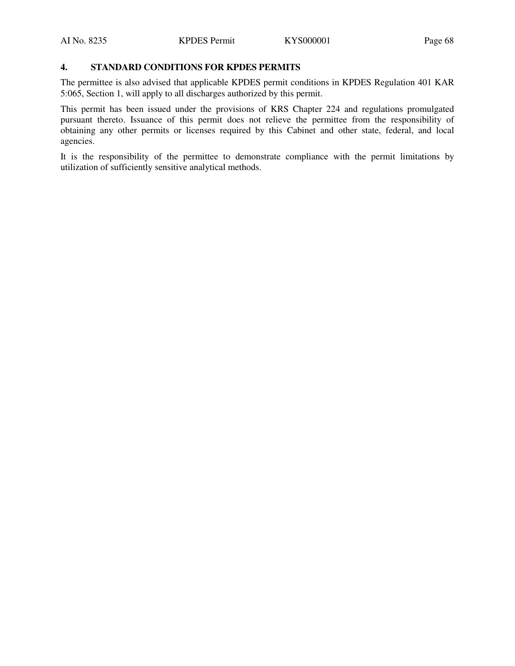# **4. STANDARD CONDITIONS FOR KPDES PERMITS**

The permittee is also advised that applicable KPDES permit conditions in KPDES Regulation 401 KAR 5:065, Section 1, will apply to all discharges authorized by this permit.

This permit has been issued under the provisions of KRS Chapter 224 and regulations promulgated pursuant thereto. Issuance of this permit does not relieve the permittee from the responsibility of obtaining any other permits or licenses required by this Cabinet and other state, federal, and local agencies.

It is the responsibility of the permittee to demonstrate compliance with the permit limitations by utilization of sufficiently sensitive analytical methods.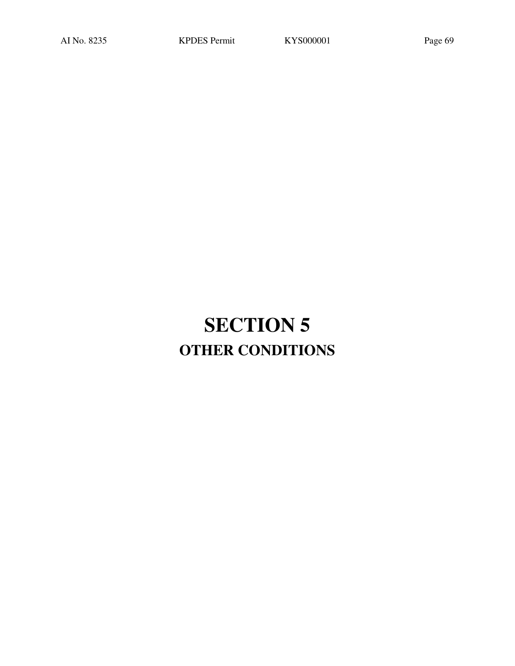# **SECTION 5 OTHER CONDITIONS**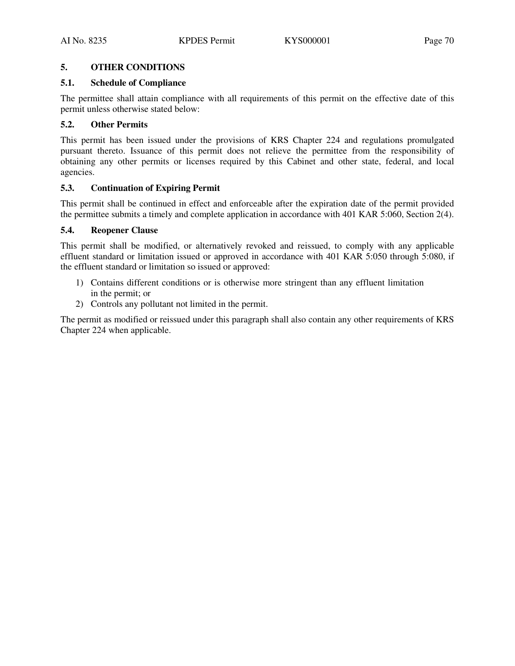# **5. OTHER CONDITIONS**

# **5.1. Schedule of Compliance**

The permittee shall attain compliance with all requirements of this permit on the effective date of this permit unless otherwise stated below:

# **5.2. Other Permits**

This permit has been issued under the provisions of KRS Chapter 224 and regulations promulgated pursuant thereto. Issuance of this permit does not relieve the permittee from the responsibility of obtaining any other permits or licenses required by this Cabinet and other state, federal, and local agencies.

# **5.3. Continuation of Expiring Permit**

This permit shall be continued in effect and enforceable after the expiration date of the permit provided the permittee submits a timely and complete application in accordance with 401 KAR 5:060, Section 2(4).

# **5.4. Reopener Clause**

This permit shall be modified, or alternatively revoked and reissued, to comply with any applicable effluent standard or limitation issued or approved in accordance with 401 KAR 5:050 through 5:080, if the effluent standard or limitation so issued or approved:

- 1) Contains different conditions or is otherwise more stringent than any effluent limitation in the permit; or
- 2) Controls any pollutant not limited in the permit.

The permit as modified or reissued under this paragraph shall also contain any other requirements of KRS Chapter 224 when applicable.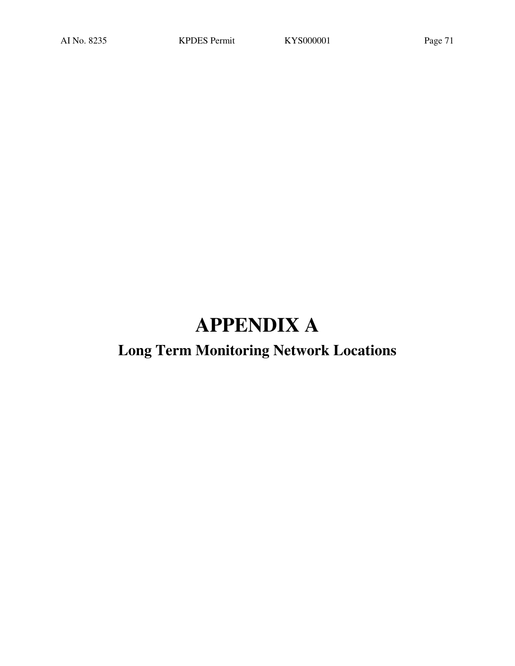# **APPENDIX A**

# **Long Term Monitoring Network Locations**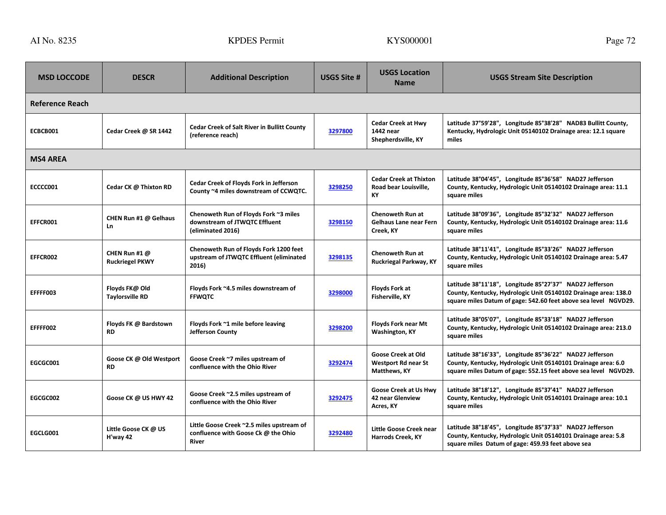| <b>MSD LOCCODE</b>     | <b>DESCR</b>                             | <b>Additional Description</b>                                                                    | USGS Site # | <b>USGS Location</b><br><b>Name</b>                                     | <b>USGS Stream Site Description</b>                                                                                                                                                           |
|------------------------|------------------------------------------|--------------------------------------------------------------------------------------------------|-------------|-------------------------------------------------------------------------|-----------------------------------------------------------------------------------------------------------------------------------------------------------------------------------------------|
| <b>Reference Reach</b> |                                          |                                                                                                  |             |                                                                         |                                                                                                                                                                                               |
| ECBCB001               | Cedar Creek @ SR 1442                    | <b>Cedar Creek of Salt River in Bullitt County</b><br>(reference reach)                          | 3297800     | <b>Cedar Creek at Hwy</b><br>1442 near<br>Shepherdsville, KY            | Latitude 37°59'28", Longitude 85°38'28" NAD83 Bullitt County,<br>Kentucky, Hydrologic Unit 05140102 Drainage area: 12.1 square<br>miles                                                       |
| <b>MS4 AREA</b>        |                                          |                                                                                                  |             |                                                                         |                                                                                                                                                                                               |
| ECCCC001               | Cedar CK @ Thixton RD                    | <b>Cedar Creek of Floyds Fork in Jefferson</b><br>County ~4 miles downstream of CCWQTC.          | 3298250     | <b>Cedar Creek at Thixton</b><br>Road bear Louisville,<br>KY            | Latitude 38°04'45", Longitude 85°36'58" NAD27 Jefferson<br>County, Kentucky, Hydrologic Unit 05140102 Drainage area: 11.1<br>square miles                                                     |
| EFFCR001               | CHEN Run #1 @ Gelhaus<br>Ln              | Chenoweth Run of Floyds Fork ~3 miles<br>downstream of JTWQTC Effluent<br>(eliminated 2016)      | 3298150     | <b>Chenoweth Run at</b><br>Gelhaus Lane near Fern<br>Creek, KY          | Latitude 38°09'36", Longitude 85°32'32" NAD27 Jefferson<br>County, Kentucky, Hydrologic Unit 05140102 Drainage area: 11.6<br>square miles                                                     |
| EFFCR002               | CHEN Run #1 @<br><b>Ruckriegel PKWY</b>  | Chenoweth Run of Floyds Fork 1200 feet<br>upstream of JTWQTC Effluent (eliminated<br>2016)       | 3298135     | <b>Chenoweth Run at</b><br>Ruckriegal Parkway, KY                       | Latitude 38°11'41", Longitude 85°33'26" NAD27 Jefferson<br>County, Kentucky, Hydrologic Unit 05140102 Drainage area: 5.47<br>square miles                                                     |
| EFFFF003               | Floyds FK@ Old<br><b>Taylorsville RD</b> | Floyds Fork ~4.5 miles downstream of<br><b>FFWQTC</b>                                            | 3298000     | <b>Floyds Fork at</b><br>Fisherville, KY                                | Latitude 38°11'18", Longitude 85°27'37" NAD27 Jefferson<br>County, Kentucky, Hydrologic Unit 05140102 Drainage area: 138.0<br>square miles Datum of gage: 542.60 feet above sea level NGVD29. |
| EFFFF002               | Floyds FK @ Bardstown<br><b>RD</b>       | Floyds Fork ~1 mile before leaving<br>Jefferson County                                           | 3298200     | <b>Floyds Fork near Mt</b><br>Washington, KY                            | Latitude 38°05'07", Longitude 85°33'18" NAD27 Jefferson<br>County, Kentucky, Hydrologic Unit 05140102 Drainage area: 213.0<br>square miles                                                    |
| EGCGC001               | Goose CK @ Old Westport<br><b>RD</b>     | Goose Creek ~7 miles upstream of<br>confluence with the Ohio River                               | 3292474     | <b>Goose Creek at Old</b><br><b>Westport Rd near St</b><br>Matthews, KY | Latitude 38°16'33", Longitude 85°36'22" NAD27 Jefferson<br>County, Kentucky, Hydrologic Unit 05140101 Drainage area: 6.0<br>square miles Datum of gage: 552.15 feet above sea level NGVD29.   |
| EGCGC002               | Goose CK @ US HWY 42                     | Goose Creek ~2.5 miles upstream of<br>confluence with the Ohio River                             | 3292475     | Goose Creek at Us Hwv<br>42 near Glenview<br>Acres, KY                  | Latitude 38°18'12", Longitude 85°37'41" NAD27 Jefferson<br>County, Kentucky, Hydrologic Unit 05140101 Drainage area: 10.1<br>square miles                                                     |
| EGCLG001               | Little Goose CK @ US<br>H'way 42         | Little Goose Creek ~2.5 miles upstream of<br>confluence with Goose Ck @ the Ohio<br><b>River</b> | 3292480     | Little Goose Creek near<br>Harrods Creek, KY                            | Latitude 38°18'45", Longitude 85°37'33" NAD27 Jefferson<br>County, Kentucky, Hydrologic Unit 05140101 Drainage area: 5.8<br>square miles Datum of gage: 459.93 feet above sea                 |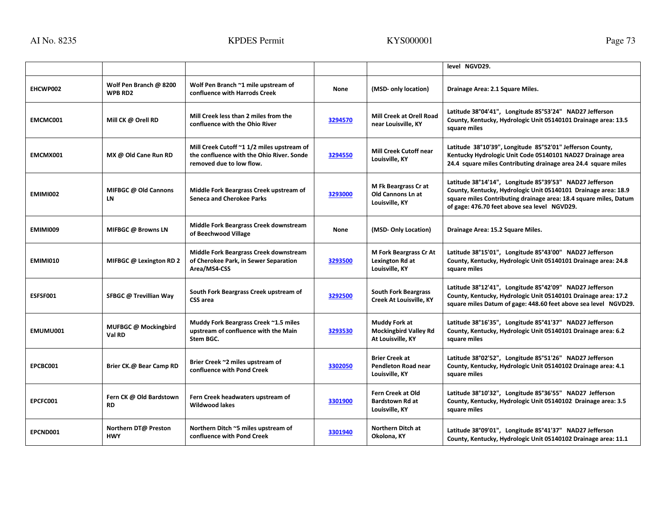|                 |                                          |                                                                                                                     |             |                                                                       | level NGVD29.                                                                                                                                                                                                                                  |
|-----------------|------------------------------------------|---------------------------------------------------------------------------------------------------------------------|-------------|-----------------------------------------------------------------------|------------------------------------------------------------------------------------------------------------------------------------------------------------------------------------------------------------------------------------------------|
| EHCWP002        | Wolf Pen Branch @ 8200<br><b>WPB RD2</b> | Wolf Pen Branch ~1 mile upstream of<br>confluence with Harrods Creek                                                | <b>None</b> | (MSD- only location)                                                  | Drainage Area: 2.1 Square Miles.                                                                                                                                                                                                               |
| EMCMC001        | Mill CK @ Orell RD                       | Mill Creek less than 2 miles from the<br>confluence with the Ohio River                                             | 3294570     | <b>Mill Creek at Orell Road</b><br>near Louisville, KY                | Latitude 38°04'41", Longitude 85°53'24" NAD27 Jefferson<br>County, Kentucky, Hydrologic Unit 05140101 Drainage area: 13.5<br>square miles                                                                                                      |
| EMCMX001        | MX @ Old Cane Run RD                     | Mill Creek Cutoff ~1 1/2 miles upstream of<br>the confluence with the Ohio River. Sonde<br>removed due to low flow. | 3294550     | <b>Mill Creek Cutoff near</b><br>Louisville. KY                       | Latitude 38°10'39", Longitude 85°52'01" Jefferson County,<br>Kentucky Hydrologic Unit Code 05140101 NAD27 Drainage area<br>24.4 square miles Contributing drainage area 24.4 square miles                                                      |
| <b>EMIMI002</b> | MIFBGC @ Old Cannons<br>LN               | Middle Fork Beargrass Creek upstream of<br><b>Seneca and Cherokee Parks</b>                                         | 3293000     | M Fk Beargrass Cr at<br>Old Cannons Ln at<br>Louisville, KY           | Latitude 38°14'14", Longitude 85°39'53" NAD27 Jefferson<br>County, Kentucky, Hydrologic Unit 05140101 Drainage area: 18.9<br>square miles Contributing drainage area: 18.4 square miles, Datum<br>of gage: 476.70 feet above sea level NGVD29. |
| <b>EMIMI009</b> | MIFBGC @ Browns LN                       | Middle Fork Beargrass Creek downstream<br>of Beechwood Village                                                      | <b>None</b> | (MSD-Only Location)                                                   | Drainage Area: 15.2 Square Miles.                                                                                                                                                                                                              |
| <b>EMIMI010</b> | MIFBGC @ Lexington RD 2                  | Middle Fork Beargrass Creek downstream<br>of Cherokee Park, in Sewer Separation<br>Area/MS4-CSS                     | 3293500     | M Fork Beargrass Cr At<br>Lexington Rd at<br>Louisville, KY           | Latitude 38°15'01", Longitude 85°43'00" NAD27 Jefferson<br>County, Kentucky, Hydrologic Unit 05140101 Drainage area: 24.8<br>square miles                                                                                                      |
| ESFSF001        | SFBGC @ Trevillian Way                   | South Fork Beargrass Creek upstream of<br><b>CSS</b> area                                                           | 3292500     | <b>South Fork Beargrass</b><br>Creek At Louisville, KY                | Latitude 38°12'41", Longitude 85°42'09" NAD27 Jefferson<br>County, Kentucky, Hydrologic Unit 05140101 Drainage area: 17.2<br>square miles Datum of gage: 448.60 feet above sea level NGVD29.                                                   |
| EMUMU001        | MUFBGC @ Mockingbird<br>Val RD           | Muddy Fork Beargrass Creek ~1.5 miles<br>upstream of confluence with the Main<br>Stem BGC.                          | 3293530     | Muddy Fork at<br><b>Mockingbird Valley Rd</b><br>At Louisville, KY    | Latitude 38°16'35", Longitude 85°41'37" NAD27 Jefferson<br>County, Kentucky, Hydrologic Unit 05140101 Drainage area: 6.2<br>square miles                                                                                                       |
| EPCBC001        | Brier CK.@ Bear Camp RD                  | Brier Creek ~2 miles upstream of<br>confluence with Pond Creek                                                      | 3302050     | <b>Brier Creek at</b><br><b>Pendleton Road near</b><br>Louisville, KY | Latitude 38°02'52", Longitude 85°51'26" NAD27 Jefferson<br>County, Kentucky, Hydrologic Unit 05140102 Drainage area: 4.1<br>square miles                                                                                                       |
| EPCFC001        | Fern CK @ Old Bardstown<br><b>RD</b>     | Fern Creek headwaters upstream of<br><b>Wildwood lakes</b>                                                          | 3301900     | Fern Creek at Old<br><b>Bardstown Rd at</b><br>Louisville, KY         | Latitude 38°10'32", Longitude 85°36'55" NAD27 Jefferson<br>County, Kentucky, Hydrologic Unit 05140102 Drainage area: 3.5<br>square miles                                                                                                       |
| EPCND001        | Northern DT@ Preston<br><b>HWY</b>       | Northern Ditch ~5 miles upstream of<br>confluence with Pond Creek                                                   | 3301940     | Northern Ditch at<br>Okolona, KY                                      | Latitude 38°09'01", Longitude 85°41'37" NAD27 Jefferson<br>County, Kentucky, Hydrologic Unit 05140102 Drainage area: 11.1                                                                                                                      |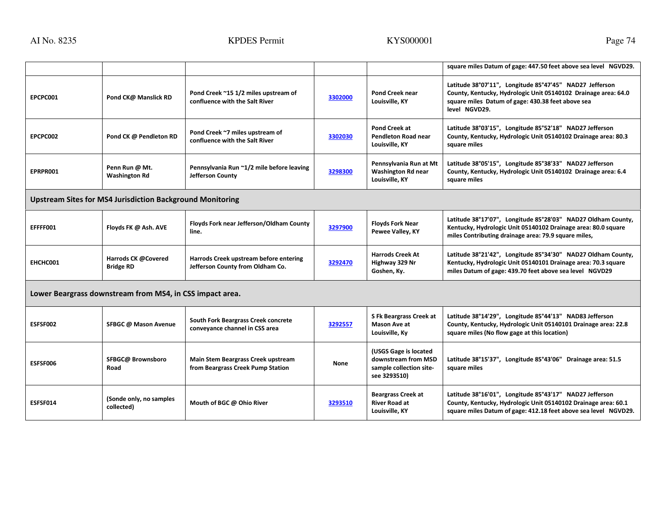|                                                                  |                                         |                                                                            |         |                                                                                         | square miles Datum of gage: 447.50 feet above sea level NGVD29.                                                                                                                                 |
|------------------------------------------------------------------|-----------------------------------------|----------------------------------------------------------------------------|---------|-----------------------------------------------------------------------------------------|-------------------------------------------------------------------------------------------------------------------------------------------------------------------------------------------------|
| EPCPC001                                                         | Pond CK@ Manslick RD                    | Pond Creek ~15 1/2 miles upstream of<br>confluence with the Salt River     | 3302000 | <b>Pond Creek near</b><br>Louisville, KY                                                | Latitude 38°07'11", Longitude 85°47'45" NAD27 Jefferson<br>County, Kentucky, Hydrologic Unit 05140102 Drainage area: 64.0<br>square miles Datum of gage: 430.38 feet above sea<br>level NGVD29. |
| EPCPC002                                                         | Pond CK @ Pendleton RD                  | Pond Creek ~7 miles upstream of<br>confluence with the Salt River          | 3302030 | Pond Creek at<br><b>Pendleton Road near</b><br>Louisville, KY                           | Latitude 38°03'15", Longitude 85°52'18" NAD27 Jefferson<br>County, Kentucky, Hydrologic Unit 05140102 Drainage area: 80.3<br>square miles                                                       |
| EPRPR001                                                         | Penn Run @ Mt.<br><b>Washington Rd</b>  | Pennsylvania Run ~1/2 mile before leaving<br>Jefferson County              | 3298300 | Pennsylvania Run at Mt<br><b>Washington Rd near</b><br>Louisville, KY                   | Latitude 38°05'15", Longitude 85°38'33" NAD27 Jefferson<br>County, Kentucky, Hydrologic Unit 05140102 Drainage area: 6.4<br>square miles                                                        |
| <b>Upstream Sites for MS4 Jurisdiction Background Monitoring</b> |                                         |                                                                            |         |                                                                                         |                                                                                                                                                                                                 |
| EFFFF001                                                         | Floyds FK @ Ash. AVE                    | Floyds Fork near Jefferson/Oldham County<br>line.                          | 3297900 | <b>Floyds Fork Near</b><br>Pewee Valley, KY                                             | Latitude 38°17'07", Longitude 85°28'03" NAD27 Oldham County,<br>Kentucky, Hydrologic Unit 05140102 Drainage area: 80.0 square<br>miles Contributing drainage area: 79.9 square miles,           |
| EHCHC001                                                         | Harrods CK @Covered<br><b>Bridge RD</b> | Harrods Creek upstream before entering<br>Jefferson County from Oldham Co. | 3292470 | <b>Harrods Creek At</b><br>Highway 329 Nr<br>Goshen, Ky.                                | Latitude 38°21'42", Longitude 85°34'30" NAD27 Oldham County,<br>Kentucky, Hydrologic Unit 05140101 Drainage area: 70.3 square<br>miles Datum of gage: 439.70 feet above sea level NGVD29        |
| Lower Beargrass downstream from MS4, in CSS impact area.         |                                         |                                                                            |         |                                                                                         |                                                                                                                                                                                                 |
| <b>ESFSF002</b>                                                  | SFBGC @ Mason Avenue                    | South Fork Beargrass Creek concrete<br>conveyance channel in CSS area      | 3292557 | S Fk Beargrass Creek at<br><b>Mason Ave at</b><br>Louisville, Ky                        | Latitude 38°14'29", Longitude 85°44'13" NAD83 Jefferson<br>County, Kentucky, Hydrologic Unit 05140101 Drainage area: 22.8<br>square miles (No flow gage at this location)                       |
| <b>ESFSF006</b>                                                  | SFBGC@ Brownsboro<br>Road               | Main Stem Beargrass Creek upstream<br>from Beargrass Creek Pump Station    | None    | (USGS Gage is located<br>downstream from MSD<br>sample collection site-<br>see 3293510) | Latitude 38°15'37", Longitude 85°43'06" Drainage area: 51.5<br>square miles                                                                                                                     |
| ESFSF014                                                         | (Sonde only, no samples<br>collected)   | Mouth of BGC @ Ohio River                                                  | 3293510 | <b>Beargrass Creek at</b><br><b>River Road at</b><br>Louisville, KY                     | Latitude 38°16'01", Longitude 85°43'17" NAD27 Jefferson<br>County, Kentucky, Hydrologic Unit 05140102 Drainage area: 60.1<br>square miles Datum of gage: 412.18 feet above sea level NGVD29.    |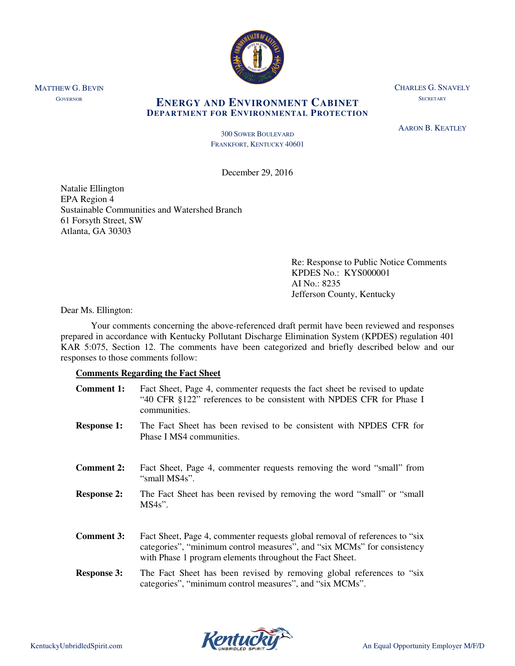

CHARLES G. SNAVELY **SECRETARY** 

# **ENERGY AND ENVIRONMENT CABINET DEPARTMENT FOR ENVIRONMENTAL PROTECTION**

AARON B. KEATLEY

300 SOWER BOULEVARD FRANKFORT, KENTUCKY 40601

December 29, 2016

Natalie Ellington EPA Region 4 Sustainable Communities and Watershed Branch 61 Forsyth Street, SW Atlanta, GA 30303

> Re: Response to Public Notice Comments KPDES No.: KYS000001 AI No.: 8235 Jefferson County, Kentucky

## Dear Ms. Ellington:

MATTHEW G. BEVIN **GOVERNOR** 

> Your comments concerning the above-referenced draft permit have been reviewed and responses prepared in accordance with Kentucky Pollutant Discharge Elimination System (KPDES) regulation 401 KAR 5:075, Section 12. The comments have been categorized and briefly described below and our responses to those comments follow:

# **Comments Regarding the Fact Sheet**

| <b>Comment 1:</b>  | Fact Sheet, Page 4, commenter requests the fact sheet be revised to update<br>"40 CFR §122" references to be consistent with NPDES CFR for Phase I<br>communities.                                                  |
|--------------------|---------------------------------------------------------------------------------------------------------------------------------------------------------------------------------------------------------------------|
| <b>Response 1:</b> | The Fact Sheet has been revised to be consistent with NPDES CFR for<br>Phase I MS4 communities.                                                                                                                     |
| <b>Comment 2:</b>  | Fact Sheet, Page 4, commenter requests removing the word "small" from<br>"small MS4s".                                                                                                                              |
| <b>Response 2:</b> | The Fact Sheet has been revised by removing the word "small" or "small"<br>$MS4s$ ".                                                                                                                                |
| <b>Comment 3:</b>  | Fact Sheet, Page 4, commenter requests global removal of references to "six"<br>categories", "minimum control measures", and "six MCMs" for consistency<br>with Phase 1 program elements throughout the Fact Sheet. |
| <b>Response 3:</b> | The Fact Sheet has been revised by removing global references to "six"<br>categories", "minimum control measures", and "six MCMs".                                                                                  |

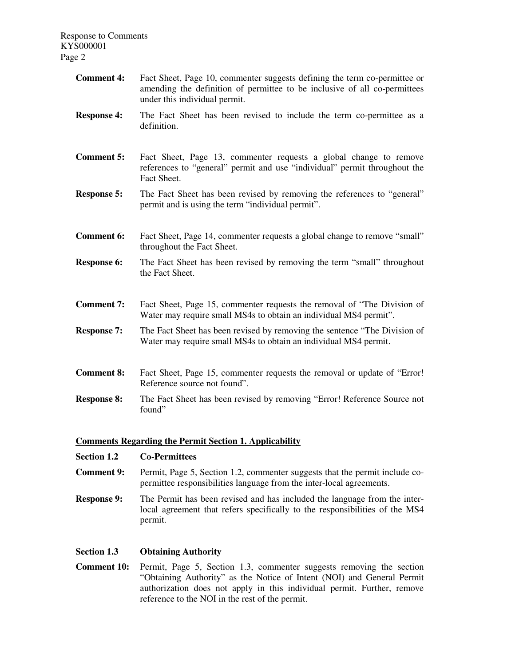| <b>Comment 4:</b>  | Fact Sheet, Page 10, commenter suggests defining the term co-permittee or<br>amending the definition of permittee to be inclusive of all co-permittees<br>under this individual permit. |
|--------------------|-----------------------------------------------------------------------------------------------------------------------------------------------------------------------------------------|
| <b>Response 4:</b> | The Fact Sheet has been revised to include the term co-permittee as a<br>definition.                                                                                                    |
| <b>Comment 5:</b>  | Fact Sheet, Page 13, commenter requests a global change to remove<br>references to "general" permit and use "individual" permit throughout the<br>Fact Sheet.                           |
| <b>Response 5:</b> | The Fact Sheet has been revised by removing the references to "general"<br>permit and is using the term "individual permit".                                                            |
| <b>Comment 6:</b>  | Fact Sheet, Page 14, commenter requests a global change to remove "small"<br>throughout the Fact Sheet.                                                                                 |
| <b>Response 6:</b> | The Fact Sheet has been revised by removing the term "small" throughout<br>the Fact Sheet.                                                                                              |
| <b>Comment 7:</b>  | Fact Sheet, Page 15, commenter requests the removal of "The Division of<br>Water may require small MS4s to obtain an individual MS4 permit".                                            |
| <b>Response 7:</b> | The Fact Sheet has been revised by removing the sentence "The Division of<br>Water may require small MS4s to obtain an individual MS4 permit.                                           |
| <b>Comment 8:</b>  | Fact Sheet, Page 15, commenter requests the removal or update of "Error!<br>Reference source not found".                                                                                |
| <b>Response 8:</b> | The Fact Sheet has been revised by removing "Error! Reference Source not<br>found"                                                                                                      |

## **Comments Regarding the Permit Section 1. Applicability**

**Section 1.2 Co-Permittees** 

- **Comment 9:** Permit, Page 5, Section 1.2, commenter suggests that the permit include copermittee responsibilities language from the inter-local agreements.
- **Response 9:** The Permit has been revised and has included the language from the interlocal agreement that refers specifically to the responsibilities of the MS4 permit.

### **Section 1.3 Obtaining Authority**

**Comment 10:** Permit, Page 5, Section 1.3, commenter suggests removing the section "Obtaining Authority" as the Notice of Intent (NOI) and General Permit authorization does not apply in this individual permit. Further, remove reference to the NOI in the rest of the permit.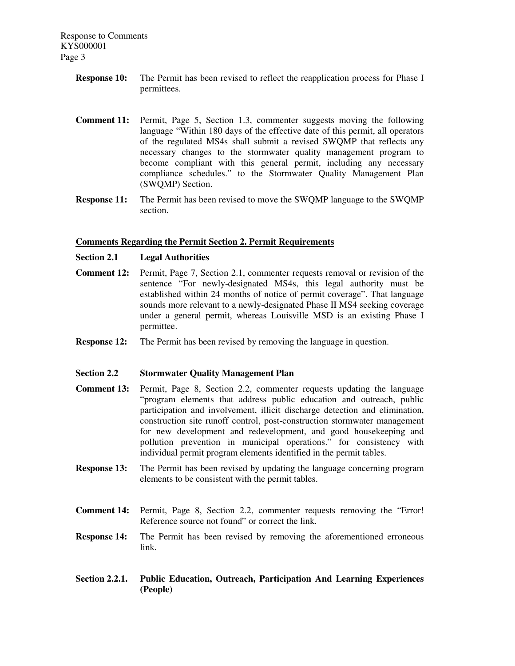- **Response 10:** The Permit has been revised to reflect the reapplication process for Phase I permittees.
- **Comment 11:** Permit, Page 5, Section 1.3, commenter suggests moving the following language "Within 180 days of the effective date of this permit, all operators of the regulated MS4s shall submit a revised SWQMP that reflects any necessary changes to the stormwater quality management program to become compliant with this general permit, including any necessary compliance schedules." to the Stormwater Quality Management Plan (SWQMP) Section.
- **Response 11:** The Permit has been revised to move the SWQMP language to the SWQMP section.

## **Comments Regarding the Permit Section 2. Permit Requirements**

#### **Section 2.1 Legal Authorities**

- **Comment 12:** Permit, Page 7, Section 2.1, commenter requests removal or revision of the sentence "For newly-designated MS4s, this legal authority must be established within 24 months of notice of permit coverage". That language sounds more relevant to a newly-designated Phase II MS4 seeking coverage under a general permit, whereas Louisville MSD is an existing Phase I permittee.
- **Response 12:** The Permit has been revised by removing the language in question.

#### **Section 2.2 Stormwater Quality Management Plan**

- **Comment 13:** Permit, Page 8, Section 2.2, commenter requests updating the language "program elements that address public education and outreach, public participation and involvement, illicit discharge detection and elimination, construction site runoff control, post-construction stormwater management for new development and redevelopment, and good housekeeping and pollution prevention in municipal operations." for consistency with individual permit program elements identified in the permit tables.
- **Response 13:** The Permit has been revised by updating the language concerning program elements to be consistent with the permit tables.
- **Comment 14:** Permit, Page 8, Section 2.2, commenter requests removing the "Error! Reference source not found" or correct the link.
- **Response 14:** The Permit has been revised by removing the aforementioned erroneous link.
- **Section 2.2.1. Public Education, Outreach, Participation And Learning Experiences (People)**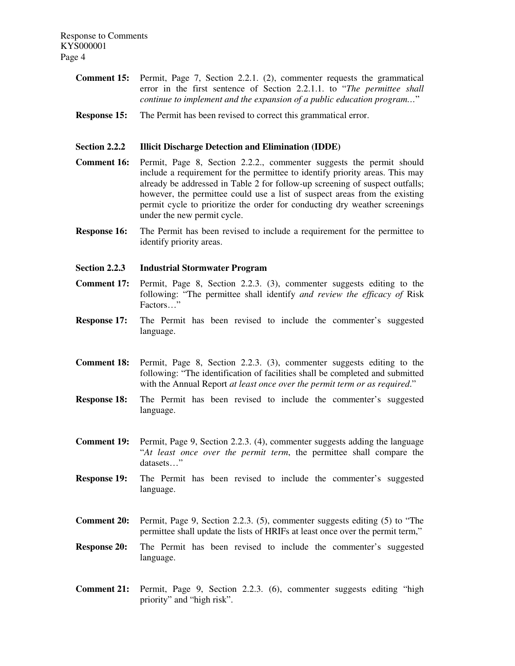- **Comment 15:** Permit, Page 7, Section 2.2.1. (2), commenter requests the grammatical error in the first sentence of Section 2.2.1.1. to "*The permittee shall continue to implement and the expansion of a public education program…*"
- **Response 15:** The Permit has been revised to correct this grammatical error.

### **Section 2.2.2 Illicit Discharge Detection and Elimination (IDDE)**

- **Comment 16:** Permit, Page 8, Section 2.2.2., commenter suggests the permit should include a requirement for the permittee to identify priority areas. This may already be addressed in Table 2 for follow-up screening of suspect outfalls; however, the permittee could use a list of suspect areas from the existing permit cycle to prioritize the order for conducting dry weather screenings under the new permit cycle.
- **Response 16:** The Permit has been revised to include a requirement for the permittee to identify priority areas.
- **Section 2.2.3 Industrial Stormwater Program**
- **Comment 17:** Permit, Page 8, Section 2.2.3. (3), commenter suggests editing to the following: "The permittee shall identify *and review the efficacy of* Risk Factors…"
- **Response 17:** The Permit has been revised to include the commenter's suggested language.
- **Comment 18:** Permit, Page 8, Section 2.2.3. (3), commenter suggests editing to the following: "The identification of facilities shall be completed and submitted with the Annual Report *at least once over the permit term or as required*."
- **Response 18:** The Permit has been revised to include the commenter's suggested language.
- **Comment 19:** Permit, Page 9, Section 2.2.3. (4), commenter suggests adding the language "*At least once over the permit term*, the permittee shall compare the datasets…"
- **Response 19:** The Permit has been revised to include the commenter's suggested language.
- **Comment 20:** Permit, Page 9, Section 2.2.3. (5), commenter suggests editing (5) to "The permittee shall update the lists of HRIFs at least once over the permit term,"
- **Response 20:** The Permit has been revised to include the commenter's suggested language.
- **Comment 21:** Permit, Page 9, Section 2.2.3. (6), commenter suggests editing "high priority" and "high risk".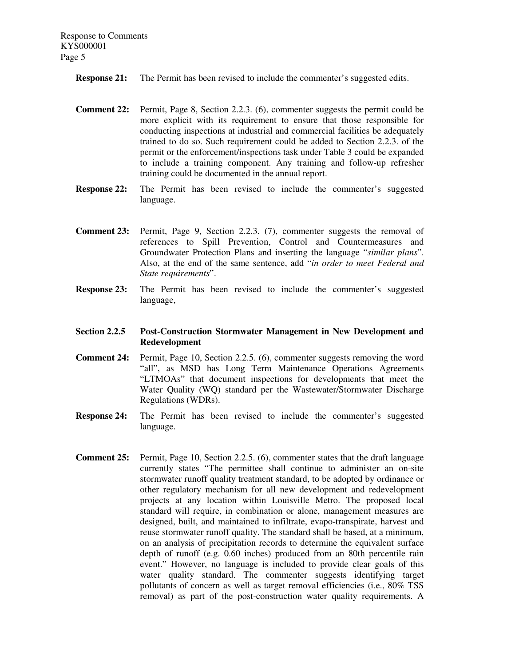**Response 21:** The Permit has been revised to include the commenter's suggested edits.

- **Comment 22:** Permit, Page 8, Section 2.2.3. (6), commenter suggests the permit could be more explicit with its requirement to ensure that those responsible for conducting inspections at industrial and commercial facilities be adequately trained to do so. Such requirement could be added to Section 2.2.3. of the permit or the enforcement/inspections task under Table 3 could be expanded to include a training component. Any training and follow-up refresher training could be documented in the annual report.
- **Response 22:** The Permit has been revised to include the commenter's suggested language.
- **Comment 23:** Permit, Page 9, Section 2.2.3. (7), commenter suggests the removal of references to Spill Prevention, Control and Countermeasures and Groundwater Protection Plans and inserting the language "*similar plans*". Also, at the end of the same sentence, add "*in order to meet Federal and State requirements*".
- **Response 23:** The Permit has been revised to include the commenter's suggested language,

## **Section 2.2.5 Post-Construction Stormwater Management in New Development and Redevelopment**

- **Comment 24:** Permit, Page 10, Section 2.2.5. (6), commenter suggests removing the word "all", as MSD has Long Term Maintenance Operations Agreements "LTMOAs" that document inspections for developments that meet the Water Quality (WQ) standard per the Wastewater/Stormwater Discharge Regulations (WDRs).
- **Response 24:** The Permit has been revised to include the commenter's suggested language.
- **Comment 25:** Permit, Page 10, Section 2.2.5. (6), commenter states that the draft language currently states "The permittee shall continue to administer an on-site stormwater runoff quality treatment standard, to be adopted by ordinance or other regulatory mechanism for all new development and redevelopment projects at any location within Louisville Metro. The proposed local standard will require, in combination or alone, management measures are designed, built, and maintained to infiltrate, evapo-transpirate, harvest and reuse stormwater runoff quality. The standard shall be based, at a minimum, on an analysis of precipitation records to determine the equivalent surface depth of runoff (e.g. 0.60 inches) produced from an 80th percentile rain event." However, no language is included to provide clear goals of this water quality standard. The commenter suggests identifying target pollutants of concern as well as target removal efficiencies (i.e., 80% TSS removal) as part of the post-construction water quality requirements. A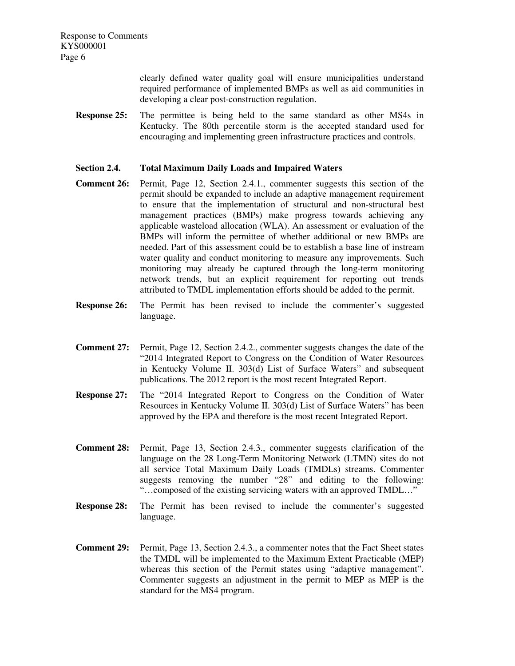> clearly defined water quality goal will ensure municipalities understand required performance of implemented BMPs as well as aid communities in developing a clear post-construction regulation.

**Response 25:** The permittee is being held to the same standard as other MS4s in Kentucky. The 80th percentile storm is the accepted standard used for encouraging and implementing green infrastructure practices and controls.

## **Section 2.4. Total Maximum Daily Loads and Impaired Waters**

- **Comment 26:** Permit, Page 12, Section 2.4.1., commenter suggests this section of the permit should be expanded to include an adaptive management requirement to ensure that the implementation of structural and non-structural best management practices (BMPs) make progress towards achieving any applicable wasteload allocation (WLA). An assessment or evaluation of the BMPs will inform the permittee of whether additional or new BMPs are needed. Part of this assessment could be to establish a base line of instream water quality and conduct monitoring to measure any improvements. Such monitoring may already be captured through the long-term monitoring network trends, but an explicit requirement for reporting out trends attributed to TMDL implementation efforts should be added to the permit.
- **Response 26:** The Permit has been revised to include the commenter's suggested language.
- **Comment 27:** Permit, Page 12, Section 2.4.2., commenter suggests changes the date of the "2014 Integrated Report to Congress on the Condition of Water Resources in Kentucky Volume II. 303(d) List of Surface Waters" and subsequent publications. The 2012 report is the most recent Integrated Report.
- **Response 27:** The "2014 Integrated Report to Congress on the Condition of Water Resources in Kentucky Volume II. 303(d) List of Surface Waters" has been approved by the EPA and therefore is the most recent Integrated Report.
- **Comment 28:** Permit, Page 13, Section 2.4.3., commenter suggests clarification of the language on the 28 Long-Term Monitoring Network (LTMN) sites do not all service Total Maximum Daily Loads (TMDLs) streams. Commenter suggests removing the number "28" and editing to the following: "…composed of the existing servicing waters with an approved TMDL…"
- **Response 28:** The Permit has been revised to include the commenter's suggested language.
- **Comment 29:** Permit, Page 13, Section 2.4.3., a commenter notes that the Fact Sheet states the TMDL will be implemented to the Maximum Extent Practicable (MEP) whereas this section of the Permit states using "adaptive management". Commenter suggests an adjustment in the permit to MEP as MEP is the standard for the MS4 program.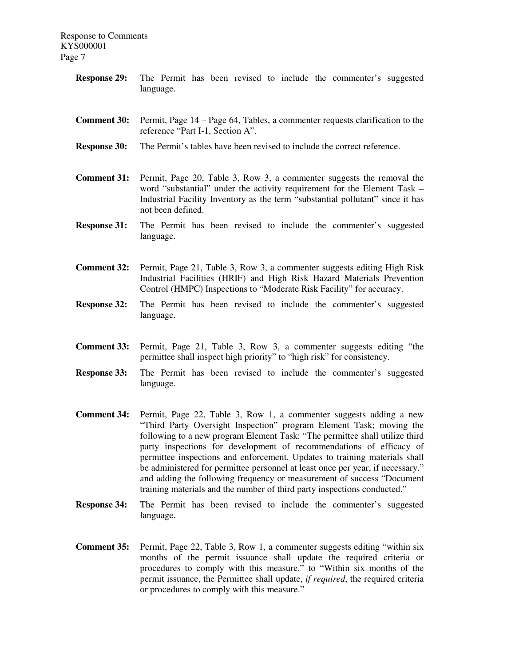- **Response 29:** The Permit has been revised to include the commenter's suggested language. **Comment 30:** Permit, Page 14 – Page 64, Tables, a commenter requests clarification to the reference "Part I-1, Section A". **Response 30:** The Permit's tables have been revised to include the correct reference. **Comment 31:** Permit, Page 20, Table 3, Row 3, a commenter suggests the removal the word "substantial" under the activity requirement for the Element Task – Industrial Facility Inventory as the term "substantial pollutant" since it has not been defined. **Response 31:** The Permit has been revised to include the commenter's suggested language. **Comment 32:** Permit, Page 21, Table 3, Row 3, a commenter suggests editing High Risk Industrial Facilities (HRIF) and High Risk Hazard Materials Prevention Control (HMPC) Inspections to "Moderate Risk Facility" for accuracy. **Response 32:** The Permit has been revised to include the commenter's suggested language. **Comment 33:** Permit, Page 21, Table 3, Row 3, a commenter suggests editing "the permittee shall inspect high priority" to "high risk" for consistency. **Response 33:** The Permit has been revised to include the commenter's suggested language. **Comment 34:** Permit, Page 22, Table 3, Row 1, a commenter suggests adding a new "Third Party Oversight Inspection" program Element Task; moving the following to a new program Element Task: "The permittee shall utilize third party inspections for development of recommendations of efficacy of permittee inspections and enforcement. Updates to training materials shall be administered for permittee personnel at least once per year, if necessary." and adding the following frequency or measurement of success "Document training materials and the number of third party inspections conducted."
- **Response 34:** The Permit has been revised to include the commenter's suggested language.
- **Comment 35:** Permit, Page 22, Table 3, Row 1, a commenter suggests editing "within six" months of the permit issuance shall update the required criteria or procedures to comply with this measure." to "Within six months of the permit issuance, the Permittee shall update, *if required*, the required criteria or procedures to comply with this measure."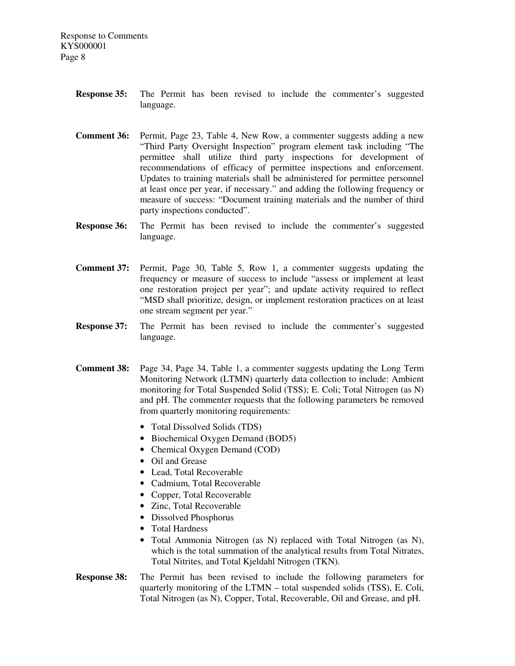- **Response 35:** The Permit has been revised to include the commenter's suggested language.
- **Comment 36:** Permit, Page 23, Table 4, New Row, a commenter suggests adding a new "Third Party Oversight Inspection" program element task including "The permittee shall utilize third party inspections for development of recommendations of efficacy of permittee inspections and enforcement. Updates to training materials shall be administered for permittee personnel at least once per year, if necessary." and adding the following frequency or measure of success: "Document training materials and the number of third party inspections conducted".
- **Response 36:** The Permit has been revised to include the commenter's suggested language.
- **Comment 37:** Permit, Page 30, Table 5, Row 1, a commenter suggests updating the frequency or measure of success to include "assess or implement at least one restoration project per year"; and update activity required to reflect "MSD shall prioritize, design, or implement restoration practices on at least one stream segment per year."
- **Response 37:** The Permit has been revised to include the commenter's suggested language.
- **Comment 38:** Page 34, Page 34, Table 1, a commenter suggests updating the Long Term Monitoring Network (LTMN) quarterly data collection to include: Ambient monitoring for Total Suspended Solid (TSS); E. Coli; Total Nitrogen (as N) and pH. The commenter requests that the following parameters be removed from quarterly monitoring requirements:
	- Total Dissolved Solids (TDS)
	- Biochemical Oxygen Demand (BOD5)
	- Chemical Oxygen Demand (COD)
	- Oil and Grease
	- Lead, Total Recoverable
	- Cadmium, Total Recoverable
	- Copper, Total Recoverable
	- Zinc, Total Recoverable
	- Dissolved Phosphorus
	- Total Hardness
	- Total Ammonia Nitrogen (as N) replaced with Total Nitrogen (as N), which is the total summation of the analytical results from Total Nitrates, Total Nitrites, and Total Kjeldahl Nitrogen (TKN).
- **Response 38:** The Permit has been revised to include the following parameters for quarterly monitoring of the LTMN – total suspended solids (TSS), E. Coli, Total Nitrogen (as N), Copper, Total, Recoverable, Oil and Grease, and pH.